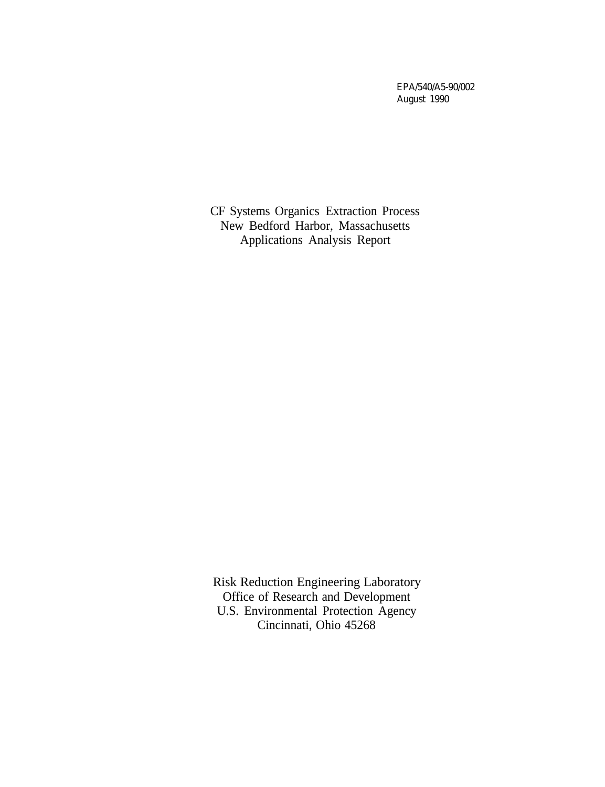EPA/540/A5-90/002 August 1990

CF Systems Organics Extraction Process New Bedford Harbor, Massachusetts Applications Analysis Report

Risk Reduction Engineering Laboratory Office of Research and Development U.S. Environmental Protection Agency Cincinnati, Ohio 45268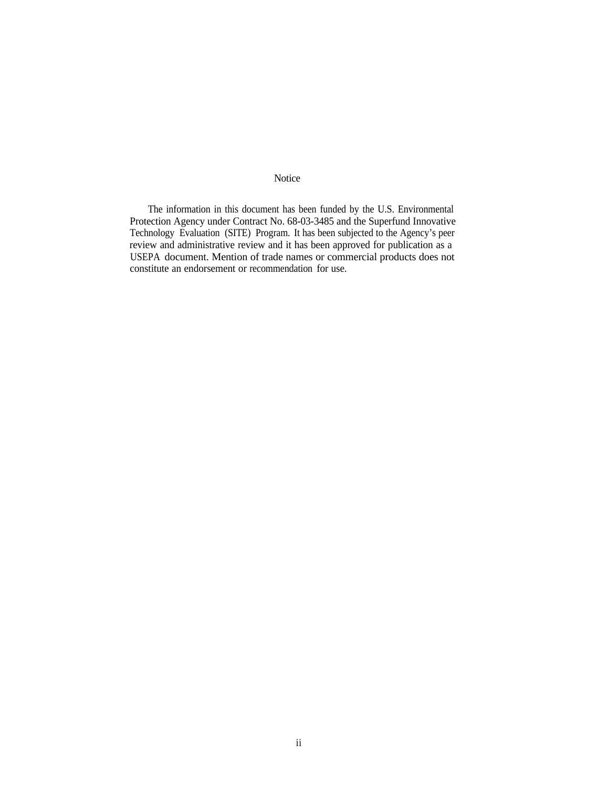### Notice

The information in this document has been funded by the U.S. Environmental Protection Agency under Contract No. 68-03-3485 and the Superfund Innovative Technology Evaluation (SITE) Program. It has been subjected to the Agency's peer review and administrative review and it has been approved for publication as a USEPA document. Mention of trade names or commercial products does not constitute an endorsement or recommendation for use.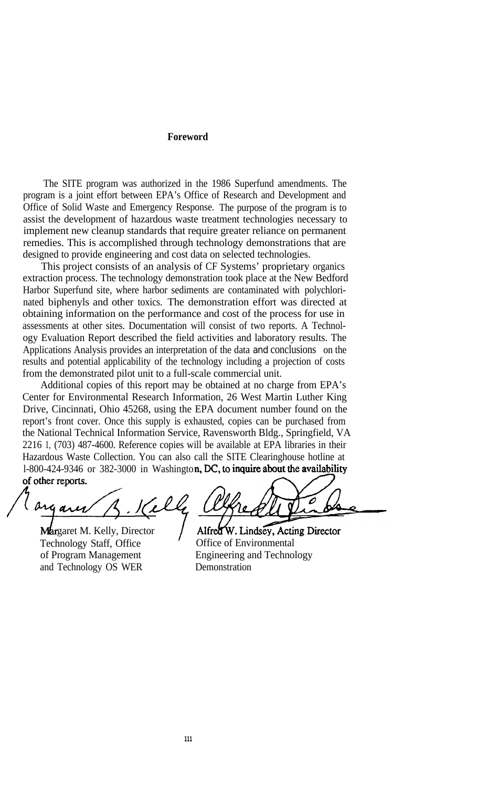#### **Foreword**

The SITE program was authorized in the 1986 Superfund amendments. The program is a joint effort between EPA's Office of Research and Development and Office of Solid Waste and Emergency Response. The purpose of the program is to assist the development of hazardous waste treatment technologies necessary to implement new cleanup standards that require greater reliance on permanent remedies. This is accomplished through technology demonstrations that are designed to provide engineering and cost data on selected technologies.

This project consists of an analysis of CF Systems' proprietary organics extraction process. The technology demonstration took place at the New Bedford Harbor Superfund site, where harbor sediments are contaminated with polychlorinated biphenyls and other toxics. The demonstration effort was directed at obtaining information on the performance and cost of the process for use in assessments at other sites. Documentation will consist of two reports. A Technology Evaluation Report described the field activities and laboratory results. The Applications Analysis provides an interpretation of the data and conclusions on the results and potential applicability of the technology including a projection of costs from the demonstrated pilot unit to a full-scale commercial unit.

Additional copies of this report may be obtained at no charge from EPA's Center for Environmental Research Information, 26 West Martin Luther King Drive, Cincinnati, Ohio 45268, using the EPA document number found on the report's front cover. Once this supply is exhausted, copies can be purchased from the National Technical Information Service, Ravensworth Bldg., Springfield, VA 2216 1, (703) 487-4600. Reference copies will be available at EPA libraries in their Hazardous Waste Collection. You can also call the SITE Clearinghouse hotline at 1-800-424-9346 or 382-3000 in Washington, DC, to inquire about the availability of other reports.

Margaret M. Kelly, Director Technology Staff, Office of Program Management and Technology OS WER

Alfred W. Lindsey, Acting Director Office of Environmental Engineering and Technology **Demonstration**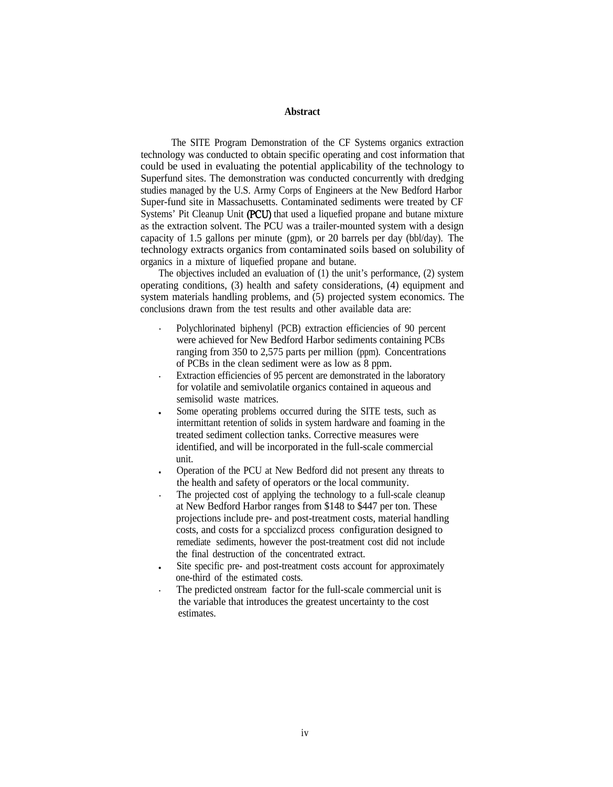### **Abstract**

The SITE Program Demonstration of the CF Systems organics extraction technology was conducted to obtain specific operating and cost information that could be used in evaluating the potential applicability of the technology to Superfund sites. The demonstration was conducted concurrently with dredging studies managed by the U.S. Army Corps of Engineers at the New Bedford Harbor Super-fund site in Massachusetts. Contaminated sediments were treated by CF Systems' Pit Cleanup Unit (PCU) that used a liquefied propane and butane mixture as the extraction solvent. The PCU was a trailer-mounted system with a design capacity of 1.5 gallons per minute (gpm), or 20 barrels per day (bbl/day). The technology extracts organics from contaminated soils based on solubility of organics in a mixture of liquefied propane and butane.

The objectives included an evaluation of (1) the unit's performance, (2) system operating conditions, (3) health and safety considerations, (4) equipment and system materials handling problems, and (5) projected system economics. The conclusions drawn from the test results and other available data are:

- . Polychlorinated biphenyl (PCB) extraction efficiencies of 90 percent were achieved for New Bedford Harbor sediments containing PCBs ranging from 350 to 2,575 parts per million (ppm). Concentrations of PCBs in the clean sediment were as low as 8 ppm. . Extraction efficiencies of 95 percent are demonstrated in the laboratory
- for volatile and semivolatile organics contained in aqueous and semisolid waste matrices.
- Some operating problems occurred during the SITE tests, such as intermittant retention of solids in system hardware and foaming in the treated sediment collection tanks. Corrective measures were identified, and will be incorporated in the full-scale commercial unit.
- <sup>l</sup> Operation of the PCU at New Bedford did not present any threats to the health and safety of operators or the local community. . The projected cost of applying the technology to a full-scale cleanup
- at New Bedford Harbor ranges from \$148 to \$447 per ton. These projections include pre- and post-treatment costs, material handling costs, and costs for a spccializcd process configuration designed to remediate sediments, however the post-treatment cost did not include the final destruction of the concentrated extract.
- Site specific pre- and post-treatment costs account for approximately one-third of the estimated costs.<br>The predicted onstream factor for the full-scale commercial unit is
- the variable that introduces the greatest uncertainty to the cost estimates.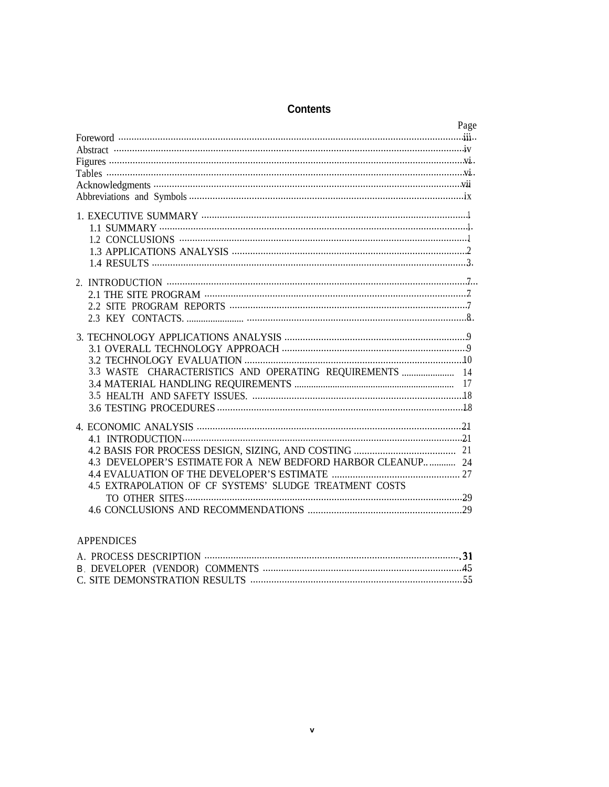### **Contents**

| Page                                                         |  |
|--------------------------------------------------------------|--|
|                                                              |  |
|                                                              |  |
|                                                              |  |
|                                                              |  |
|                                                              |  |
|                                                              |  |
|                                                              |  |
|                                                              |  |
|                                                              |  |
|                                                              |  |
|                                                              |  |
|                                                              |  |
|                                                              |  |
|                                                              |  |
|                                                              |  |
|                                                              |  |
|                                                              |  |
|                                                              |  |
|                                                              |  |
| 3.3 WASTE CHARACTERISTICS AND OPERATING REQUIREMENTS         |  |
|                                                              |  |
|                                                              |  |
|                                                              |  |
|                                                              |  |
|                                                              |  |
|                                                              |  |
| 4.3 DEVELOPER'S ESTIMATE FOR A NEW BEDFORD HARBOR CLEANUP 24 |  |
| <b>4.4 EVALUATION OF THE DEVELOPER'S ESTIMATE</b>            |  |
| 4.5 EXTRAPOLATION OF CF SYSTEMS' SLUDGE TREATMENT COSTS      |  |
|                                                              |  |
|                                                              |  |
|                                                              |  |

### **APPENDICES**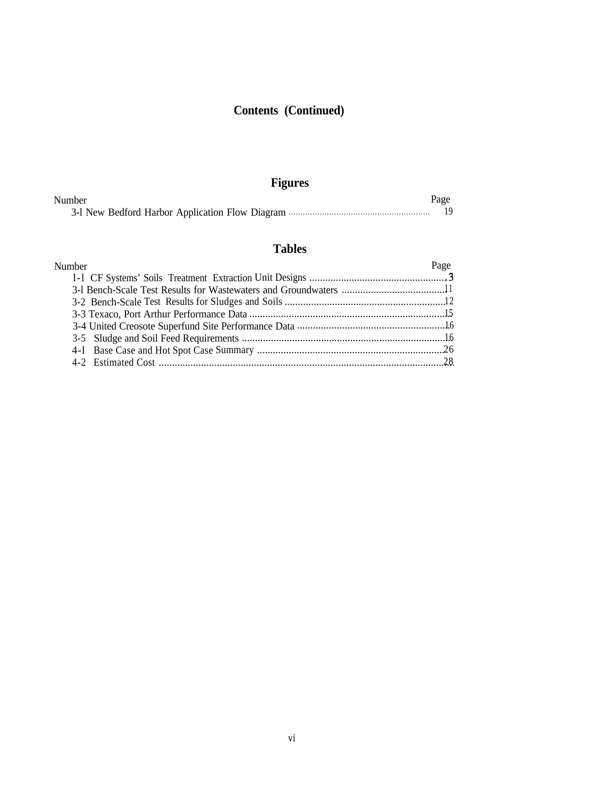# **Contents (Continued)**

# **Figures**

| Number | Page |
|--------|------|
|        |      |

# **Tables**

| Number | Page |
|--------|------|
|        |      |
|        |      |
|        |      |
|        |      |
|        |      |
|        |      |
|        |      |
|        |      |
|        |      |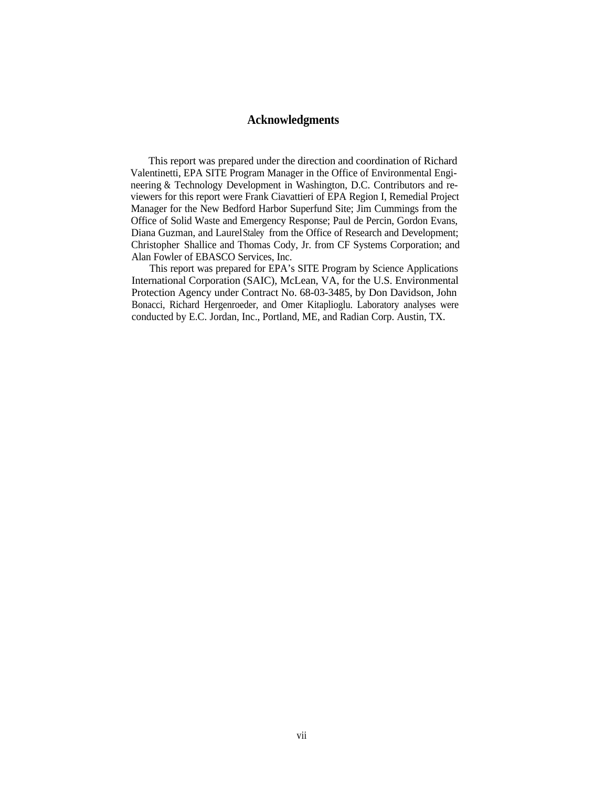### **Acknowledgments**

This report was prepared under the direction and coordination of Richard Valentinetti, EPA SITE Program Manager in the Office of Environmental Engineering & Technology Development in Washington, D.C. Contributors and reviewers for this report were Frank Ciavattieri of EPA Region I, Remedial Project Manager for the New Bedford Harbor Superfund Site; Jim Cummings from the Office of Solid Waste and Emergency Response; Paul de Percin, Gordon Evans, Diana Guzman, and Laurel Staley from the Office of Research and Development; Christopher Shallice and Thomas Cody, Jr. from CF Systems Corporation; and Alan Fowler of EBASCO Services, Inc.

This report was prepared for EPA's SITE Program by Science Applications International Corporation (SAIC), McLean, VA, for the U.S. Environmental Protection Agency under Contract No. 68-03-3485, by Don Davidson, John Bonacci, Richard Hergenroeder, and Omer Kitaplioglu. Laboratory analyses were conducted by E.C. Jordan, Inc., Portland, ME, and Radian Corp. Austin, TX.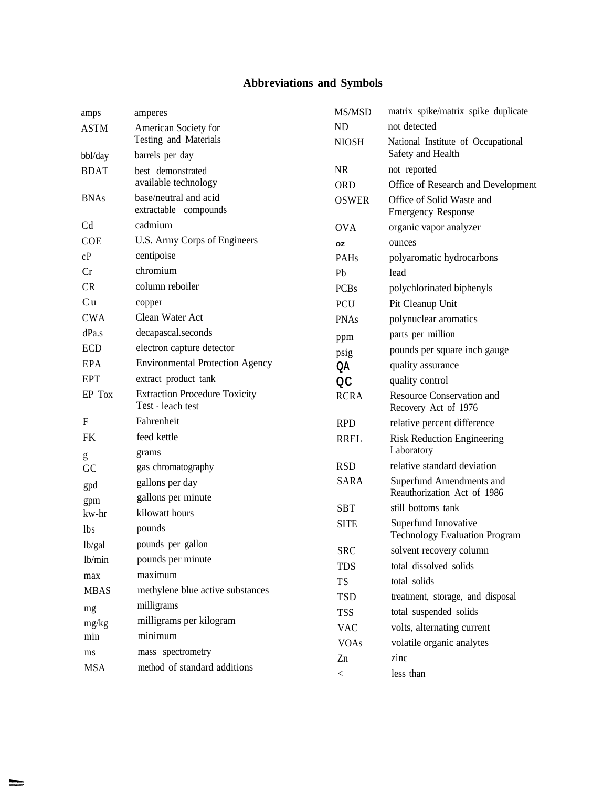# **Abbreviations and Symbols**

| amps           | amperes                                                   | MS/MSD            | matrix spike/matrix spike duplicate                          |
|----------------|-----------------------------------------------------------|-------------------|--------------------------------------------------------------|
| <b>ASTM</b>    | American Society for                                      | <b>ND</b>         | not detected                                                 |
| bbl/day        | Testing and Materials<br>barrels per day                  | <b>NIOSH</b>      | National Institute of Occupational<br>Safety and Health      |
| <b>BDAT</b>    | best demonstrated                                         | <b>NR</b>         | not reported                                                 |
|                | available technology                                      | <b>ORD</b>        | Office of Research and Development                           |
| <b>BNAs</b>    | base/neutral and acid<br>extractable compounds            | <b>OSWER</b>      | Office of Solid Waste and<br><b>Emergency Response</b>       |
| C <sub>d</sub> | cadmium                                                   | <b>OVA</b>        | organic vapor analyzer                                       |
| <b>COE</b>     | U.S. Army Corps of Engineers                              | <b>oz</b>         | ounces                                                       |
| cP             | centipoise                                                | PAHs              | polyaromatic hydrocarbons                                    |
| Cr             | chromium                                                  | Pb                | lead                                                         |
| <b>CR</b>      | column reboiler                                           | <b>PCBs</b>       | polychlorinated biphenyls                                    |
| Cu             | copper                                                    | PCU               | Pit Cleanup Unit                                             |
| <b>CWA</b>     | Clean Water Act                                           | <b>PNAs</b>       | polynuclear aromatics                                        |
| dPa.s          | decapascal.seconds                                        | ppm               | parts per million                                            |
| <b>ECD</b>     | electron capture detector                                 | psig              | pounds per square inch gauge                                 |
| <b>EPA</b>     | <b>Environmental Protection Agency</b>                    | QA                | quality assurance                                            |
| <b>EPT</b>     | extract product tank                                      | OC                | quality control                                              |
| EP Tox         | <b>Extraction Procedure Toxicity</b><br>Test - leach test | <b>RCRA</b>       | <b>Resource Conservation and</b><br>Recovery Act of 1976     |
| F              | Fahrenheit                                                | <b>RPD</b>        | relative percent difference                                  |
| <b>FK</b>      | feed kettle<br>grams                                      | <b>RREL</b>       | <b>Risk Reduction Engineering</b><br>Laboratory              |
| g<br>GC        | gas chromatography                                        | <b>RSD</b>        | relative standard deviation                                  |
|                | gallons per day                                           | <b>SARA</b>       | Superfund Amendments and                                     |
| gpd            | gallons per minute                                        |                   | Reauthorization Act of 1986                                  |
| gpm<br>kw-hr   | kilowatt hours                                            | <b>SBT</b>        | still bottoms tank                                           |
| <i>lbs</i>     | pounds                                                    | <b>SITE</b>       | Superfund Innovative<br><b>Technology Evaluation Program</b> |
| lb/gal         | pounds per gallon                                         | <b>SRC</b>        | solvent recovery column                                      |
| lb/min         | pounds per minute                                         | <b>TDS</b>        | total dissolved solids                                       |
| max            | maximum                                                   | <b>TS</b>         | total solids                                                 |
| <b>MBAS</b>    | methylene blue active substances                          | <b>TSD</b>        | treatment, storage, and disposal                             |
| mg             | milligrams                                                | <b>TSS</b>        | total suspended solids                                       |
| mg/kg          | milligrams per kilogram                                   | <b>VAC</b>        | volts, alternating current                                   |
| min            | minimum                                                   |                   | volatile organic analytes                                    |
| ms             | mass spectrometry                                         | <b>VOAs</b><br>Zn | zinc                                                         |
| <b>MSA</b>     | method of standard additions                              |                   |                                                              |
|                |                                                           | $\lt$             | less than                                                    |

**Beaumont**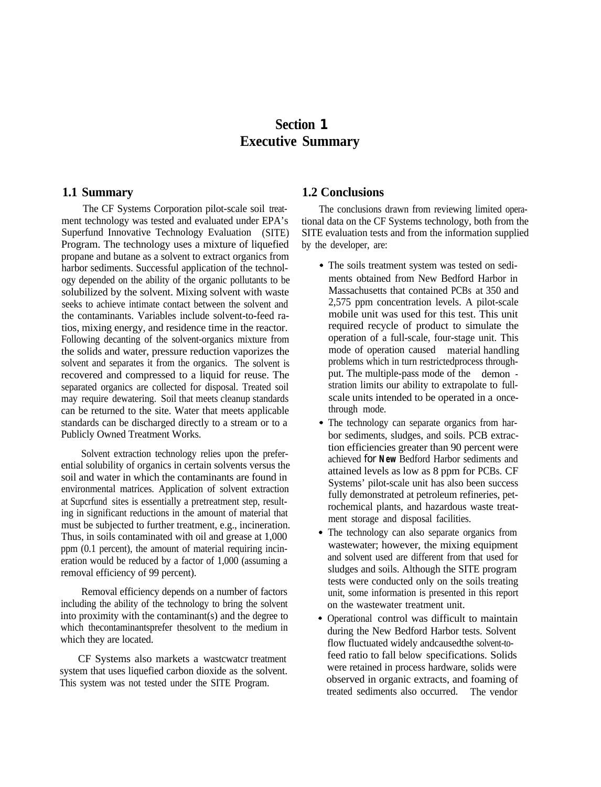# **Section 1 Executive Summary**

ment technology was tested and evaluated under EPA's tional data on the CF Systems technology, both from the Superfund Innovative Technology Evaluation (SITE) SITE evaluation tests and from the information supplied Superfund Innovative Technology Evaluation (SITE) Program. The technology uses a mixture of liquefied by the developer, are: propane and butane as a solvent to extract organics from harbor sediments. Successful application of the technology depended on the ability of the organic pollutants to be solubilized by the solvent. Mixing solvent with waste seeks to achieve intimate contact between the solvent and the contaminants. Variables include solvent-to-feed ratios, mixing energy, and residence time in the reactor. Following decanting of the solvent-organics mixture from the solids and water, pressure reduction vaporizes the solvent and separates it from the organics. The solvent is recovered and compressed to a liquid for reuse. The separated organics are collected for disposal. Treated soil may require dewatering. Soil that meets cleanup standards can be returned to the site. Water that meets applicable standards can be discharged directly to a stream or to a Publicly Owned Treatment Works.

Solvent extraction technology relies upon the preferential solubility of organics in certain solvents versus the soil and water in which the contaminants are found in environmental matrices. Application of solvent extraction at Supcrfund sites is essentially a pretreatment step, resulting in significant reductions in the amount of material that must be subjected to further treatment, e.g., incineration. Thus, in soils contaminated with oil and grease at 1,000 ppm (0.1 percent), the amount of material requiring incineration would be reduced by a factor of 1,000 (assuming a removal efficiency of 99 percent).

Removal efficiency depends on a number of factors including the ability of the technology to bring the solvent into proximity with the contaminant(s) and the degree to which thecontaminantsprefer thesolvent to the medium in which they are located.

CF Systems also markets a wastcwatcr treatment system that uses liquefied carbon dioxide as the solvent. This system was not tested under the SITE Program.

### **1.1 Summary 1.2 Conclusions**

The CF Systems Corporation pilot-scale soil treat- The conclusions drawn from reviewing limited opera-

- The soils treatment system was tested on sediments obtained from New Bedford Harbor in Massachusetts that contained PCBs at 350 and 2,575 ppm concentration levels. A pilot-scale mobile unit was used for this test. This unit required recycle of product to simulate the operation of a full-scale, four-stage unit. This mode of operation caused material handling problems which in turn restrictedprocess throughput. The multiple-pass mode of the demon stration limits our ability to extrapolate to fullscale units intended to be operated in a oncethrough mode.
- The technology can separate organics from harbor sediments, sludges, and soils. PCB extraction efficiencies greater than 90 percent were achieved for **New** Bedford Harbor sediments and attained levels as low as 8 ppm for PCBs. CF Systems' pilot-scale unit has also been success fully demonstrated at petroleum refineries, petrochemical plants, and hazardous waste treatment storage and disposal facilities.
- The technology can also separate organics from wastewater; however, the mixing equipment and solvent used are different from that used for sludges and soils. Although the SITE program tests were conducted only on the soils treating unit, some information is presented in this report on the wastewater treatment unit.
- Operational control was difficult to maintain during the New Bedford Harbor tests. Solvent flow fluctuated widely andcausedthe solvent-tofeed ratio to fall below specifications. Solids were retained in process hardware, solids were observed in organic extracts, and foaming of treated sediments also occurred. The vendor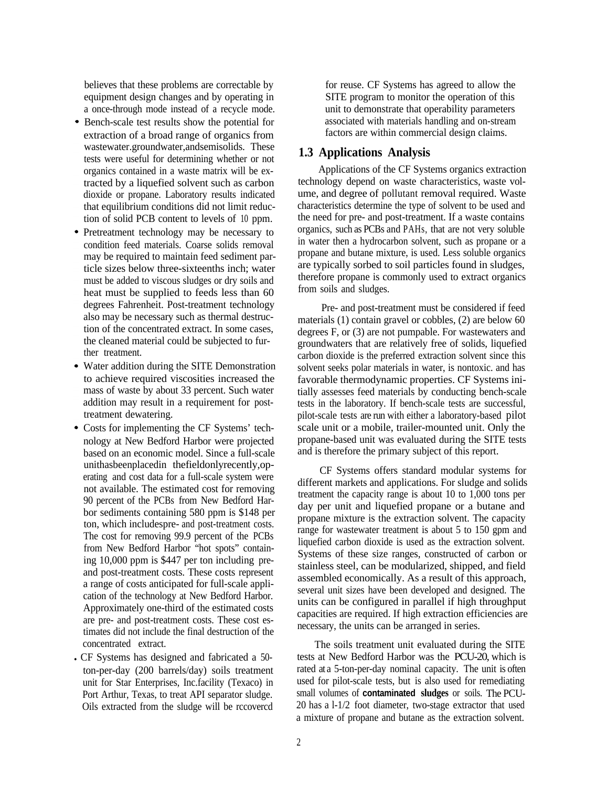believes that these problems are correctable by equipment design changes and by operating in a once-through mode instead of a recycle mode.

- Bench-scale test results show the potential for extraction of a broad range of organics from wastewater.groundwater,andsemisolids. These tests were useful for determining whether or not organics contained in a waste matrix will be extracted by a liquefied solvent such as carbon dioxide or propane. Laboratory results indicated that equilibrium conditions did not limit reduction of solid PCB content to levels of 10 ppm.
- Pretreatment technology may be necessary to condition feed materials. Coarse solids removal may be required to maintain feed sediment particle sizes below three-sixteenths inch; water must be added to viscous sludges or dry soils and heat must be supplied to feeds less than 60 degrees Fahrenheit. Post-treatment technology also may be necessary such as thermal destruction of the concentrated extract. In some cases, the cleaned material could be subjected to further treatment.
- Water addition during the SITE Demonstration to achieve required viscosities increased the mass of waste by about 33 percent. Such water addition may result in a requirement for posttreatment dewatering.
- Costs for implementing the CF Systems' technology at New Bedford Harbor were projected based on an economic model. Since a full-scale unithasbeenplacedin thefieldonlyrecently,operating and cost data for a full-scale system were not available. The estimated cost for removing 90 percent of the PCBs from New Bedford Harbor sediments containing 580 ppm is \$148 per ton, which includespre- and post-treatment costs. The cost for removing 99.9 percent of the PCBs from New Bedford Harbor "hot spots" containing 10,000 ppm is \$447 per ton including preand post-treatment costs. These costs represent a range of costs anticipated for full-scale application of the technology at New Bedford Harbor. Approximately one-third of the estimated costs are pre- and post-treatment costs. These cost estimates did not include the final destruction of the concentrated extract.
- CF Systems has designed and fabricated a 50ton-per-day (200 barrels/day) soils treatment unit for Star Enterprises, Inc.facility (Texaco) in Port Arthur, Texas, to treat API separator sludge. Oils extracted from the sludge will be rccovercd

for reuse. CF Systems has agreed to allow the SITE program to monitor the operation of this unit to demonstrate that operability parameters associated with materials handling and on-stream factors are within commercial design claims.

### **1.3 Applications Analysis**

Applications of the CF Systems organics extraction technology depend on waste characteristics, waste volume, and degree of pollutant removal required. Waste characteristics determine the type of solvent to be used and the need for pre- and post-treatment. If a waste contains organics, such as PCBs and PAHs, that are not very soluble in water then a hydrocarbon solvent, such as propane or a propane and butane mixture, is used. Less soluble organics are typically sorbed to soil particles found in sludges, therefore propane is commonly used to extract organics from soils and sludges.

Pre- and post-treatment must be considered if feed materials (1) contain gravel or cobbles, (2) are below 60 degrees F, or (3) are not pumpable. For wastewaters and groundwaters that are relatively free of solids, liquefied carbon dioxide is the preferred extraction solvent since this solvent seeks polar materials in water, is nontoxic. and has favorable thermodynamic properties. CF Systems initially assesses feed materials by conducting bench-scale tests in the laboratory. If bench-scale tests are successful, pilot-scale tests are run with either a laboratory-based pilot scale unit or a mobile, trailer-mounted unit. Only the propane-based unit was evaluated during the SITE tests and is therefore the primary subject of this report.

CF Systems offers standard modular systems for different markets and applications. For sludge and solids treatment the capacity range is about 10 to 1,000 tons per day per unit and liquefied propane or a butane and propane mixture is the extraction solvent. The capacity range for wastewater treatment is about 5 to 150 gpm and liquefied carbon dioxide is used as the extraction solvent. Systems of these size ranges, constructed of carbon or stainless steel, can be modularized, shipped, and field assembled economically. As a result of this approach, several unit sizes have been developed and designed. The units can be configured in parallel if high throughput capacities are required. If high extraction efficiencies are necessary, the units can be arranged in series.

The soils treatment unit evaluated during the SITE tests at New Bedford Harbor was the PCU-20, which is rated at a 5-ton-per-day nominal capacity. The unit is often used for pilot-scale tests, but is also used for remediating small volumes of **contaminated sludges** or soils. The PCU-20 has a l-1/2 foot diameter, two-stage extractor that used a mixture of propane and butane as the extraction solvent.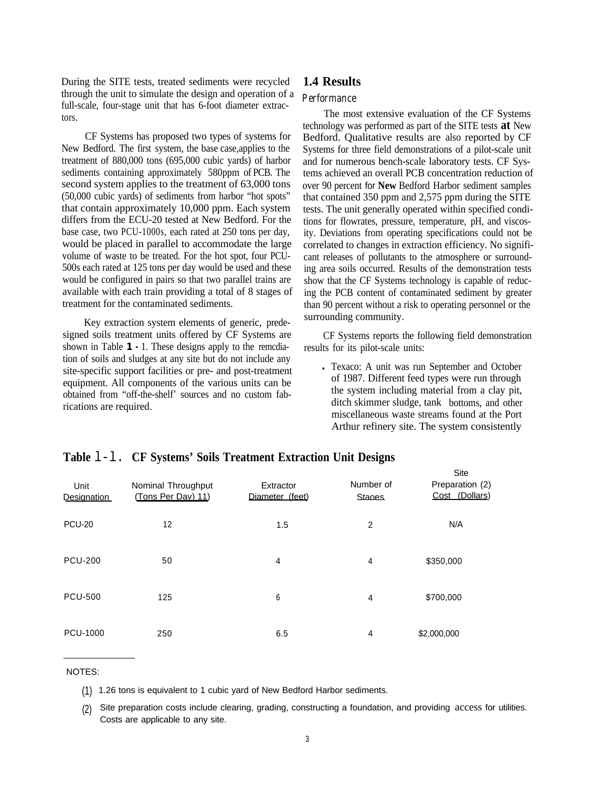During the SITE tests, treated sediments were recycled through the unit to simulate the design and operation of a full-scale, four-stage unit that has 6-foot diameter extractors.

CF Systems has proposed two types of systems for New Bedford. The first system, the base case,applies to the treatment of 880,000 tons (695,000 cubic yards) of harbor sediments containing approximately 580ppm of PCB. The second system applies to the treatment of 63,000 tons (50,000 cubic yards) of sediments from harbor "hot spots" that contain approximately 10,000 ppm. Each system differs from the ECU-20 tested at New Bedford. For the base case, two PCU-1000s, each rated at 250 tons per day, would be placed in parallel to accommodate the large volume of waste to be treated. For the hot spot, four PCU-500s each rated at 125 tons per day would be used and these would be configured in pairs so that two parallel trains are available with each train providing a total of 8 stages of treatment for the contaminated sediments.

Key extraction system elements of generic, predesigned soils treatment units offered by CF Systems are shown in Table **1 -** 1. These designs apply to the remcdiation of soils and sludges at any site but do not include any site-specific support facilities or pre- and post-treatment equipment. All components of the various units can be obtained from "off-the-shelf' sources and no custom fabrications are required.

### **1.4 Results**

### *Performance*

The most extensive evaluation of the CF Systems technology was performed as part of the SITE tests **at** New Bedford. Qualitative results are also reported by CF Systems for three field demonstrations of a pilot-scale unit and for numerous bench-scale laboratory tests. CF Systems achieved an overall PCB concentration reduction of over 90 percent for **New** Bedford Harbor sediment samples that contained 350 ppm and 2,575 ppm during the SITE tests. The unit generally operated within specified conditions for flowrates, pressure, temperature, pH, and viscosity. Deviations from operating specifications could not be correlated to changes in extraction efficiency. No significant releases of pollutants to the atmosphere or surrounding area soils occurred. Results of the demonstration tests show that the CF Systems technology is capable of reducing the PCB content of contaminated sediment by greater than 90 percent without a risk to operating personnel or the surrounding community.

CF Systems reports the following field demonstration results for its pilot-scale units:

<sup>l</sup> Texaco: A unit was run September and October of 1987. Different feed types were run through the system including material from a clay pit, ditch skimmer sludge, tank bottoms, and other miscellaneous waste streams found at the Port Arthur refinery site. The system consistently

Site

| Unit<br><b>Designation</b> | Nominal Throughput<br>(Tons Per Dav) 11) | Extractor<br>Diameter (feet) | Number of<br><b>Stanes</b> | סוש<br>Preparation (2)<br>Cost (Dollars) |
|----------------------------|------------------------------------------|------------------------------|----------------------------|------------------------------------------|
| <b>PCU-20</b>              | 12                                       | 1.5                          | $\overline{2}$             | N/A                                      |
| <b>PCU-200</b>             | 50                                       | 4                            | 4                          | \$350,000                                |
| <b>PCU-500</b>             | 125                                      | 6                            | 4                          | \$700,000                                |
| PCU-1000                   | 250                                      | 6.5                          | 4                          | \$2,000,000                              |

### **Table** l-l. **CF Systems' Soils Treatment Extraction Unit Designs**

#### NOTES:

(1) 1.26 tons is equivalent to 1 cubic yard of New Bedford Harbor sediments.

(2) Site preparation costs include clearing, grading, constructing a foundation, and providing access for utilities. Costs are applicable to any site.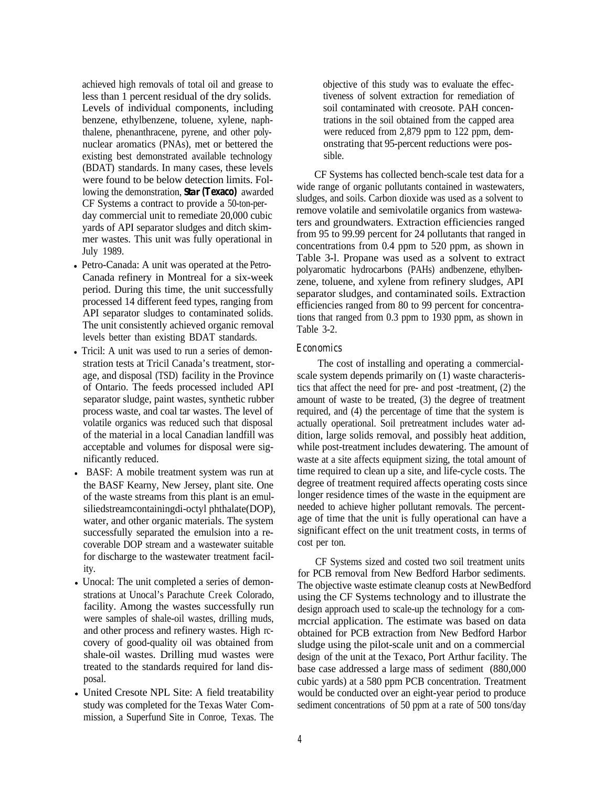achieved high removals of total oil and grease to less than 1 percent residual of the dry solids. Levels of individual components, including benzene, ethylbenzene, toluene, xylene, naphthalene, phenanthracene, pyrene, and other polynuclear aromatics (PNAs), met or bettered the existing best demonstrated available technology (BDAT) standards. In many cases, these levels were found to be below detection limits. Following the demonstration, **Star (Texaco)** awarded CF Systems a contract to provide a 50-ton-perday commercial unit to remediate 20,000 cubic yards of API separator sludges and ditch skimmer wastes. This unit was fully operational in July 1989.

- l Petro-Canada: A unit was operated at the Petro-Canada refinery in Montreal for a six-week period. During this time, the unit successfully processed 14 different feed types, ranging from API separator sludges to contaminated solids. The unit consistently achieved organic removal levels better than existing BDAT standards.
- Tricil: A unit was used to run a series of demonstration tests at Tricil Canada's treatment, storage, and disposal (TSD) facility in the Province of Ontario. The feeds processed included API separator sludge, paint wastes, synthetic rubber process waste, and coal tar wastes. The level of volatile organics was reduced such that disposal of the material in a local Canadian landfill was acceptable and volumes for disposal were significantly reduced.
- BASF: A mobile treatment system was run at the BASF Kearny, New Jersey, plant site. One of the waste streams from this plant is an emulsiliedstreamcontainingdi-octyl phthalate(DOP), water, and other organic materials. The system successfully separated the emulsion into a recoverable DOP stream and a wastewater suitable for discharge to the wastewater treatment facility.
- Unocal: The unit completed a series of demonstrations at Unocal's Parachute Creek Colorado, facility. Among the wastes successfully run were samples of shale-oil wastes, drilling muds, and other process and refinery wastes. High rccovery of good-quality oil was obtained from shale-oil wastes. Drilling mud wastes were treated to the standards required for land disposal.
- United Cresote NPL Site: A field treatability study was completed for the Texas Water Commission, a Superfund Site in Conroe, Texas. The

objective of this study was to evaluate the effectiveness of solvent extraction for remediation of soil contaminated with creosote. PAH concentrations in the soil obtained from the capped area were reduced from 2,879 ppm to 122 ppm, demonstrating that 95-percent reductions were possible.

CF Systems has collected bench-scale test data for a wide range of organic pollutants contained in wastewaters, sludges, and soils. Carbon dioxide was used as a solvent to remove volatile and semivolatile organics from wastewaters and groundwaters. Extraction efficiencies ranged from 95 to 99.99 percent for 24 pollutants that ranged in concentrations from 0.4 ppm to 520 ppm, as shown in Table 3-l. Propane was used as a solvent to extract polyaromatic hydrocarbons (PAHs) andbenzene, ethylbenzene, toluene, and xylene from refinery sludges, API separator sludges, and contaminated soils. Extraction efficiencies ranged from 80 to 99 percent for concentrations that ranged from 0.3 ppm to 1930 ppm, as shown in Table 3-2.

### *Economics*

The cost of installing and operating a commercialscale system depends primarily on (1) waste characteristics that affect the need for pre- and post -treatment, (2) the amount of waste to be treated, (3) the degree of treatment required, and (4) the percentage of time that the system is actually operational. Soil pretreatment includes water addition, large solids removal, and possibly heat addition, while post-treatment includes dewatering. The amount of waste at a site affects equipment sizing, the total amount of time required to clean up a site, and life-cycle costs. The degree of treatment required affects operating costs since longer residence times of the waste in the equipment are needed to achieve higher pollutant removals. The percentage of time that the unit is fully operational can have a significant effect on the unit treatment costs, in terms of cost per ton.

CF Systems sized and costed two soil treatment units for PCB removal from New Bedford Harbor sediments. The objective waste estimate cleanup costs at NewBedford using the CF Systems technology and to illustrate the design approach used to scale-up the technology for a commcrcial application. The estimate was based on data obtained for PCB extraction from New Bedford Harbor sludge using the pilot-scale unit and on a commercial design of the unit at the Texaco, Port Arthur facility. The base case addressed a large mass of sediment (880,000 cubic yards) at a 580 ppm PCB concentration. Treatment would be conducted over an eight-year period to produce sediment concentrations of 50 ppm at a rate of 500 tons/day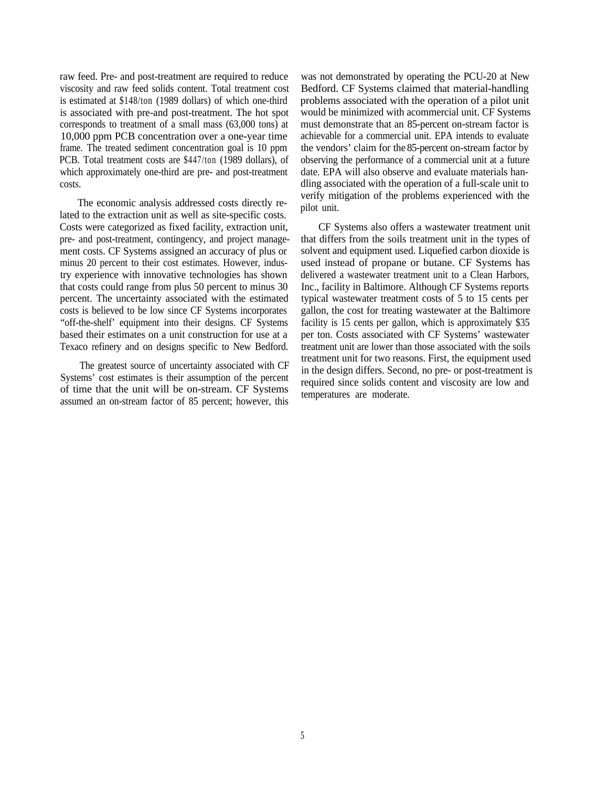raw feed. Pre- and post-treatment are required to reduce viscosity and raw feed solids content. Total treatment cost is estimated at \$148/ton (1989 dollars) of which one-third is associated with pre-and post-treatment. The hot spot corresponds to treatment of a small mass (63,000 tons) at 10,000 ppm PCB concentration over a one-year time frame. The treated sediment concentration goal is 10 ppm PCB. Total treatment costs are \$447/ton (1989 dollars), of which approximately one-third are pre- and post-treatment costs.

The economic analysis addressed costs directly related to the extraction unit as well as site-specific costs. Costs were categorized as fixed facility, extraction unit, pre- and post-treatment, contingency, and project management costs. CF Systems assigned an accuracy of plus or minus 20 percent to their cost estimates. However, industry experience with innovative technologies has shown that costs could range from plus 50 percent to minus 30 percent. The uncertainty associated with the estimated costs is believed to be low since CF Systems incorporates "off-the-shelf' equipment into their designs. CF Systems based their estimates on a unit construction for use at a Texaco refinery and on designs specific to New Bedford.

The greatest source of uncertainty associated with CF Systems' cost estimates is their assumption of the percent of time that the unit will be on-stream. CF Systems assumed an on-stream factor of 85 percent; however, this was not demonstrated by operating the PCU-20 at New Bedford. CF Systems claimed that material-handling problems associated with the operation of a pilot unit would be minimized with acommercial unit. CF Systems must demonstrate that an 85-percent on-stream factor is achievable for a commercial unit. EPA intends to evaluate the vendors' claim for the 85-percent on-stream factor by observing the performance of a commercial unit at a future date. EPA will also observe and evaluate materials handling associated with the operation of a full-scale unit to verify mitigation of the problems experienced with the pilot unit.

CF Systems also offers a wastewater treatment unit that differs from the soils treatment unit in the types of solvent and equipment used. Liquefied carbon dioxide is used instead of propane or butane. CF Systems has delivered a wastewater treatment unit to a Clean Harbors, Inc., facility in Baltimore. Although CF Systems reports typical wastewater treatment costs of 5 to 15 cents per gallon, the cost for treating wastewater at the Baltimore facility is 15 cents per gallon, which is approximately \$35 per ton. Costs associated with CF Systems' wastewater treatment unit are lower than those associated with the soils treatment unit for two reasons. First, the equipment used in the design differs. Second, no pre- or post-treatment is required since solids content and viscosity are low and temperatures are moderate.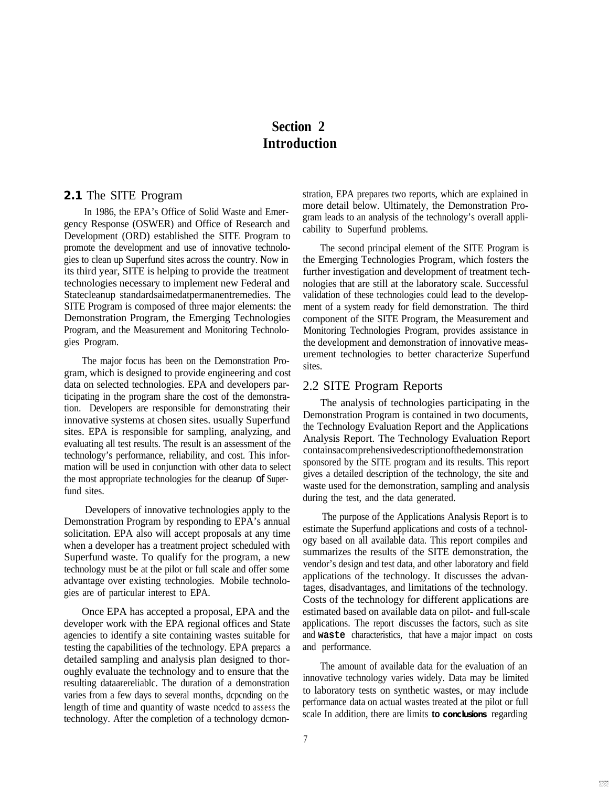# **Section 2 Introduction**

### **2.1** The SITE Program

In 1986, the EPA's Office of Solid Waste and Emergency Response (OSWER) and Office of Research and Development (ORD) established the SITE Program to promote the development and use of innovative technologies to clean up Superfund sites across the country. Now in its third year, SITE is helping to provide the treatment technologies necessary to implement new Federal and Statecleanup standardsaimedatpermanentremedies. The SITE Program is composed of three major elements: the Demonstration Program, the Emerging Technologies Program, and the Measurement and Monitoring Technologies Program.

The major focus has been on the Demonstration Program, which is designed to provide engineering and cost data on selected technologies. EPA and developers participating in the program share the cost of the demonstration. Developers are responsible for demonstrating their innovative systems at chosen sites. usually Superfund sites. EPA is responsible for sampling, analyzing, and evaluating all test results. The result is an assessment of the technology's performance, reliability, and cost. This information will be used in conjunction with other data to select the most appropriate technologies for the cleanup of Superfund sites.

Developers of innovative technologies apply to the Demonstration Program by responding to EPA's annual solicitation. EPA also will accept proposals at any time when a developer has a treatment project scheduled with Superfund waste. To qualify for the program, a new technology must be at the pilot or full scale and offer some advantage over existing technologies. Mobile technologies are of particular interest to EPA.

Once EPA has accepted a proposal, EPA and the developer work with the EPA regional offices and State agencies to identify a site containing wastes suitable for testing the capabilities of the technology. EPA preparcs a detailed sampling and analysis plan designed to thoroughly evaluate the technology and to ensure that the resulting dataarereliablc. The duration of a demonstration varies from a few days to several months, dcpcnding on the length of time and quantity of waste ncedcd to assess the technology. After the completion of a technology dcmonstration, EPA prepares two reports, which are explained in more detail below. Ultimately, the Demonstration Program leads to an analysis of the technology's overall applicability to Superfund problems.

The second principal element of the SITE Program is the Emerging Technologies Program, which fosters the further investigation and development of treatment technologies that are still at the laboratory scale. Successful validation of these technologies could lead to the development of a system ready for field demonstration. The third component of the SITE Program, the Measurement and Monitoring Technologies Program, provides assistance in the development and demonstration of innovative measurement technologies to better characterize Superfund sites.

### 2.2 SITE Program Reports

The analysis of technologies participating in the Demonstration Program is contained in two documents, the Technology Evaluation Report and the Applications Analysis Report. The Technology Evaluation Report containsacomprehensivedescriptionofthedemonstration sponsored by the SITE program and its results. This report gives a detailed description of the technology, the site and waste used for the demonstration, sampling and analysis during the test, and the data generated.

The purpose of the Applications Analysis Report is to estimate the Superfund applications and costs of a technology based on all available data. This report compiles and summarizes the results of the SITE demonstration, the vendor's design and test data, and other laboratory and field applications of the technology. It discusses the advantages, disadvantages, and limitations of the technology. Costs of the technology for different applications are estimated based on available data on pilot- and full-scale applications. The report discusses the factors, such as site and **waste** characteristics, that have a major impact on costs and performance.

The amount of available data for the evaluation of an innovative technology varies widely. Data may be limited to laboratory tests on synthetic wastes, or may include performance data on actual wastes treated at the pilot or full scale In addition, there are limits **to conclusions** regarding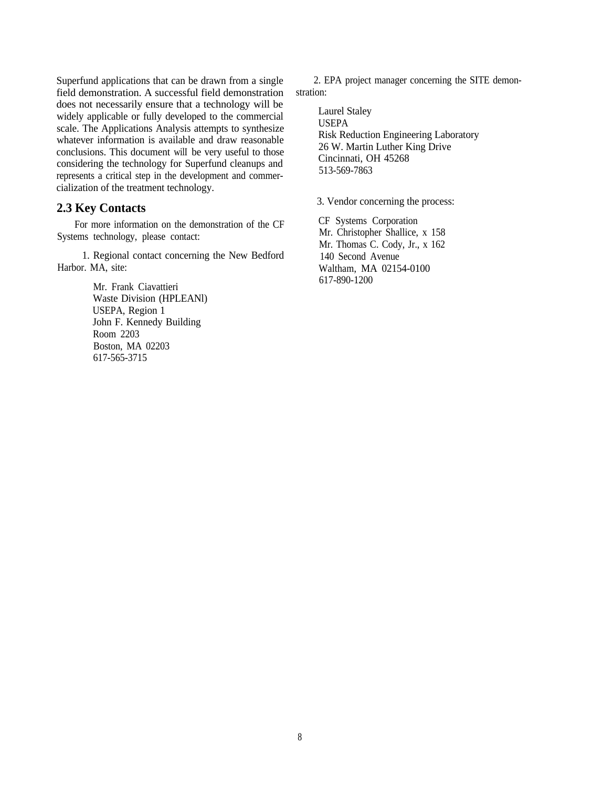Superfund applications that can be drawn from a single field demonstration. A successful field demonstration does not necessarily ensure that a technology will be widely applicable or fully developed to the commercial scale. The Applications Analysis attempts to synthesize whatever information is available and draw reasonable conclusions. This document wilI be very useful to those considering the technology for Superfund cleanups and represents a critical step in the development and commercialization of the treatment technology.

### **2.3 Key Contacts**

For more information on the demonstration of the CF Systems technology, please contact:

1. Regional contact concerning the New Bedford Harbor. MA, site:

> Mr. Frank Ciavattieri Waste Division (HPLEANl) USEPA, Region 1 John F. Kennedy Building Room 2203 Boston, MA 02203 617-565-3715

2. EPA project manager concerning the SITE demonstration:

Laurel Staley USEPA Risk Reduction Engineering Laboratory 26 W. Martin Luther King Drive Cincinnati, OH 45268 513-569-7863

3. Vendor concerning the process:

CF Systems Corporation Mr. Christopher Shallice, x 158 Mr. Thomas C. Cody, Jr., x 162 140 Second Avenue Waltham, MA 02154-0100 617-890-1200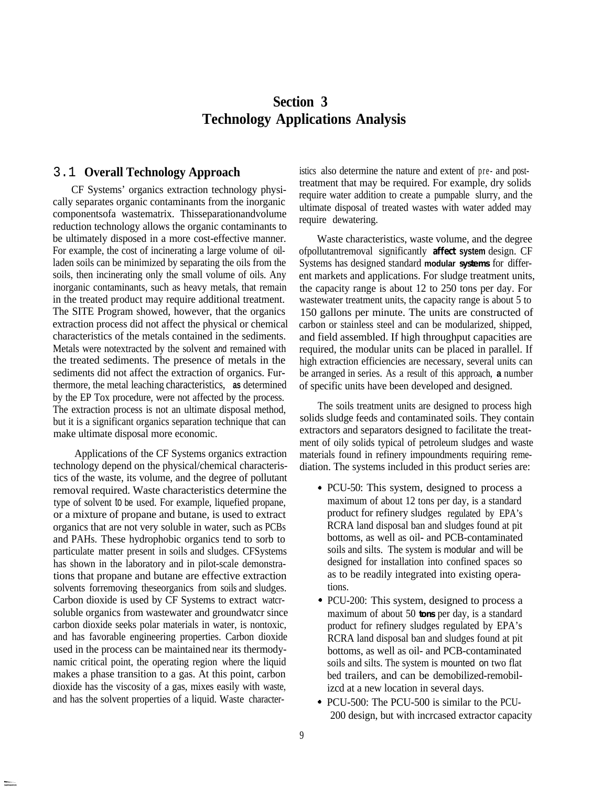# **Section 3 Technology Applications Analysis**

### 3.1 **Overall Technology Approach**

CF Systems' organics extraction technology physically separates organic contaminants from the inorganic componentsofa wastematrix. Thisseparationandvolume reduction technology allows the organic contaminants to be ultimately disposed in a more cost-effective manner. For example, the cost of incinerating a large volume of oilladen soils can be minimized by separating the oils from the soils, then incinerating only the small volume of oils. Any inorganic contaminants, such as heavy metals, that remain in the treated product may require additional treatment. The SITE Program showed, however, that the organics extraction process did not affect the physical or chemical characteristics of the metals contained in the sediments. Metals were notextracted by the solvent and remained with the treated sediments. The presence of metals in the sediments did not affect the extraction of organics. Furthermore, the metal leaching characteristics, **as** determined by the EP Tox procedure, were not affected by the process. The extraction process is not an ultimate disposal method, but it is a significant organics separation technique that can make ultimate disposal more economic.

Applications of the CF Systems organics extraction technology depend on the physical/chemical characteristics of the waste, its volume, and the degree of pollutant removal required. Waste characteristics determine the type of solvent to be used. For example, liquefied propane, or a mixture of propane and butane, is used to extract organics that are not very soluble in water, such as PCBs and PAHs. These hydrophobic organics tend to sorb to particulate matter present in soils and sludges. CFSystems has shown in the laboratory and in pilot-scale demonstrations that propane and butane are effective extraction solvents forremoving theseorganics from soils and sludges. Carbon dioxide is used by CF Systems to extract watcrsoluble organics from wastewater and groundwatcr since carbon dioxide seeks polar materials in water, is nontoxic, and has favorable engineering properties. Carbon dioxide used in the process can be maintained near its thermodynamic critical point, the operating region where the liquid makes a phase transition to a gas. At this point, carbon dioxide has the viscosity of a gas, mixes easily with waste, and has the solvent properties of a liquid. Waste characteristics also determine the nature and extent of pre- and posttreatment that may be required. For example, dry solids require water addition to create a pumpable slurry, and the ultimate disposal of treated wastes with water added may require dewatering.

Waste characteristics, waste volume, and the degree ofpollutantremoval significantly **affect system** design. CF Systems has designed standard **modular systems** for different markets and applications. For sludge treatment units, the capacity range is about 12 to 250 tons per day. For wastewater treatment units, the capacity range is about 5 to 150 gallons per minute. The units are constructed of carbon or stainless steel and can be modularized, shipped, and field assembled. If high throughput capacities are required, the modular units can be placed in parallel. If high extraction efficiencies are necessary, several units can be arranged in series. As a result of this approach, **a** number of specific units have been developed and designed.

The soils treatment units are designed to process high solids sludge feeds and contaminated soils. They contain extractors and separators designed to facilitate the treatment of oily solids typical of petroleum sludges and waste materials found in refinery impoundments requiring remediation. The systems included in this product series are:

- . PCU-50: This system, designed to process a maximum of about 12 tons per day, is a standard product for refinery sludges regulated by EPA's RCRA land disposal ban and sludges found at pit bottoms, as well as oil- and PCB-contaminated soils and silts. The system is modular and will be designed for installation into confined spaces so as to be readily integrated into existing operations.
- . PCU-200: This system, designed to process a maximum of about 50 **tons** per day, is a standard product for refinery sludges regulated by EPA's RCRA land disposal ban and sludges found at pit bottoms, as well as oil- and PCB-contaminated soils and silts. The system is mounted on two flat bed trailers, and can be demobilized-remobilizcd at a new location in several days.
- . PCU-500: The PCU-500 is similar to the PCU-200 design, but with incrcased extractor capacity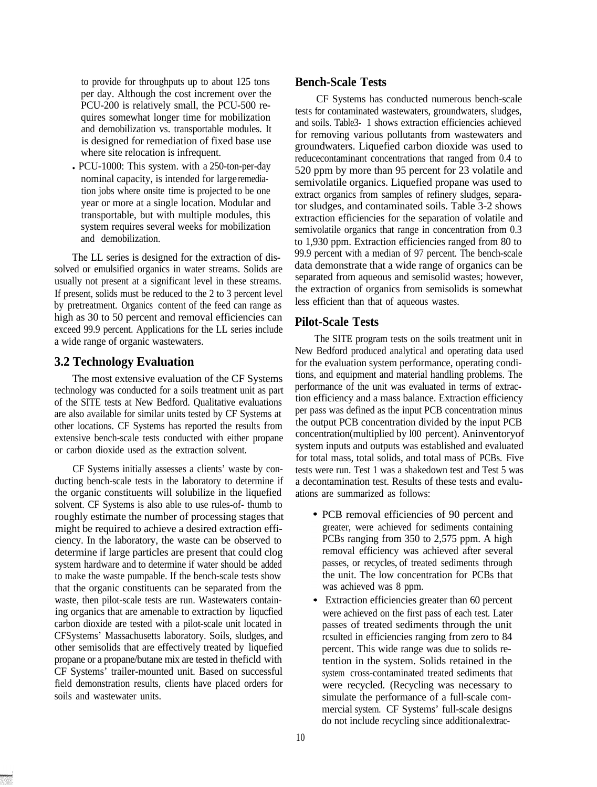to provide for throughputs up to about 125 tons per day. Although the cost increment over the PCU-200 is relatively small, the PCU-500 requires somewhat longer time for mobilization and demobilization vs. transportable modules. It is designed for remediation of fixed base use where site relocation is infrequent.

• PCU-1000: This system. with a 250-ton-per-day nominal capacity, is intended for large remediation jobs where onsite time is projected to be one year or more at a single location. Modular and transportable, but with multiple modules, this system requires several weeks for mobilization and demobilization.

The LL series is designed for the extraction of dissolved or emulsified organics in water streams. Solids are usually not present at a significant level in these streams. If present, solids must be reduced to the 2 to 3 percent level by pretreatment. Organics content of the feed can range as high as 30 to 50 percent and removal efficiencies can exceed 99.9 percent. Applications for the LL series include a wide range of organic wastewaters.

### **3.2 Technology Evaluation**

The most extensive evaluation of the CF Systems technology was conducted for a soils treatment unit as part of the SITE tests at New Bedford. Qualitative evaluations are also available for similar units tested by CF Systems at other locations. CF Systems has reported the results from extensive bench-scale tests conducted with either propane or carbon dioxide used as the extraction solvent.

CF Systems initially assesses a clients' waste by conducting bench-scale tests in the laboratory to determine if the organic constituents will solubilize in the liquefied solvent. CF Systems is also able to use rules-of- thumb to roughly estimate the number of processing stages that might be required to achieve a desired extraction efficiency. In the laboratory, the waste can be observed to determine if large particles are present that could clog system hardware and to determine if water should be added to make the waste pumpable. If the bench-scale tests show that the organic constituents can be separated from the waste, then pilot-scale tests are run. Wastewaters containing organics that are amenable to extraction by liqucfied carbon dioxide are tested with a pilot-scale unit located in CFSystems' Massachusetts laboratory. Soils, sludges, and other semisolids that are effectively treated by liquefied propane or a propane/butane mix are tested in theficld with CF Systems' trailer-mounted unit. Based on successful field demonstration results, clients have placed orders for soils and wastewater units.

### **Bench-Scale Tests**

CF Systems has conducted numerous bench-scale tests for contaminated wastewaters, groundwaters, sludges, and soils. Table3- 1 shows extraction efficiencies achieved for removing various pollutants from wastewaters and groundwaters. Liquefied carbon dioxide was used to reducecontaminant concentrations that ranged from 0.4 to 520 ppm by more than 95 percent for 23 volatile and semivolatile organics. Liquefied propane was used to extract organics from samples of refinery sludges, separator sludges, and contaminated soils. Table 3-2 shows extraction efficiencies for the separation of volatile and semivolatile organics that range in concentration from 0.3 to 1,930 ppm. Extraction efficiencies ranged from 80 to 99.9 percent with a median of 97 percent. The bench-scale data demonstrate that a wide range of organics can be separated from aqueous and semisolid wastes; however, the extraction of organics from semisolids is somewhat less efficient than that of aqueous wastes.

### **Pilot-Scale Tests**

The SITE program tests on the soils treatment unit in New Bedford produced analytical and operating data used for the evaluation system performance, operating conditions, and equipment and material handling problems. The performance of the unit was evaluated in terms of extraction efficiency and a mass balance. Extraction efficiency per pass was defined as the input PCB concentration minus the output PCB concentration divided by the input PCB concentration(multiplied by l00 percent). Aninventoryof system inputs and outputs was established and evaluated for total mass, total solids, and total mass of PCBs. Five tests were run. Test 1 was a shakedown test and Test 5 was a decontamination test. Results of these tests and evaluations are summarized as follows:

- PCB removal efficiencies of 90 percent and greater, were achieved for sediments containing PCBs ranging from 350 to 2,575 ppm. A high removal efficiency was achieved after several passes, or recycles, of treated sediments through the unit. The low concentration for PCBs that was achieved was 8 ppm.
- Extraction efficiencies greater than 60 percent were achieved on the first pass of each test. Later passes of treated sediments through the unit rcsulted in efficiencies ranging from zero to 84 percent. This wide range was due to solids retention in the system. Solids retained in the system cross-contaminated treated sediments that were recycled. (Recycling was necessary to simulate the performance of a full-scale commercial system. CF Systems' full-scale designs do not include recycling since additional extrac-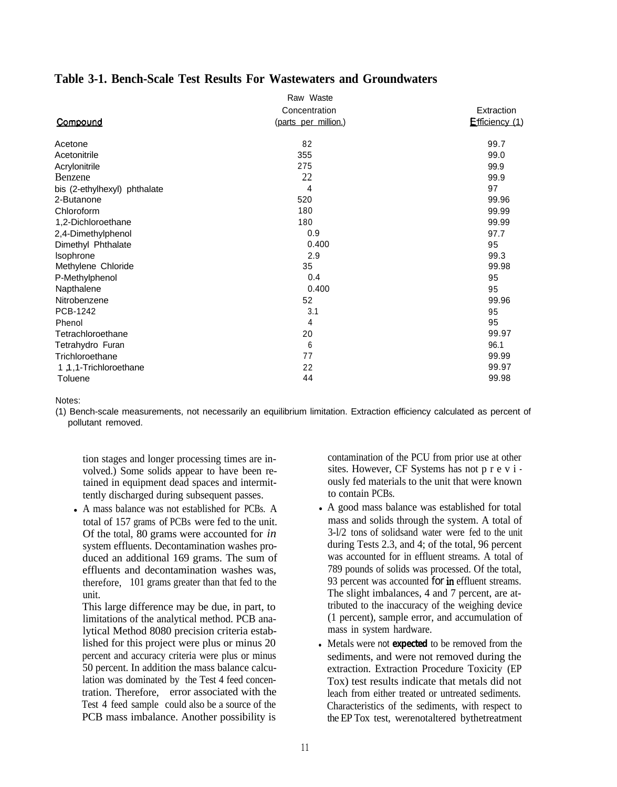### **Table 3-1. Bench-Scale Test Results For Wastewaters and Groundwaters**

|                              | Raw Waste            |                |
|------------------------------|----------------------|----------------|
|                              | Concentration        | Extraction     |
| Compound                     | (parts per million.) | Efficiency (1) |
| Acetone                      | 82                   | 99.7           |
| Acetonitrile                 | 355                  | 99.0           |
| Acrylonitrile                | 275                  | 99.9           |
| Benzene                      | 22                   | 99.9           |
| bis (2-ethylhexyl) phthalate | 4                    | 97             |
| 2-Butanone                   | 520                  | 99.96          |
| Chloroform                   | 180                  | 99.99          |
| 1,2-Dichloroethane           | 180                  | 99.99          |
| 2,4-Dimethylphenol           | 0.9                  | 97.7           |
| Dimethyl Phthalate           | 0.400                | 95             |
| Isophrone                    | 2.9                  | 99.3           |
| Methylene Chloride           | 35                   | 99.98          |
| P-Methylphenol               | 0.4                  | 95             |
| Napthalene                   | 0.400                | 95             |
| Nitrobenzene                 | 52                   | 99.96          |
| PCB-1242                     | 3.1                  | 95             |
| Phenol                       | 4                    | 95             |
| Tetrachloroethane            | 20                   | 99.97          |
| Tetrahydro Furan             | 6                    | 96.1           |
| Trichloroethane              | 77                   | 99.99          |
| 1, 1-Trichloroethane         | 22                   | 99.97          |
| Toluene                      | 44                   | 99.98          |

Notes:

(1) Bench-scale measurements, not necessarily an equilibrium limitation. Extraction efficiency calculated as percent of pollutant removed.

tion stages and longer processing times are involved.) Some solids appear to have been retained in equipment dead spaces and intermittently discharged during subsequent passes.

• A mass balance was not established for PCBs. A total of 157 grams of PCBs were fed to the unit. Of the total, 80 grams were accounted for *in* system effluents. Decontamination washes produced an additional 169 grams. The sum of effluents and decontamination washes was, therefore, 101 grams greater than that fed to the unit.

This large difference may be due, in part, to limitations of the analytical method. PCB analytical Method 8080 precision criteria established for this project were plus or minus 20 percent and accuracy criteria were plus or minus 50 percent. In addition the mass balance calculation was dominated by the Test 4 feed concentration. Therefore, error associated with the Test 4 feed sample could also be a source of the PCB mass imbalance. Another possibility is

contamination of the PCU from prior use at other sites. However, CF Systems has not p r e v i ously fed materials to the unit that were known to contain PCBs.

- A good mass balance was established for total mass and solids through the system. A total of 3-l/2 tons of solidsand water were fed to the unit during Tests 2.3, and 4; of the total, 96 percent was accounted for in effluent streams. A total of 789 pounds of solids was processed. Of the total, 93 percent was accounted for in effluent streams. The slight imbalances, 4 and 7 percent, are attributed to the inaccuracy of the weighing device (1 percent), sample error, and accumulation of mass in system hardware.
- <sup>l</sup> Metals were not **expected** to be removed from the sediments, and were not removed during the extraction. Extraction Procedure Toxicity (EP Tox) test results indicate that metals did not leach from either treated or untreated sediments. Characteristics of the sediments, with respect to the EP Tox test, werenotaltered bythetreatment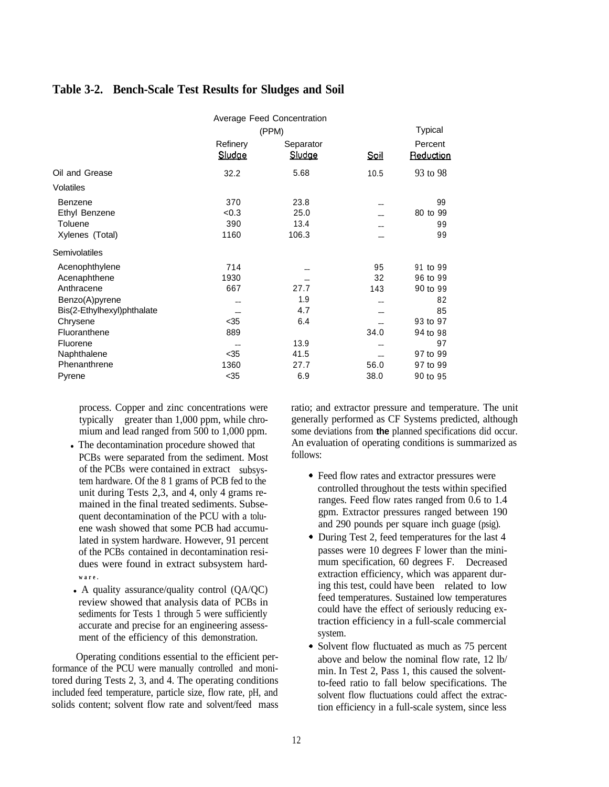|                            |                    | <b>Average Feed Concentration</b> |             |                      |
|----------------------------|--------------------|-----------------------------------|-------------|----------------------|
|                            |                    | (PPM)                             |             | <b>Typical</b>       |
|                            | Refinery<br>Sludge | Separator<br>Sludge               | <u>Soil</u> | Percent<br>Reduction |
| Oil and Grease             | 32.2               | 5.68                              | 10.5        | 93 to 98             |
| <b>Volatiles</b>           |                    |                                   |             |                      |
| Benzene                    | 370                | 23.8                              |             | 99                   |
| Ethyl Benzene              | < 0.3              | 25.0                              |             | 80 to 99             |
| Toluene                    | 390                | 13.4                              |             | 99                   |
| Xylenes (Total)            | 1160               | 106.3                             |             | 99                   |
| Semivolatiles              |                    |                                   |             |                      |
| Acenophthylene             | 714                |                                   | 95          | 91 to 99             |
| Acenaphthene               | 1930               |                                   | 32          | 96 to 99             |
| Anthracene                 | 667                | 27.7                              | 143         | 90 to 99             |
| Benzo(A)pyrene             |                    | 1.9                               |             | 82                   |
| Bis(2-Ethylhexyl)phthalate |                    | 4.7                               |             | 85                   |
| Chrysene                   | $35$               | 6.4                               |             | 93 to 97             |
| Fluoranthene               | 889                |                                   | 34.0        | 94 to 98             |
| Fluorene                   | $-$                | 13.9                              |             | 97                   |
| Naphthalene                | $35$               | 41.5                              |             | 97 to 99             |
| Phenanthrene               | 1360               | 27.7                              | 56.0        | 97 to 99             |
| Pyrene                     | $35$               | 6.9                               | 38.0        | 90 to 95             |

### **Table 3-2. Bench-Scale Test Results for Sludges and Soil**

process. Copper and zinc concentrations were typically greater than 1,000 ppm, while chromium and lead ranged from 500 to 1,000 ppm.

- The decontamination procedure showed that PCBs were separated from the sediment. Most of the PCBs were contained in extract subsystem hardware. Of the 8 1 grams of PCB fed to the unit during Tests 2,3, and 4, only 4 grams remained in the final treated sediments. Subsequent decontamination of the PCU with a toluene wash showed that some PCB had accumulated in system hardware. However, 91 percent of the PCBs contained in decontamination residues were found in extract subsystem hard**ware.**
- A quality assurance/quality control  $(QA/QC)$ review showed that analysis data of PCBs in sediments for Tests 1 through 5 were sufficiently accurate and precise for an engineering assessment of the efficiency of this demonstration.

Operating conditions essential to the efficient performance of the PCU were manually controlled and monitored during Tests 2, 3, and 4. The operating conditions included feed temperature, particle size, flow rate, pH, and solids content; solvent flow rate and solvent/feed mass ratio; and extractor pressure and temperature. The unit generally performed as CF Systems predicted, although some deviations from **the** planned specifications did occur. An evaluation of operating conditions is summarized as follows:

- . Feed flow rates and extractor pressures were controlled throughout the tests within specified ranges. Feed flow rates ranged from 0.6 to 1.4 gpm. Extractor pressures ranged between 190 and 290 pounds per square inch guage (psig).
- . During Test 2, feed temperatures for the last 4 passes were 10 degrees F lower than the minimum specification, 60 degrees F. Decreased extraction efficiency, which was apparent during this test, could have been related to low feed temperatures. Sustained low temperatures could have the effect of seriously reducing extraction efficiency in a full-scale commercial system.
- . Solvent flow fluctuated as much as 75 percent above and below the nominal flow rate, 12 lb/ min. In Test 2, Pass 1, this caused the solventto-feed ratio to fall below specifications. The solvent flow fluctuations could affect the extraction efficiency in a full-scale system, since less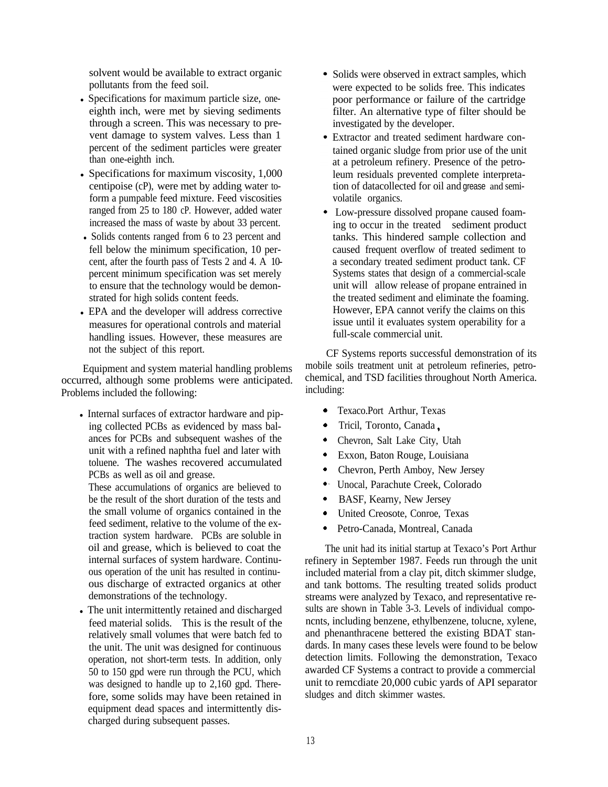solvent would be available to extract organic pollutants from the feed soil.

- Specifications for maximum particle size, oneeighth inch, were met by sieving sediments through a screen. This was necessary to prevent damage to system valves. Less than 1 percent of the sediment particles were greater than one-eighth inch.
- Specifications for maximum viscosity,  $1,000$ centipoise (cP), were met by adding water toform a pumpable feed mixture. Feed viscosities ranged from 25 to 180 cP. However, added water increased the mass of waste by about 33 percent.
- Solids contents ranged from 6 to 23 percent and fell below the minimum specification, 10 percent, after the fourth pass of Tests 2 and 4. A 10 percent minimum specification was set merely to ensure that the technology would be demonstrated for high solids content feeds.
- EPA and the developer will address corrective measures for operational controls and material handling issues. However, these measures are not the subject of this report.

Equipment and system material handling problems occurred, although some problems were anticipated. Problems included the following:

• Internal surfaces of extractor hardware and piping collected PCBs as evidenced by mass balances for PCBs and subsequent washes of the unit with a refined naphtha fuel and later with toluene. The washes recovered accumulated PCBs as well as oil and grease.

These accumulations of organics are believed to be the result of the short duration of the tests and the small volume of organics contained in the feed sediment, relative to the volume of the extraction system hardware. PCBs are soluble in oil and grease, which is believed to coat the internal surfaces of system hardware. Continuous operation of the unit has resulted in continuous discharge of extracted organics at other demonstrations of the technology.

• The unit intermittently retained and discharged feed material solids. This is the result of the relatively small volumes that were batch fed to the unit. The unit was designed for continuous operation, not short-term tests. In addition, only 50 to 150 gpd were run through the PCU, which was designed to handle up to 2,160 gpd. Therefore, some solids may have been retained in equipment dead spaces and intermittently discharged during subsequent passes.

- Solids were observed in extract samples, which were expected to be solids free. This indicates poor performance or failure of the cartridge filter. An alternative type of filter should be investigated by the developer.
- Extractor and treated sediment hardware contained organic sludge from prior use of the unit at a petroleum refinery. Presence of the petroleum residuals prevented complete interpretation of datacollected for oil and grease and semivolatile organics.
- Low-pressure dissolved propane caused foaming to occur in the treated sediment product tanks. This hindered sample collection and caused frequent overflow of treated sediment to a secondary treated sediment product tank. CF Systems states that design of a commercial-scale unit will allow release of propane entrained in the treated sediment and eliminate the foaming. However, EPA cannot verify the claims on this issue until it evaluates system operability for a full-scale commercial unit.

CF Systems reports successful demonstration of its mobile soils treatment unit at petroleum refineries, petrochemical, and TSD facilities throughout North America. including:

- . Texaco.Port Arthur, Texas
- . Tricil, Toronto, Canada ,
- . Chevron, Salt Lake City, Utah
- . Exxon, Baton Rouge, Louisiana
- . Chevron, Perth Amboy, New Jersey
- .- Unocal, Parachute Creek, Colorado
- . BASF, Kearny, New Jersey
- . United Creosote, Conroe, Texas
- . Petro-Canada, Montreal, Canada

The unit had its initial startup at Texaco's Port Arthur refinery in September 1987. Feeds run through the unit included material from a clay pit, ditch skimmer sludge, and tank bottoms. The resulting treated solids product streams were analyzed by Texaco, and representative results are shown in Table 3-3. Levels of individual componcnts, including benzene, ethylbenzene, tolucne, xylene, and phenanthracene bettered the existing BDAT standards. In many cases these levels were found to be below detection limits. Following the demonstration, Texaco awarded CF Systems a contract to provide a commercial unit to remcdiate 20,000 cubic yards of API separator sludges and ditch skimmer wastes.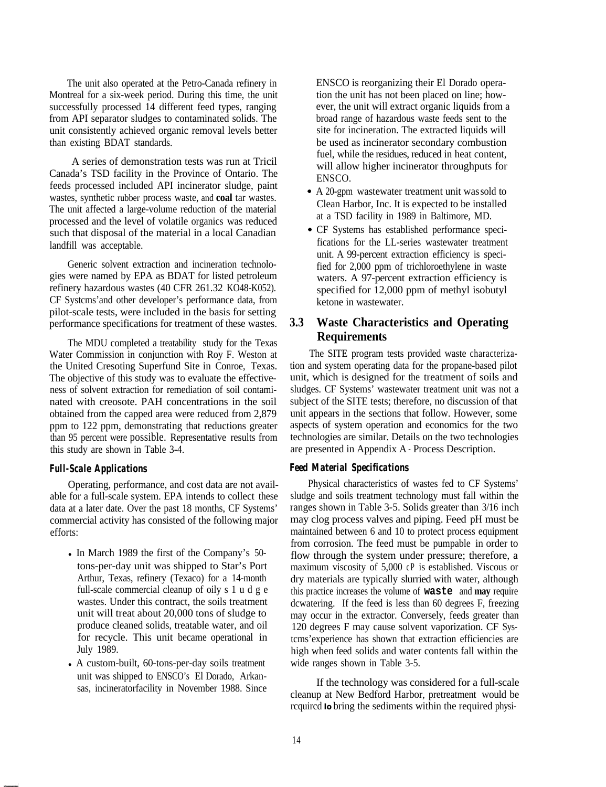The unit also operated at the Petro-Canada refinery in Montreal for a six-week period. During this time, the unit successfully processed 14 different feed types, ranging from API separator sludges to contaminated solids. The unit consistently achieved organic removal levels better than existing BDAT standards.

A series of demonstration tests was run at Tricil Canada's TSD facility in the Province of Ontario. The feeds processed included API incinerator sludge, paint wastes, synthetic rubber process waste, and **coal** tar wastes. The unit affected a large-volume reduction of the material processed and the level of volatile organics was reduced such that disposal of the material in a local Canadian landfill was acceptable.

Generic solvent extraction and incineration technologies were named by EPA as BDAT for listed petroleum refinery hazardous wastes (40 CFR 261.32 KO48-K052). CF Systcms'and other developer's performance data, from pilot-scale tests, were included in the basis for setting performance specifications for treatment of these wastes.

The MDU completed a treatability study for the Texas Water Commission in conjunction with Roy F. Weston at the United Cresoting Superfund Site in Conroe, Texas. The objective of this study was to evaluate the effectiveness of solvent extraction for remediation of soil contaminated with creosote. PAH concentrations in the soil obtained from the capped area were reduced from 2,879 ppm to 122 ppm, demonstrating that reductions greater than 95 percent were possible. Representative results from this study are shown in Table 3-4.

### *Full-Scale Applications*

Operating, performance, and cost data are not available for a full-scale system. EPA intends to collect these data at a later date. Over the past 18 months, CF Systems' commercial activity has consisted of the following major efforts:

- In March 1989 the first of the Company's 50tons-per-day unit was shipped to Star's Port Arthur, Texas, refinery (Texaco) for a 14-month full-scale commercial cleanup of oily s 1 u d g e wastes. Under this contract, the soils treatment unit will treat about 20,000 tons of sludge to produce cleaned solids, treatable water, and oil for recycle. This unit became operational in July 1989.
- A custom-built, 60-tons-per-day soils treatment unit was shipped to ENSCO's El Dorado, Arkansas, incineratorfacility in November 1988. Since

ENSCO is reorganizing their El Dorado operation the unit has not been placed on line; however, the unit will extract organic liquids from a broad range of hazardous waste feeds sent to the site for incineration. The extracted liquids will be used as incinerator secondary combustion fuel, while the residues, reduced in heat content, will allow higher incinerator throughputs for ENSCO.

- . A 20-gpm wastewater treatment unit was sold to Clean Harbor, Inc. It is expected to be installed at a TSD facility in 1989 in Baltimore, MD.
- . CF Systems has established performance specifications for the LL-series wastewater treatment unit. A 99-percent extraction efficiency is specified for 2,000 ppm of trichloroethylene in waste waters. A 97-percent extraction efficiency is specified for 12,000 ppm of methyl isobutyl ketone in wastewater.

#### **3.3 Waste Characteristics and Operating Requirements**

The SITE program tests provided waste characterization and system operating data for the propane-based pilot unit, which is designed for the treatment of soils and sludges. CF Systems' wastewater treatment unit was not a subject of the SITE tests; therefore, no discussion of that unit appears in the sections that follow. However, some aspects of system operation and economics for the two technologies are similar. Details on the two technologies are presented in Appendix A - Process Description.

### *Feed Material Specifications*

Physical characteristics of wastes fed to CF Systems' sludge and soils treatment technology must fall within the ranges shown in Table 3-5. Solids greater than 3/16 inch may clog process valves and piping. Feed pH must be maintained between 6 and 10 to protect process equipment from corrosion. The feed must be pumpable in order to flow through the system under pressure; therefore, a maximum viscosity of 5,000 cP is established. Viscous or dry materials are typically slurried with water, although this practice increases the volume of **waste** and **may** require dcwatering. If the feed is less than 60 degrees F, freezing may occur in the extractor. Conversely, feeds greater than 120 degrees F may cause solvent vaporization. CF Systcms'experience has shown that extraction efficiencies are high when feed solids and water contents fall within the wide ranges shown in Table 3-5.

If the technology was considered for a full-scale cleanup at New Bedford Harbor, pretreatment would be rcquircd **lo** bring the sediments within the required physi-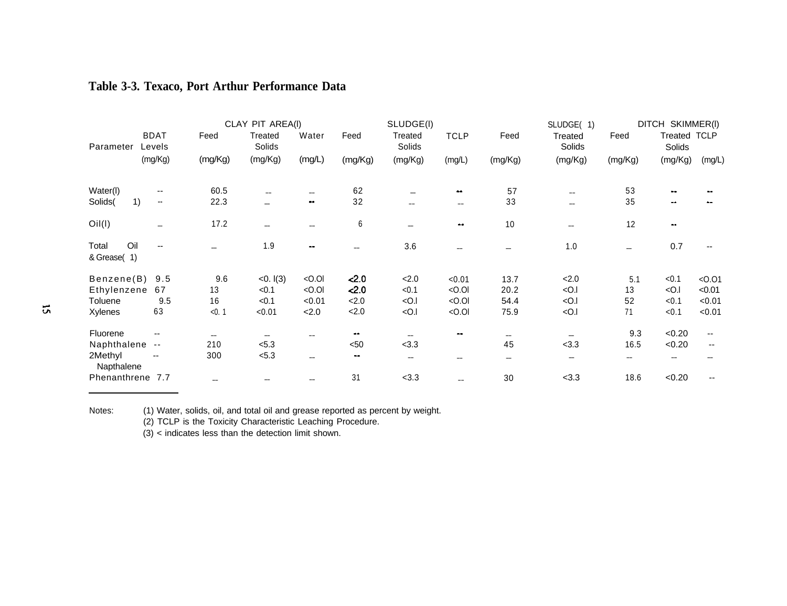|                             |                          |         | CLAY PIT AREA(I)  |                     |         | SLUDGE(I)         |                |         | SLUDGE(1)         |         | DITCH SKIMMER(I)  |             |
|-----------------------------|--------------------------|---------|-------------------|---------------------|---------|-------------------|----------------|---------|-------------------|---------|-------------------|-------------|
| Parameter                   | <b>BDAT</b><br>Levels    | Feed    | Treated<br>Solids | Water               | Feed    | Treated<br>Solids | <b>TCLP</b>    | Feed    | Treated<br>Solids | Feed    | Treated<br>Solids | <b>TCLP</b> |
|                             | (mg/Kg)                  | (mg/Kg) | (mg/Kg)           | (mg/L)              | (mg/Kg) | (mg/Kg)           | (mg/L)         | (mg/Kg) | (mg/Kg)           | (mg/Kg) | (mg/Kg)           | (mg/L)      |
| Water(I)                    |                          | 60.5    |                   | --                  | 62      |                   |                | 57      | $-$               | 53      |                   |             |
| 1)<br>Solids(               | $\overline{\phantom{a}}$ | 22.3    |                   | $\bullet$ $\bullet$ | 32      | $-$               | $-$            | 33      |                   | 35      | $-1$              |             |
| O <sub>II</sub> (I)         |                          | 17.2    | $-$               |                     | 6       |                   | $\blacksquare$ | 10      | $- -$             | 12      | $\bullet$         |             |
| Oil<br>Total<br>& Grease(1) |                          | --      | 1.9               | $\blacksquare$      |         | 3.6               |                |         | 1.0               |         | 0.7               |             |
| Benzene(B)                  | 9.5                      | 9.6     | <0.1(3)           | $<$ 0.0             | 2.0     | 2.0               | < 0.01         | 13.7    | 2.0               | 5.1     | < 0.1             | < 0.01      |
| Ethylenzene                 | 67                       | 13      | < 0.1             | $<$ 0.0             | 2.0     | < 0.1             | $<$ 0.0        | 20.2    | $<$ 0.1           | 13      | $<$ O.I           | < 0.01      |
| <b>Toluene</b>              | 9.5                      | 16      | < 0.1             | < 0.01              | 2.0     | $<$ O.I           | $<$ 0.0        | 54.4    | <0.1              | 52      | < 0.1             | < 0.01      |
| <b>Xylenes</b>              | 63                       | < 0.1   | < 0.01            | 2.0                 | 2.0     | $<$ O.I           | $<$ 0.0        | 75.9    | $<$ O.I           | 71      | < 0.1             | < 0.01      |
| Fluorene                    | --                       | $-$     | $-$               | --                  | $\sim$  |                   |                |         |                   | 9.3     | <0.20             |             |
| Naphthalene                 | $- -$                    | 210     | < 5.3             |                     | $50$    | < 3.3             |                | 45      | < 3.3             | 16.5    | <0.20             | --          |
| 2Methyl<br>Napthalene       | --                       | 300     | < 5.3             |                     | $-1$    |                   |                |         |                   |         |                   |             |
| Phenanthrene 7.7            |                          |         |                   |                     | 31      | < 3.3             |                | 30      | < 3.3             | 18.6    | <0.20             |             |

## **Table 3-3. Texaco, Port Arthur Performance Data**

Notes: (1) Water, solids, oil, and total oil and grease reported as percent by weight.

(2) TCLP is the Toxicity Characteristic Leaching Procedure.

 $(3)$  < indicates less than the detection limit shown.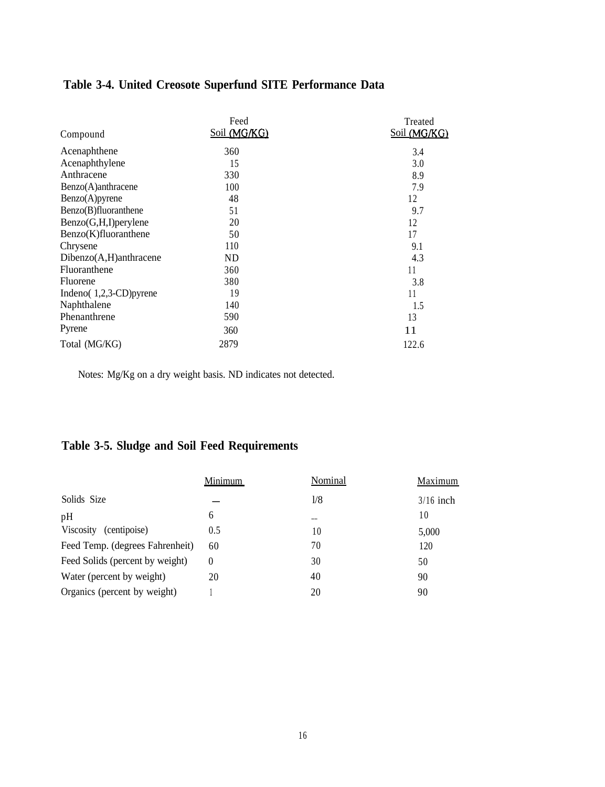|                        | Feed         | Treated      |
|------------------------|--------------|--------------|
| Compound               | Soil (MG/KG) | Soil (MG/KG) |
| Acenaphthene           | 360          | 3.4          |
| Acenaphthylene         | 15           | 3.0          |
| Anthracene             | 330          | 8.9          |
| Benzo(A)anthracene     | 100          | 7.9          |
| Benzo(A)pyrene         | 48           | 12           |
| Benzo(B)fluoranthene   | 51           | 9.7          |
| Benzo(G,H,I)perylene   | 20           | 12           |
| Benzo(K)fluoranthene   | 50           | 17           |
| Chrysene               | 110          | 9.1          |
| Dibenzo(A,H)anthracene | ND           | 4.3          |
| Fluoranthene           | 360          | 11           |
| Fluorene               | 380          | 3.8          |
| Indeno(1,2,3-CD)pyrene | 19           | 11           |
| Naphthalene            | 140          | 1.5          |
| Phenanthrene           | 590          | 13           |
| Pyrene                 | 360          | 11           |
| Total (MG/KG)          | 2879         | 122.6        |

# **Table 3-4. United Creosote Superfund SITE Performance Data**

Notes: Mg/Kg on a dry weight basis. ND indicates not detected.

# **Table 3-5. Sludge and Soil Feed Requirements**

|                                 | Minimum | Nominal | <b>Maximum</b> |
|---------------------------------|---------|---------|----------------|
| Solids Size                     |         | 1/8     | $3/16$ inch    |
| pH                              | 6       | --      | 10             |
| Viscosity<br>(centipoise)       | 0.5     | 10      | 5,000          |
| Feed Temp. (degrees Fahrenheit) | 60      | 70      | 120            |
| Feed Solids (percent by weight) | 0       | 30      | 50             |
| Water (percent by weight)       | 20      | 40      | 90             |
| Organics (percent by weight)    |         | 20      | 90             |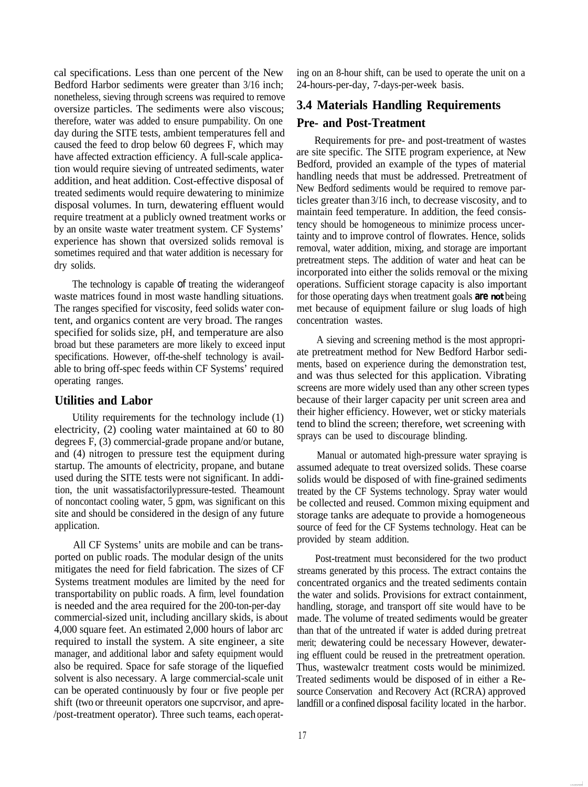cal specifications. Less than one percent of the New Bedford Harbor sediments were greater than 3/16 inch; nonetheless, sieving through screens was required to remove oversize particles. The sediments were also viscous; therefore, water was added to ensure pumpability. On one day during the SITE tests, ambient temperatures fell and caused the feed to drop below 60 degrees F, which may have affected extraction efficiency. A full-scale application would require sieving of untreated sediments, water addition, and heat addition. Cost-effective disposal of treated sediments would require dewatering to minimize disposal volumes. In turn, dewatering effluent would require treatment at a publicly owned treatment works or by an onsite waste water treatment system. CF Systems' experience has shown that oversized solids removal is sometimes required and that water addition is necessary for dry solids.

The technology is capable of treating the widerangeof waste matrices found in most waste handling situations. The ranges specified for viscosity, feed solids water content, and organics content are very broad. The ranges specified for solids size, pH, and temperature are also broad but these parameters are more likely to exceed input specifications. However, off-the-shelf technology is available to bring off-spec feeds within CF Systems' required operating ranges.

### **Utilities and Labor**

Utility requirements for the technology include (1) electricity, (2) cooling water maintained at 60 to 80 degrees F, (3) commercial-grade propane and/or butane, and (4) nitrogen to pressure test the equipment during startup. The amounts of electricity, propane, and butane used during the SITE tests were not significant. In addition, the unit wassatisfactorilypressure-tested. Theamount of noncontact cooling water, 5 gpm, was significant on this site and should be considered in the design of any future application.

All CF Systems' units are mobile and can be transported on public roads. The modular design of the units mitigates the need for field fabrication. The sizes of CF Systems treatment modules are limited by the need for transportability on public roads. A firm, level foundation is needed and the area required for the 200-ton-per-day commercial-sized unit, including ancillary skids, is about 4,000 square feet. An estimated 2,000 hours of labor arc required to install the system. A site engineer, a site manager, and additional labor and safety equipment would also be required. Space for safe storage of the liquefied solvent is also necessary. A large commercial-scale unit can be operated continuously by four or five people per shift (two or threeunit operators one supcrvisor, and apre- /post-treatment operator). Three such teams, each operating on an 8-hour shift, can be used to operate the unit on a 24-hours-per-day, 7-days-per-week basis.

# **3.4 Materials Handling Requirements Pre- and Post-Treatment**

Requirements for pre- and post-treatment of wastes are site specific. The SITE program experience, at New Bedford, provided an example of the types of material handling needs that must be addressed. Pretreatment of New Bedford sediments would be required to remove particles greater than 3/16 inch, to decrease viscosity, and to maintain feed temperature. In addition, the feed consistency should be homogeneous to minimize process uncertainty and to improve control of flowrates. Hence, solids removal, water addition, mixing, and storage are important pretreatment steps. The addition of water and heat can be incorporated into either the solids removal or the mixing operations. Sufficient storage capacity is also important for those operating days when treatment goals **are not** being met because of equipment failure or slug loads of high concentration wastes.

A sieving and screening method is the most appropriate pretreatment method for New Bedford Harbor sediments, based on experience during the demonstration test, and was thus selected for this application. Vibrating screens are more widely used than any other screen types because of their larger capacity per unit screen area and their higher efficiency. However, wet or sticky materials tend to blind the screen; therefore, wet screening with sprays can be used to discourage blinding.

Manual or automated high-pressure water spraying is assumed adequate to treat oversized solids. These coarse solids would be disposed of with fine-grained sediments treated by the CF Systems technology. Spray water would be collected and reused. Common mixing equipment and storage tanks are adequate to provide a homogeneous source of feed for the CF Systems technology. Heat can be provided by steam addition.

Post-treatment must beconsidered for the two product streams generated by this process. The extract contains the concentrated organics and the treated sediments contain the water and solids. Provisions for extract containment, handling, storage, and transport off site would have to be made. The volume of treated sediments would be greater than that of the untreated if water is added during pretreat merit; dewatering could be necessary However, dewatering effluent could be reused in the pretreatment operation. Thus, wastewalcr treatment costs would be minimized. Treated sediments would be disposed of in either a Resource Conservation and Recovery Act (RCRA) approved landfill or a confined disposal facility located in the harbor.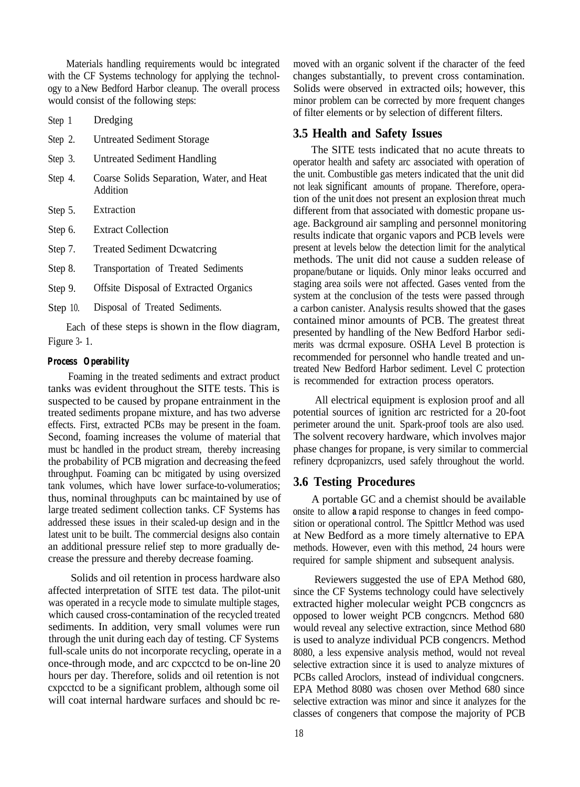Materials handling requirements would bc integrated with the CF Systems technology for applying the technology to a New Bedford Harbor cleanup. The overall process would consist of the following steps:

Step 1 Dredging

Step 2. Untreated Sediment Storage

Step 3. Untreated Sediment Handling

- Step 4. Coarse Solids Separation, Water, and Heat Addition
- Step 5. Extraction
- Step 6. Extract Collection
- Step 7. Treated Sediment Dcwatcring

Step 8. Transportation of Treated Sediments

Step 9. Offsite Disposal of Extracted Organics

Step 10. Disposal of Treated Sediments.

Each of these steps is shown in the flow diagram, Figure 3- 1.

#### *Process Operability*

Foaming in the treated sediments and extract product tanks was evident throughout the SITE tests. This is suspected to be caused by propane entrainment in the treated sediments propane mixture, and has two adverse effects. First, extracted PCBs may be present in the foam. Second, foaming increases the volume of material that must bc handled in the product stream, thereby increasing the probability of PCB migration and decreasing the feed throughput. Foaming can bc mitigated by using oversized tank volumes, which have lower surface-to-volumeratios; thus, nominal throughputs can bc maintained by use of large treated sediment collection tanks. CF Systems has addressed these issues in their scaled-up design and in the latest unit to be built. The commercial designs also contain an additional pressure relief step to more gradually decrease the pressure and thereby decrease foaming.

Solids and oil retention in process hardware also affected interpretation of SITE test data. The pilot-unit was operated in a recycle mode to simulate multiple stages, which caused cross-contamination of the recycled treated sediments. In addition, very small volumes were run through the unit during each day of testing. CF Systems full-scale units do not incorporate recycling, operate in a once-through mode, and arc cxpcctcd to be on-line 20 hours per day. Therefore, solids and oil retention is not cxpcctcd to be a significant problem, although some oil will coat internal hardware surfaces and should bc removed with an organic solvent if the character of the feed changes substantially, to prevent cross contamination. Solids were observed in extracted oils; however, this minor problem can be corrected by more frequent changes of filter elements or by selection of different filters.

### **3.5 Health and Safety Issues**

The SITE tests indicated that no acute threats to operator health and safety arc associated with operation of the unit. Combustible gas meters indicated that the unit did not leak significant amounts of propane. Therefore, operation of the unit does not present an explosion threat much different from that associated with domestic propane usage. Background air sampling and personnel monitoring results indicate that organic vapors and PCB levels were present at levels below the detection limit for the analytical methods. The unit did not cause a sudden release of propane/butane or liquids. Only minor leaks occurred and staging area soils were not affected. Gases vented from the system at the conclusion of the tests were passed through a carbon canister. Analysis results showed that the gases contained minor amounts of PCB. The greatest threat presented by handling of the New Bedford Harbor sedimerits was dcrmal exposure. OSHA Level B protection is recommended for personnel who handle treated and untreated New Bedford Harbor sediment. Level C protection is recommended for extraction process operators.

All electrical equipment is explosion proof and all potential sources of ignition arc restricted for a 20-foot perimeter around the unit. Spark-proof tools are also used. The solvent recovery hardware, which involves major phase changes for propane, is very similar to commercial refinery dcpropanizcrs, used safely throughout the world.

### **3.6 Testing Procedures**

A portable GC and a chemist should be available onsite to allow **a** rapid response to changes in feed composition or operational control. The Spittlcr Method was used at New Bedford as a more timely alternative to EPA methods. However, even with this method, 24 hours were required for sample shipment and subsequent analysis.

Reviewers suggested the use of EPA Method 680, since the CF Systems technology could have selectively extracted higher molecular weight PCB congcncrs as opposed to lower weight PCB congcncrs. Method 680 would reveal any selective extraction, since Method 680 is used to analyze individual PCB congencrs. Method 8080, a less expensive analysis method, would not reveal selective extraction since it is used to analyze mixtures of PCBs called Aroclors, instead of individual congcners. EPA Method 8080 was chosen over Method 680 since selective extraction was minor and since it analyzes for the classes of congeners that compose the majority of PCB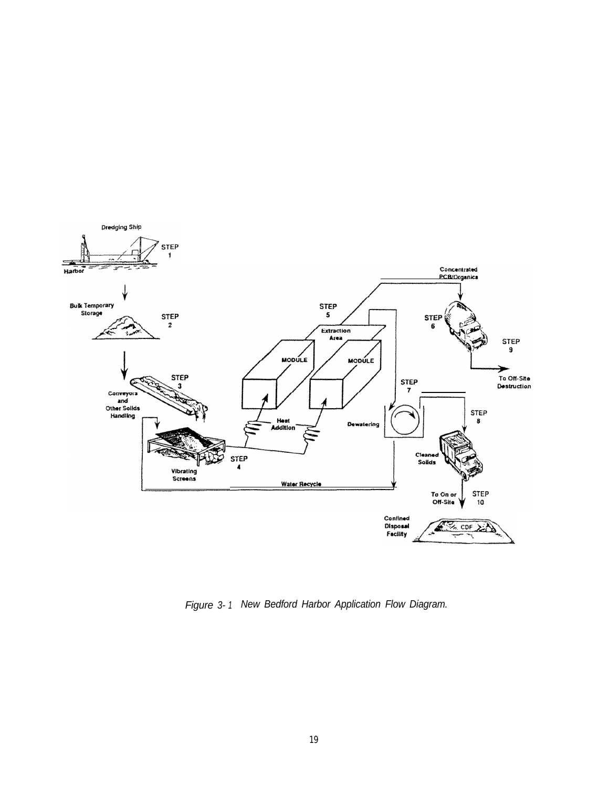

*Figure 3- 1. New Bedford Harbor Application Flow Diagram.*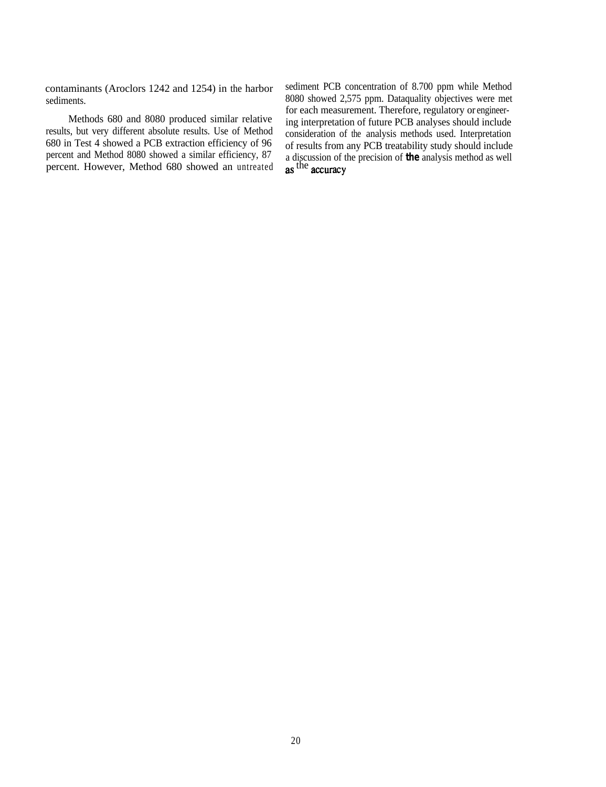results, but very different absolute results. Use of Method 680 in Test 4 showed a PCB extraction efficiency of 96 680 in Test 4 showed a PCB extraction efficiency of 96 of results from any PCB treatability study should include percent and Method 8080 showed a similar efficiency, 87 a discussion of the precision of the analysis method

contaminants (Aroclors 1242 and 1254) in the harbor sediment PCB concentration of 8.700 ppm while Method sediments. 8080 showed 2,575 ppm. Dataquality objectives were met<br>for each measurement. Therefore, regulatory or engineer-Methods 680 and 8080 produced similar relative ing interpretation of future PCB analyses should include consideration of the analysis methods used. Interpretation percent and Method 8080 showed a similar efficiency, 8/ a discussion of the precision of the analysis method as well<br>percent. However, Method 680 showed an untreated as the accuracy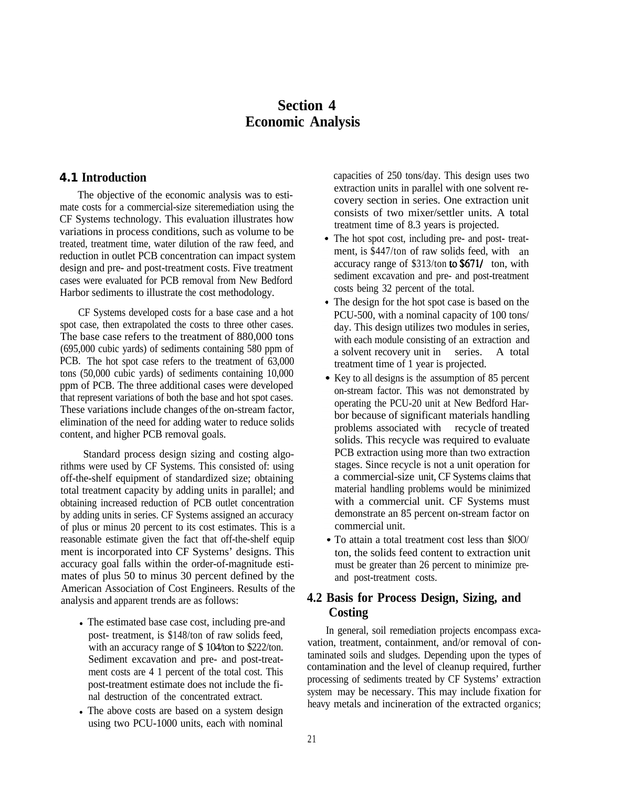# **Section 4 Economic Analysis**

### **4.1 Introduction**

The objective of the economic analysis was to estimate costs for a commercial-size siteremediation using the CF Systems technology. This evaluation illustrates how variations in process conditions, such as volume to be treated, treatment time, water dilution of the raw feed, and reduction in outlet PCB concentration can impact system design and pre- and post-treatment costs. Five treatment cases were evaluated for PCB removal from New Bedford Harbor sediments to illustrate the cost methodology.

CF Systems developed costs for a base case and a hot spot case, then extrapolated the costs to three other cases. The base case refers to the treatment of 880,000 tons (695,000 cubic yards) of sediments containing 580 ppm of PCB. The hot spot case refers to the treatment of 63,000 tons (50,000 cubic yards) of sediments containing 10,000 ppm of PCB. The three additional cases were developed that represent variations of both the base and hot spot cases. These variations include changes of the on-stream factor, elimination of the need for adding water to reduce solids content, and higher PCB removal goals.

Standard process design sizing and costing algorithms were used by CF Systems. This consisted of: using off-the-shelf equipment of standardized size; obtaining total treatment capacity by adding units in parallel; and obtaining increased reduction of PCB outlet concentration by adding units in series. CF Systems assigned an accuracy of plus or minus 20 percent to its cost estimates. This is a reasonable estimate given the fact that off-the-shelf equip ment is incorporated into CF Systems' designs. This accuracy goal falls within the order-of-magnitude estimates of plus 50 to minus 30 percent defined by the American Association of Cost Engineers. Results of the analysis and apparent trends are as follows:

- The estimated base case cost, including pre-and post- treatment, is \$148/ton of raw solids feed, with an accuracy range of \$104/ton to \$222/ton. Sediment excavation and pre- and post-treatment costs are 4 1 percent of the total cost. This post-treatment estimate does not include the final destruction of the concentrated extract.
- The above costs are based on a system design using two PCU-1000 units, each with nominal

capacities of 250 tons/day. This design uses two extraction units in parallel with one solvent recovery section in series. One extraction unit consists of two mixer/settler units. A total treatment time of 8.3 years is projected.

- The hot spot cost, including pre- and post- treatment, is \$447/ton of raw solids feed, with an accuracy range of \$313/ton to \$671/ ton, with sediment excavation and pre- and post-treatment costs being 32 percent of the total.
- The design for the hot spot case is based on the PCU-500, with a nominal capacity of 100 tons/ day. This design utilizes two modules in series, with each module consisting of an extraction and a solvent recovery unit in series. A total treatment time of 1 year is projected.
- Key to all designs is the assumption of 85 percent on-stream factor. This was not demonstrated by operating the PCU-20 unit at New Bedford Harbor because of significant materials handling problems associated with recycle of treated solids. This recycle was required to evaluate PCB extraction using more than two extraction stages. Since recycle is not a unit operation for a commercial-size unit, CF Systems claims that material handling problems would be minimized with a commercial unit. CF Systems must demonstrate an 85 percent on-stream factor on commercial unit.
- To attain a total treatment cost less than \$lOO/ ton, the solids feed content to extraction unit must be greater than 26 percent to minimize preand post-treatment costs.

### **4.2 Basis for Process Design, Sizing, and Costing**

In general, soil remediation projects encompass excavation, treatment, containment, and/or removal of contaminated soils and sludges. Depending upon the types of contamination and the level of cleanup required, further processing of sediments treated by CF Systems' extraction system may be necessary. This may include fixation for heavy metals and incineration of the extracted organics;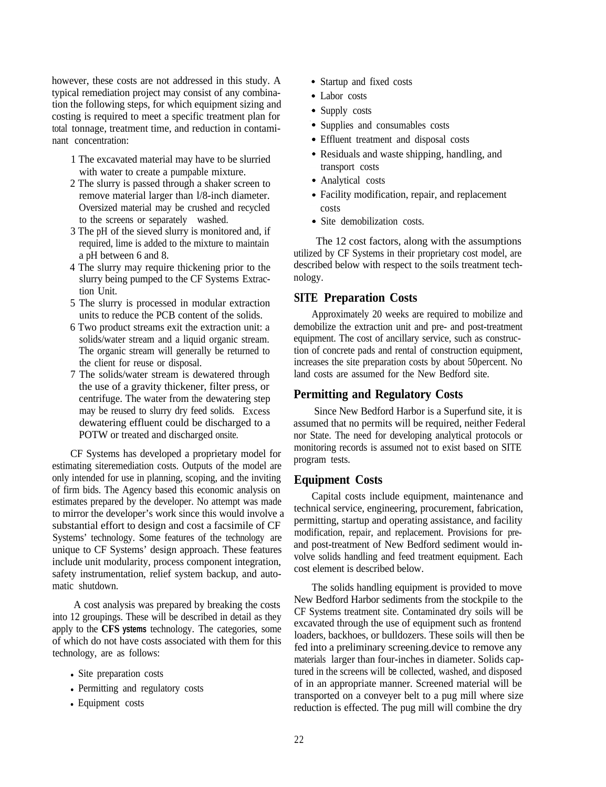however, these costs are not addressed in this study. A typical remediation project may consist of any combination the following steps, for which equipment sizing and costing is required to meet a specific treatment plan for total tonnage, treatment time, and reduction in contaminant concentration:

- 1 The excavated material may have to be slurried with water to create a pumpable mixture.
- 2 The slurry is passed through a shaker screen to remove material larger than l/8-inch diameter. Oversized material may be crushed and recycled to the screens or separately washed.
- 3 The pH of the sieved slurry is monitored and, if required, lime is added to the mixture to maintain a pH between 6 and 8.
- 4 The slurry may require thickening prior to the slurry being pumped to the CF Systems Extraction Unit.
- 5 The slurry is processed in modular extraction units to reduce the PCB content of the solids.
- 6 Two product streams exit the extraction unit: a solids/water stream and a liquid organic stream. The organic stream will generally be returned to the client for reuse or disposal.
- 7 The solids/water stream is dewatered through the use of a gravity thickener, filter press, or centrifuge. The water from the dewatering step may be reused to slurry dry feed solids. Excess dewatering effluent could be discharged to a POTW or treated and discharged onsite.

CF Systems has developed a proprietary model for estimating siteremediation costs. Outputs of the model are only intended for use in planning, scoping, and the inviting of firm bids. The Agency based this economic analysis on estimates prepared by the developer. No attempt was made to mirror the developer's work since this would involve a substantial effort to design and cost a facsimile of CF Systems' technology. Some features of the technology are unique to CF Systems' design approach. These features include unit modularity, process component integration, safety instrumentation, relief system backup, and automatic shutdown.

A cost analysis was prepared by breaking the costs into 12 groupings. These will be described in detail as they apply to the **CFS ystems** technology. The categories, some of which do not have costs associated with them for this technology, are as follows:

- Site preparation costs
- Permitting and regulatory costs
- Equipment costs
- Startup and fixed costs
- Labor costs
- Supply costs
- Supplies and consumables costs
- Effluent treatment and disposal costs
- Residuals and waste shipping, handling, and transport costs
- Analytical costs
- Facility modification, repair, and replacement costs
- Site demobilization costs.

The 12 cost factors, along with the assumptions utilized by CF Systems in their proprietary cost model, are described below with respect to the soils treatment technology.

### **SITE Preparation Costs**

Approximately 20 weeks are required to mobilize and demobilize the extraction unit and pre- and post-treatment equipment. The cost of ancillary service, such as construction of concrete pads and rental of construction equipment, increases the site preparation costs by about 50percent. No land costs are assumed for the New Bedford site.

### **Permitting and Regulatory Costs**

Since New Bedford Harbor is a Superfund site, it is assumed that no permits will be required, neither Federal nor State. The need for developing analytical protocols or monitoring records is assumed not to exist based on SITE program tests.

### **Equipment Costs**

Capital costs include equipment, maintenance and technical service, engineering, procurement, fabrication, permitting, startup and operating assistance, and facility modification, repair, and replacement. Provisions for preand post-treatment of New Bedford sediment would involve solids handling and feed treatment equipment. Each cost element is described below.

The solids handling equipment is provided to move New Bedford Harbor sediments from the stockpile to the CF Systems treatment site. Contaminated dry soils will be excavated through the use of equipment such as frontend loaders, backhoes, or bulldozers. These soils will then be fed into a preliminary screening.device to remove any materials larger than four-inches in diameter. Solids captured in the screens will be collected, washed, and disposed of in an appropriate manner. Screened material will be transported on a conveyer belt to a pug mill where size reduction is effected. The pug mill will combine the dry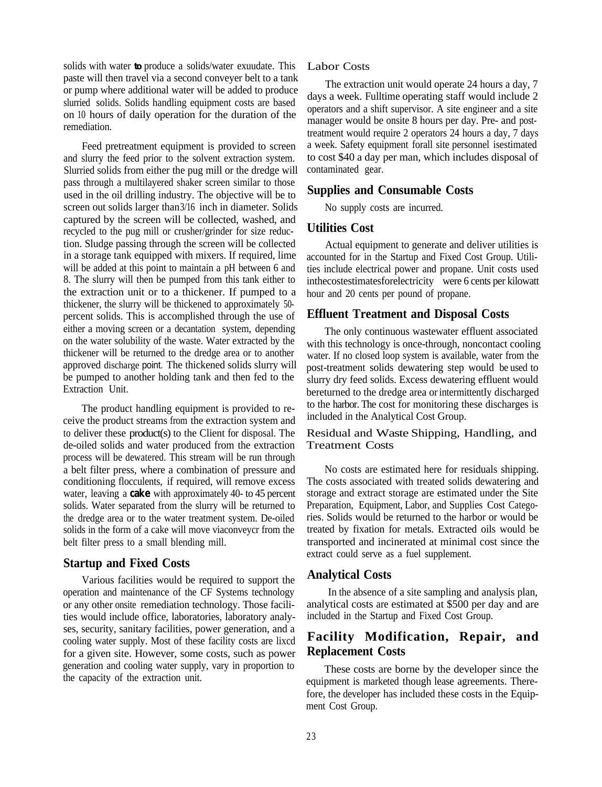solids with water **to** produce a solids/water exuudate. This Labor Costs paste will then travel via a second conveyer belt to a tank or pump where additional water will be added to produce slurried solids. Solids handling equipment costs are based on 10 hours of daily operation for the duration of the remediation.

Feed pretreatment equipment is provided to screen and slurry the feed prior to the solvent extraction system. Slurried solids from either the pug mill or the dredge will pass through a multilayered shaker screen similar to those used in the oil drilling industry. The objective will be to screen out solids larger than 3/16 inch in diameter. Solids captured by the screen will be collected, washed, and recycled to the pug mill or crusher/grinder for size reduction. Sludge passing through the screen will be collected in a storage tank equipped with mixers. If required, lime will be added at this point to maintain a pH between 6 and 8. The slurry will then be pumped from this tank either to the extraction unit or to a thickener. If pumped to a thickener, the slurry will be thickened to approximately 50 percent solids. This is accomplished through the use of either a moving screen or a decantation system, depending on the water solubility of the waste. Water extracted by the thickener will be returned to the dredge area or to another approved discharge point. The thickened solids slurry will be pumped to another holding tank and then fed to the Extraction Unit.

The product handling equipment is provided to receive the product streams from the extraction system and to deliver these product(s) to the Client for disposal. The de-oiled solids and water produced from the extraction process will be dewatered. This stream will be run through a belt filter press, where a combination of pressure and conditioning flocculents, if required, will remove excess water, leaving a **cake** with approximately 40- to 45 percent solids. Water separated from the slurry will be returned to the dredge area or to the water treatment system. De-oiled solids in the form of a cake will move viaconveycr from the belt filter press to a small blending mill.

### **Startup and Fixed Costs**

Various facilities would be required to support the operation and maintenance of the CF Systems technology or any other onsite remediation technology. Those facilities would include office, laboratories, laboratory analyses, security, sanitary facilities, power generation, and a cooling water supply. Most of these facility costs are lixcd for a given site. However, some costs, such as power generation and cooling water supply, vary in proportion to the capacity of the extraction unit.

The extraction unit would operate 24 hours a day, 7 days a week. Fulltime operating staff would include 2 operators and a shift supervisor. A site engineer and a site manager would be onsite 8 hours per day. Pre- and posttreatment would require 2 operators 24 hours a day, 7 days a week. Safety equipment forall site personnel isestimated to cost \$40 a day per man, which includes disposal of contaminated gear.

### **Supplies and Consumable Costs**

No supply costs are incurred.

### **Utilities Cost**

Actual equipment to generate and deliver utilities is accounted for in the Startup and Fixed Cost Group. Utilities include electrical power and propane. Unit costs used inthecostestimatesforelectricity were 6 cents per kilowatt hour and 20 cents per pound of propane.

### **Effluent Treatment and Disposal Costs**

The only continuous wastewater effluent associated with this technology is once-through, noncontact cooling water. If no closed loop system is available, water from the post-treatment solids dewatering step would be used to slurry dry feed solids. Excess dewatering effluent would bereturned to the dredge area or intermittentIy discharged to the harbor. The cost for monitoring these discharges is included in the Analytical Cost Group.

### Residual and Waste Shipping, Handling, and Treatment Costs

No costs are estimated here for residuals shipping. The costs associated with treated solids dewatering and storage and extract storage are estimated under the Site Preparation, Equipment, Labor, and Supplies Cost Categories. Solids would be returned to the harbor or would be treated by fixation for metals. Extracted oils would be transported and incinerated at minimal cost since the extract could serve as a fuel supplement.

### **Analytical Costs**

In the absence of a site sampling and analysis plan, analytical costs are estimated at \$500 per day and are included in the Startup and Fixed Cost Group.

### **Facility Modification, Repair, and Replacement Costs**

These costs are borne by the developer since the equipment is marketed though lease agreements. Therefore, the developer has included these costs in the Equipment Cost Group.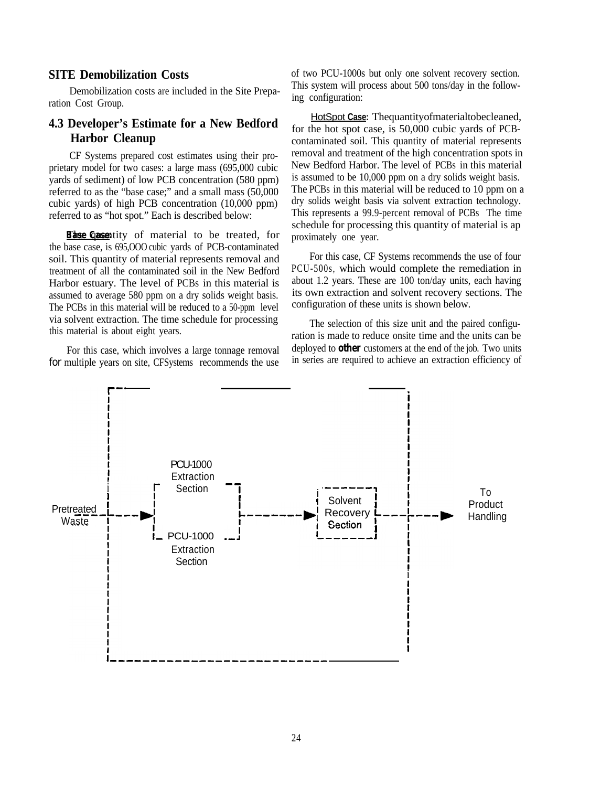### **SITE Demobilization Costs**

Demobilization costs are included in the Site Preparation Cost Group.

### **4.3 Developer's Estimate for a New Bedford Harbor Cleanup**

CF Systems prepared cost estimates using their proprietary model for two cases: a large mass (695,000 cubic yards of sediment) of low PCB concentration (580 ppm) referred to as the "base case;" and a small mass (50,000 cubic yards) of high PCB concentration (10,000 ppm) referred to as "hot spot." Each is described below:

*Base Casentity of material to be treated, for* the base case, is 695,OOO cubic yards of PCB-contaminated soil. This quantity of material represents removal and treatment of all the contaminated soil in the New Bedford Harbor estuary. The level of PCBs in this material is assumed to average 580 ppm on a dry solids weight basis. The PCBs in this material will be reduced to a 50-ppm level via solvent extraction. The time schedule for processing this material is about eight years.

For this case, which involves a large tonnage removal for multiple years on site, CFSystems recommends the use of two PCU-1000s but only one solvent recovery section. This system will process about 500 tons/day in the following configuration:

HotSpot **Case:** Thequantityofmaterialtobecleaned, for the hot spot case, is 50,000 cubic yards of PCBcontaminated soil. This quantity of material represents removal and treatment of the high concentration spots in New Bedford Harbor. The level of PCBs in this material is assumed to be 10,000 ppm on a dry solids weight basis. The PCBs in this material will be reduced to 10 ppm on a dry solids weight basis via solvent extraction technology. This represents a 99.9-percent removal of PCBs. The time schedule for processing this quantity of material is ap proximately one year.

For this case, CF Systems recommends the use of four PCU-500s, which would complete the remediation in about 1.2 years. These are 100 ton/day units, each having its own extraction and solvent recovery sections. The configuration of these units is shown below.

The selection of this size unit and the paired configuration is made to reduce onsite time and the units can be deployed to **other** customers at the end of the job.. Two units in series are required to achieve an extraction efficiency of

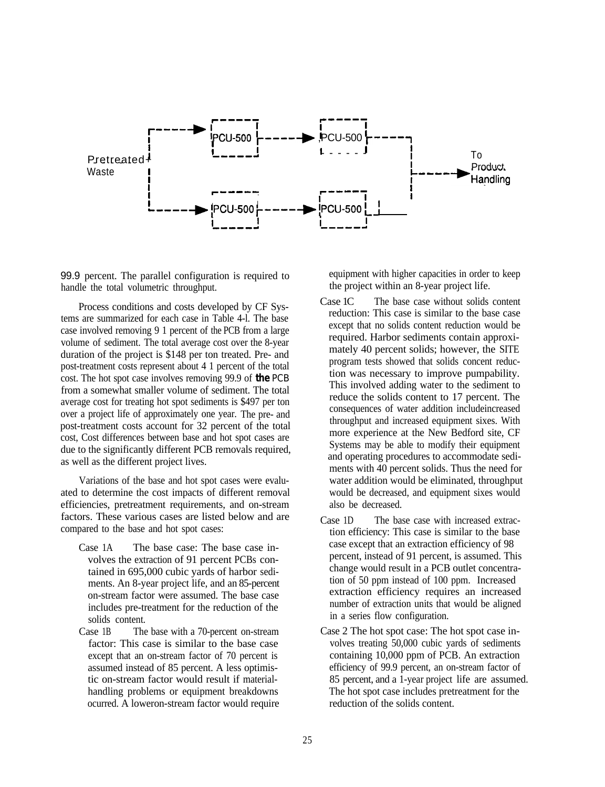

99.9 percent. The parallel configuration is required to handle the total volumetric throughput.

Process conditions and costs developed by CF Systems are summarized for each case in Table 4-l. The base case involved removing 9 1 percent of the PCB from a large volume of sediment. The total average cost over the 8-year duration of the project is \$148 per ton treated. Pre- and post-treatment costs represent about 4 1 percent of the total cost. The hot spot case involves removing 99.9 of **the** PCB from a somewhat smaller volume of sediment. The total average cost for treating hot spot sediments is \$497 per ton over a project life of approximately one year. The pre- and post-treatment costs account for 32 percent of the total cost, Cost differences between base and hot spot cases are due to the significantly different PCB removals required, as well as the different project lives.

Variations of the base and hot spot cases were evaluated to determine the cost impacts of different removal efficiencies, pretreatment requirements, and on-stream factors. These various cases are listed below and are compared to the base and hot spot cases:

- Case 1A The base case: The base case involves the extraction of 91 percent PCBs contained in 695,000 cubic yards of harbor sediments. An 8-year project life, and an 85-percent on-stream factor were assumed. The base case includes pre-treatment for the reduction of the solids content.
- Case 1B The base with a 70-percent on-stream factor: This case is similar to the base case except that an on-stream factor of 70 percent is assumed instead of 85 percent. A less optimistic on-stream factor would result if materialhandling problems or equipment breakdowns ocurred. A loweron-stream factor would require

equipment with higher capacities in order to keep the project within an 8-year project life.

- Case 1C The base case without solids content reduction: This case is similar to the base case except that no solids content reduction would be required. Harbor sediments contain approximately 40 percent solids; however, the SITE program tests showed that solids concent reduction was necessary to improve pumpability. This involved adding water to the sediment to reduce the solids content to 17 percent. The consequences of water addition includeincreased throughput and increased equipment sixes. With more experience at the New Bedford site, CF Systems may be able to modify their equipment and operating procedures to accommodate sediments with 40 percent solids. Thus the need for water addition would be eliminated, throughput would be decreased, and equipment sixes would also be decreased.
- Case 1D The base case with increased extraction efficiency: This case is similar to the base case except that an extraction efficiency of 98 percent, instead of 91 percent, is assumed. This change would result in a PCB outlet concentration of 50 ppm instead of 100 ppm. Increased extraction efficiency requires an increased number of extraction units that would be aligned in a series flow configuration.
- Case 2 The hot spot case: The hot spot case involves treating 50,000 cubic yards of sediments containing 10,000 ppm of PCB. An extraction efficiency of 99.9 percent, an on-stream factor of 85 percent, and a 1-year project life are assumed. The hot spot case includes pretreatment for the reduction of the solids content.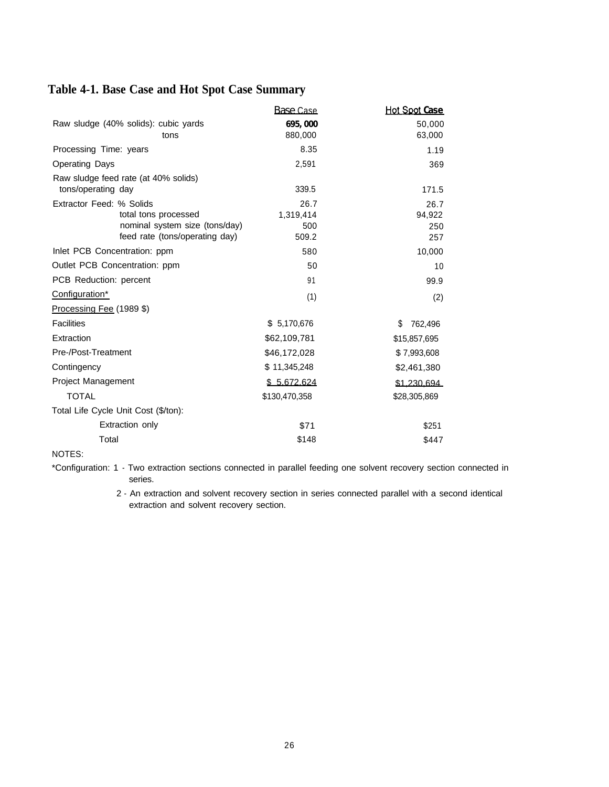# **Table 4-1. Base Case and Hot Spot Case Summary**

|                                      | Base Case     | Hot Spot Case       |
|--------------------------------------|---------------|---------------------|
| Raw sludge (40% solids): cubic yards | 695,000       | 50,000              |
| tons                                 | 880,000       | 63,000              |
| Processing Time: years               | 8.35          | 1.19                |
| <b>Operating Days</b>                | 2,591         | 369                 |
| Raw sludge feed rate (at 40% solids) |               |                     |
| tons/operating day                   | 339.5         | 171.5               |
| Extractor Feed: % Solids             | 26.7          | 26.7                |
| total tons processed                 | 1,319,414     | 94,922              |
| nominal system size (tons/day)       | 500           | 250                 |
| feed rate (tons/operating day)       | 509.2         | 257                 |
| Inlet PCB Concentration: ppm         | 580           | 10,000              |
| Outlet PCB Concentration: ppm        | 50            | 10                  |
| PCB Reduction: percent               | 91            | 99.9                |
| Configuration*                       | (1)           | (2)                 |
| Processing Fee (1989 \$)             |               |                     |
| <b>Facilities</b>                    | \$5,170,676   | S<br>762,496        |
| Extraction                           | \$62,109,781  | \$15,857,695        |
| Pre-/Post-Treatment                  | \$46,172,028  | \$7,993,608         |
| Contingency                          | \$11,345,248  | \$2,461,380         |
| Project Management                   | \$5.672.624   | <u>\$1 230 694.</u> |
| <b>TOTAL</b>                         | \$130,470,358 | \$28,305,869        |
| Total Life Cycle Unit Cost (\$/ton): |               |                     |
| Extraction only                      | \$71          | \$251               |
| Total                                | \$148         | \$447               |

NOTES:

\*Configuration: 1 - Two extraction sections connected in parallel feeding one solvent recovery section connected in series.

> 2 - An extraction and solvent recovery section in series connected parallel with a second identical extraction and solvent recovery section.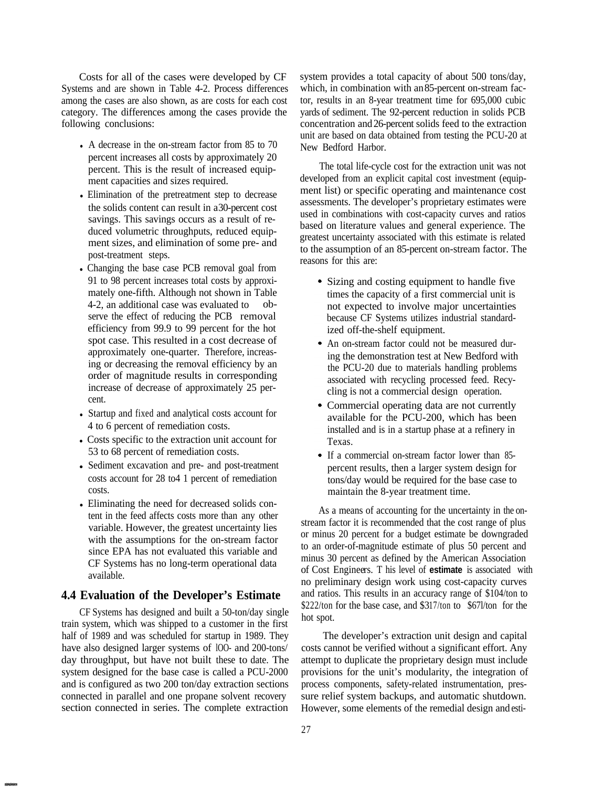Costs for all of the cases were developed by CF Systems and are shown in Table 4-2. Process differences among the cases are also shown, as are costs for each cost category. The differences among the cases provide the following conclusions:

- A decrease in the on-stream factor from  $85$  to  $70$ percent increases all costs by approximately 20 percent. This is the result of increased equipment capacities and sizes required.
- Elimination of the pretreatment step to decrease the solids content can result in a 30-percent cost savings. This savings occurs as a result of reduced volumetric throughputs, reduced equipment sizes, and elimination of some pre- and post-treatment steps.
- Changing the base case PCB removal goal from 91 to 98 percent increases total costs by approximately one-fifth. Although not shown in Table 4-2, an additional case was evaluated to observe the effect of reducing the PCB removal efficiency from 99.9 to 99 percent for the hot spot case. This resulted in a cost decrease of approximately one-quarter. Therefore, increasing or decreasing the removal efficiency by an order of magnitude results in corresponding increase of decrease of approximately 25 percent.
- Startup and fixed and analytical costs account for 4 to 6 percent of remediation costs.
- Costs specific to the extraction unit account for 53 to 68 percent of remediation costs.
- Sediment excavation and pre- and post-treatment costs account for 28 to4 1 percent of remediation costs.
- Eliminating the need for decreased solids content in the feed affects costs more than any other variable. However, the greatest uncertainty lies with the assumptions for the on-stream factor since EPA has not evaluated this variable and CF Systems has no long-term operational data available.

### **4.4 Evaluation of the Developer's Estimate**

CF Systems has designed and built a 50-ton/day single train system, which was shipped to a customer in the first half of 1989 and was scheduled for startup in 1989. They have also designed larger systems of lOO- and 200-tons/ day throughput, but have not built these to date. The system designed for the base case is called a PCU-2000 and is configured as two 200 ton/day extraction sections connected in parallel and one propane solvent recovery section connected in series. The complete extraction system provides a total capacity of about 500 tons/day, which, in combination with an 85-percent on-stream factor, results in an 8-year treatment time for 695,000 cubic yards of sediment. The 92-percent reduction in solids PCB concentration and 26-percent solids feed to the extraction unit are based on data obtained from testing the PCU-20 at New Bedford Harbor.

The total life-cycle cost for the extraction unit was not developed from an explicit capital cost investment (equipment list) or specific operating and maintenance cost assessments. The developer's proprietary estimates were used in combinations with cost-capacity curves and ratios based on literature values and general experience. The greatest uncertainty associated with this estimate is related to the assumption of an 85-percent on-stream factor. The reasons for this are:

- Sizing and costing equipment to handle five times the capacity of a first commercial unit is not expected to involve major uncertainties because CF Systems utilizes industrial standardized off-the-shelf equipment.
- An on-stream factor could not be measured during the demonstration test at New Bedford with the PCU-20 due to materials handling problems associated with recycling processed feed. Recycling is not a commercial design operation.
- Commercial operating data are not currently available for the PCU-200, which has been installed and is in a startup phase at a refinery in Texas.
- If a commercial on-stream factor lower than 85percent results, then a larger system design for tons/day would be required for the base case to maintain the 8-year treatment time.

As a means of accounting for the uncertainty in the onstream factor it is recommended that the cost range of plus or minus 20 percent for a budget estimate be downgraded to an order-of-magnitude estimate of plus 50 percent and minus 30 percent as defined by the American Association of Cost Engineers. T his level of **estimate** is associated with no preliminary design work using cost-capacity curves and ratios. This results in an accuracy range of \$104/ton to \$222/ton for the base case, and \$317/ton to \$67l/ton for the hot spot.

The developer's extraction unit design and capital costs cannot be verified without a significant effort. Any attempt to duplicate the proprietary design must include provisions for the unit's modularity, the integration of process components, safety-related instrumentation, pressure relief system backups, and automatic shutdown. However, some elements of the remedial design and esti-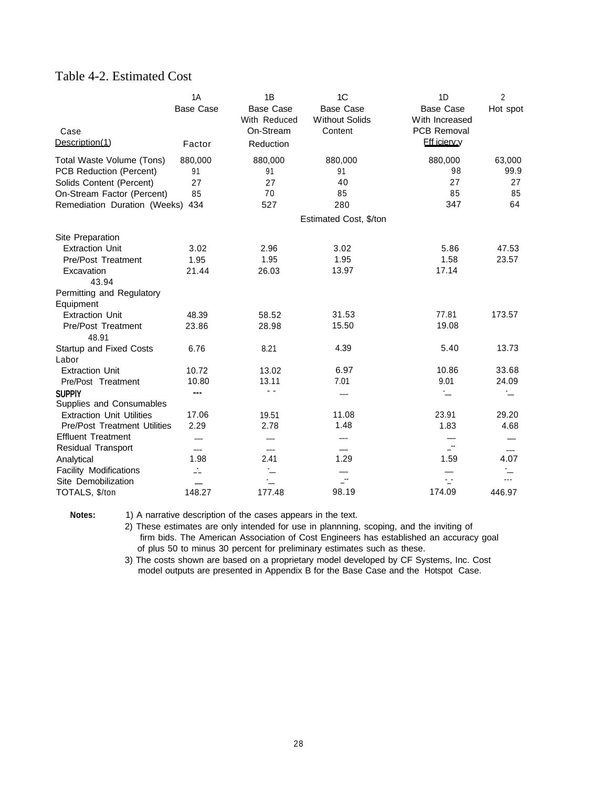## Table 4-2. Estimated Cost

|                                     | 1A                       | 1B               | 1C                     | 1 <sub>D</sub>      | $\overline{2}$ |
|-------------------------------------|--------------------------|------------------|------------------------|---------------------|----------------|
|                                     | <b>Base Case</b>         | <b>Base Case</b> | <b>Base Case</b>       | <b>Base Case</b>    | Hot spot       |
|                                     |                          | With Reduced     | <b>Without Solids</b>  | With Increased      |                |
| Case                                |                          | On-Stream        | Content                | PCB Removal         |                |
| Description(1)                      | Factor                   | Reduction        |                        | <b>Eff icierv:v</b> |                |
| Total Waste Volume (Tons)           | 880,000                  | 880,000          | 880,000                | 880,000             | 63,000         |
| PCB Reduction (Percent)             | 91                       | 91               | 91                     | 98                  | 99.9           |
| Solids Content (Percent)            | 27                       | 27               | 40                     | 27                  | 27             |
| On-Stream Factor (Percent)          | 85                       | 70               | 85                     | 85                  | 85             |
| Remediation Duration (Weeks) 434    |                          | 527              | 280                    | 347                 | 64             |
|                                     |                          |                  | Estimated Cost, \$/ton |                     |                |
| Site Preparation                    |                          |                  |                        |                     |                |
| <b>Extraction Unit</b>              | 3.02                     | 2.96             | 3.02                   | 5.86                | 47.53          |
| Pre/Post Treatment                  | 1.95                     | 1.95             | 1.95                   | 1.58                | 23.57          |
| Excavation                          | 21.44                    | 26.03            | 13.97                  | 17.14               |                |
| 43.94                               |                          |                  |                        |                     |                |
| Permitting and Regulatory           |                          |                  |                        |                     |                |
| Equipment                           |                          |                  |                        |                     |                |
| <b>Extraction Unit</b>              | 48.39                    | 58.52            | 31.53                  | 77.81               | 173.57         |
| <b>Pre/Post Treatment</b>           | 23.86                    | 28.98            | 15.50                  | 19.08               |                |
| 48.91                               |                          |                  |                        |                     |                |
| <b>Startup and Fixed Costs</b>      | 6.76                     | 8.21             | 4.39                   | 5.40                | 13.73          |
| Labor                               |                          |                  |                        |                     |                |
| <b>Extraction Unit</b>              | 10.72                    | 13.02            | 6.97                   | 10.86               | 33.68          |
| Pre/Post Treatment                  | 10.80                    | 13.11            | 7.01                   | 9.01                | 24.09          |
| <b>SUPPIY</b>                       | ---                      |                  | $---$                  | .<br>               | $\sim$         |
| Supplies and Consumables            |                          |                  |                        |                     |                |
| <b>Extraction Unit Utilities</b>    | 17.06                    | 19.51            | 11.08                  | 23.91               | 29.20          |
| <b>Pre/Post Treatment Utilities</b> | 2.29                     | 2.78             | 1.48                   | 1.83                | 4.68           |
| <b>Effluent Treatment</b>           |                          |                  | ---                    |                     |                |
| <b>Residual Transport</b>           | $\overline{\phantom{0}}$ | $---$            |                        | $\mathbf{r}$        | $---$          |
| Analytical                          | 1.98                     | 2.41             | 1.29                   | 1.59                | 4.07           |
| <b>Facility Modifications</b>       | Ż.                       | $\ddot{}$        |                        |                     |                |
| Site Demobilization                 | $\overline{\phantom{a}}$ | ÷                |                        | ÷                   |                |
| TOTALS, \$/ton                      | 148.27                   | 177.48           | 98.19                  | 174.09              | 446.97         |

Notes: 1) A narrative description of the cases appears in the text.

2) These estimates are only intended for use in plannning, scoping, and the inviting of firm bids. The American Association of Cost Engineers has established an accuracy goal of plus 50 to minus 30 percent for preliminary estimates such as these.

3) The costs shown are based on a proprietary model developed by CF Systems, Inc. Cost model outputs are presented in Appendix B for the Base Case and the Hotspot Case.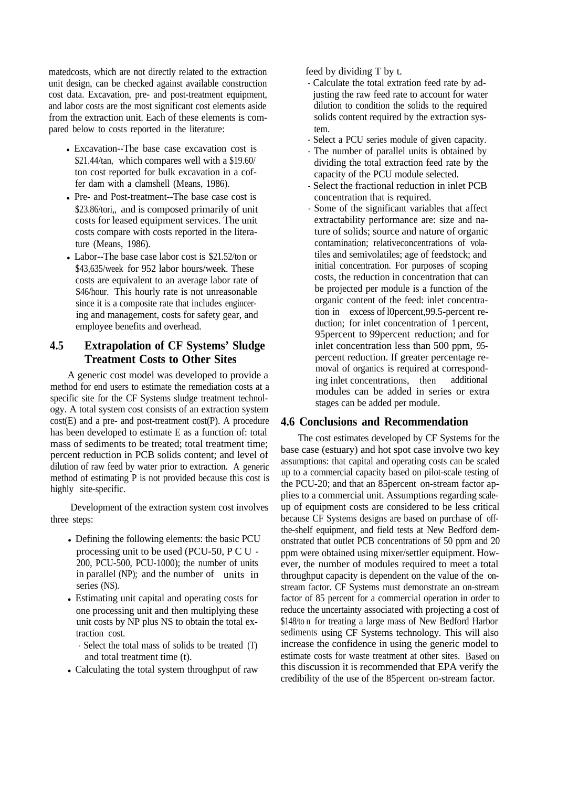matedcosts, which are not directly related to the extraction unit design, can be checked against available construction cost data. Excavation, pre- and post-treatment equipment, and labor costs are the most significant cost elements aside from the extraction unit. Each of these elements is compared below to costs reported in the literature:

- Excavation--The base case excavation cost is \$21.44/tan, which compares well with a \$19.60/ ton cost reported for bulk excavation in a coffer dam with a clamshell (Means, 1986).
- Pre- and Post-treatment--The base case cost is \$23.86/tori, and is composed primarily of unit costs for leased equipment services. The unit costs compare with costs reported in the literature (Means, 1986).
- Labor--The base case labor cost is  $$21.52$ /ton or \$43,635/week for 952 labor hours/week. These costs are equivalent to an average labor rate of S46/hour. This hourly rate is not unreasonable since it is a composite rate that includes engincering and management, costs for safety gear, and employee benefits and overhead.

### **4.5 Extrapolation of CF Systems' Sludge Treatment Costs to Other Sites**

A generic cost model was developed to provide a method for end users to estimate the remediation costs at a specific site for the CF Systems sludge treatment technology. A total system cost consists of an extraction system cost(E) and a pre- and post-treatment cost(P). A procedure has been developed to estimate E as a function of: total mass of sediments to be treated; total treatment time; percent reduction in PCB solids content; and level of dilution of raw feed by water prior to extraction. A generic method of estimating P is not provided because this cost is highly site-specific.

Development of the extraction system cost involves three steps:

- Defining the following elements: the basic PCU processing unit to be used (PCU-50, P C U - 200, PCU-500, PCU-1000); the number of units in parallel (NP); and the number of units in series (NS).
- <sup>l</sup>Estimating unit capital and operating costs for one processing unit and then multiplying these unit costs by NP plus NS to obtain the total extraction cost.
	- Select the total mass of solids to be treated (T) and total treatment time (t).
- Calculating the total system throughput of raw

feed by dividing T by t.

- Calculate the total extration feed rate by adjusting the raw feed rate to account for water dilution to condition the solids to the required solids content required by the extraction system.
- Select a PCU series module of given capacity.
- The number of parallel units is obtained by dividing the total extraction feed rate by the capacity of the PCU module selected.
- Select the fractional reduction in inlet PCB concentration that is required.
- Some of the significant variables that affect extractability performance are: size and nature of solids; source and nature of organic contamination; relativeconcentrations of volatiles and semivolatiles; age of feedstock; and initial concentration. For purposes of scoping costs, the reduction in concentration that can be projected per module is a function of the organic content of the feed: inlet concentration in excess of l0percent,99.5-percent reduction; for inlet concentration of 1 percent, 95percent to 99percent reduction; and for inlet concentration less than 500 ppm, 95 percent reduction. If greater percentage removal of organics is required at corresponding inlet concentrations, then additional modules can be added in series or extra stages can be added per module.

### **4.6 Conclusions and Recommendation**

The cost estimates developed by CF Systems for the base case (estuary) and hot spot case involve two key assumptions: that capital and operating costs can be scaled up to a commercial capacity based on pilot-scale testing of the PCU-20; and that an 85percent on-stream factor applies to a commercial unit. Assumptions regarding scaleup of equipment costs are considered to be less critical because CF Systems designs are based on purchase of offthe-shelf equipment, and field tests at New Bedford demonstrated that outlet PCB concentrations of 50 ppm and 20 ppm were obtained using mixer/settler equipment. However, the number of modules required to meet a total throughput capacity is dependent on the value of the onstream factor. CF Systems must demonstrate an on-stream factor of 85 percent for a commercial operation in order to reduce the uncertainty associated with projecting a cost of \$148/to n for treating a large mass of New Bedford Harbor sediments using CF Systems technology. This will also increase the confidence in using the generic model to estimate costs for waste treatment at other sites. Based on this discussion it is recommended that EPA verify the credibility of the use of the 85percent on-stream factor.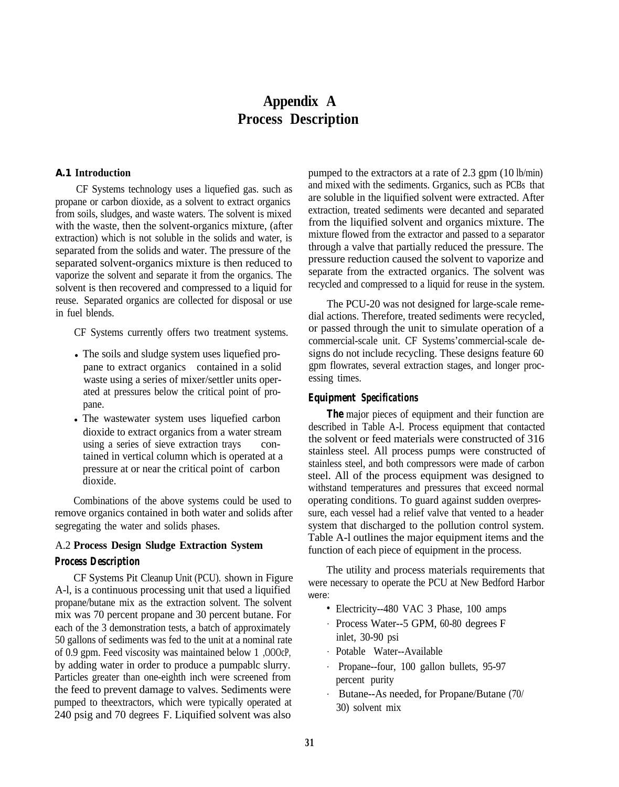# **Appendix A Process Description**

#### **A.1 Introduction**

CF Systems technology uses a liquefied gas. such as propane or carbon dioxide, as a solvent to extract organics from soils, sludges, and waste waters. The solvent is mixed with the waste, then the solvent-organics mixture, (after extraction) which is not soluble in the solids and water, is separated from the solids and water. The pressure of the separated solvent-organics mixture is then reduced to vaporize the solvent and separate it from the organics. The solvent is then recovered and compressed to a liquid for reuse. Separated organics are collected for disposal or use in fuel blends.

CF Systems currently offers two treatment systems.

- The soils and sludge system uses liquefied propane to extract organics contained in a solid waste using a series of mixer/settler units operated at pressures below the critical point of propane.
- The wastewater system uses liquefied carbon dioxide to extract organics from a water stream using a series of sieve extraction trays contained in vertical column which is operated at a pressure at or near the critical point of carbon dioxide.

Combinations of the above systems could be used to remove organics contained in both water and solids after segregating the water and solids phases.

#### A.2 **Process Design Sludge Extraction System**

#### *Process Description*

CF Systems Pit Cleanup Unit (PCU). shown in Figure A-l, is a continuous processing unit that used a liquified propane/butane mix as the extraction solvent. The solvent mix was 70 percent propane and 30 percent butane. For each of the 3 demonstration tests, a batch of approximately 50 gallons of sediments was fed to the unit at a nominal rate of 0.9 gpm. Feed viscosity was maintained below 1 ,OOOcP, by adding water in order to produce a pumpablc slurry. Particles greater than one-eighth inch were screened from the feed to prevent damage to valves. Sediments were pumped to theextractors, which were typically operated at 240 psig and 70 degrees F. Liquified solvent was also

pumped to the extractors at a rate of 2.3 gpm (10 lb/min) and mixed with the sediments. Grganics, such as PCBs that are soluble in the liquified solvent were extracted. After extraction, treated sediments were decanted and separated from the liquified solvent and organics mixture. The mixture flowed from the extractor and passed to a separator through a valve that partially reduced the pressure. The pressure reduction caused the solvent to vaporize and separate from the extracted organics. The solvent was recycled and compressed to a liquid for reuse in the system.

The PCU-20 was not designed for large-scale remedial actions. Therefore, treated sediments were recycled, or passed through the unit to simulate operation of a commercial-scale unit. CF Systems'commercial-scale designs do not include recycling. These designs feature 60 gpm flowrates, several extraction stages, and longer processing times.

#### *Equipment Specifications*

*The major pieces of equipment and their function are* described in Table A-l. Process equipment that contacted the solvent or feed materials were constructed of 316 stainless steel. All process pumps were constructed of stainless steel, and both compressors were made of carbon steel. All of the process equipment was designed to withstand temperatures and pressures that exceed normal operating conditions. To guard against sudden overpressure, each vessel had a relief valve that vented to a header system that discharged to the pollution control system. Table A-l outlines the major equipment items and the function of each piece of equipment in the process.

The utility and process materials requirements that were necessary to operate the PCU at New Bedford Harbor were:

- Electricity--480 VAC 3 Phase, 100 amps
- . Process Water--5 GPM, 60-80 degrees F inlet, 30-90 psi
- . Potable Water--Available
- . Propane--four, 100 gallon bullets, 95-97 percent purity
- . Butane--As needed, for Propane/Butane (70/ 30) solvent mix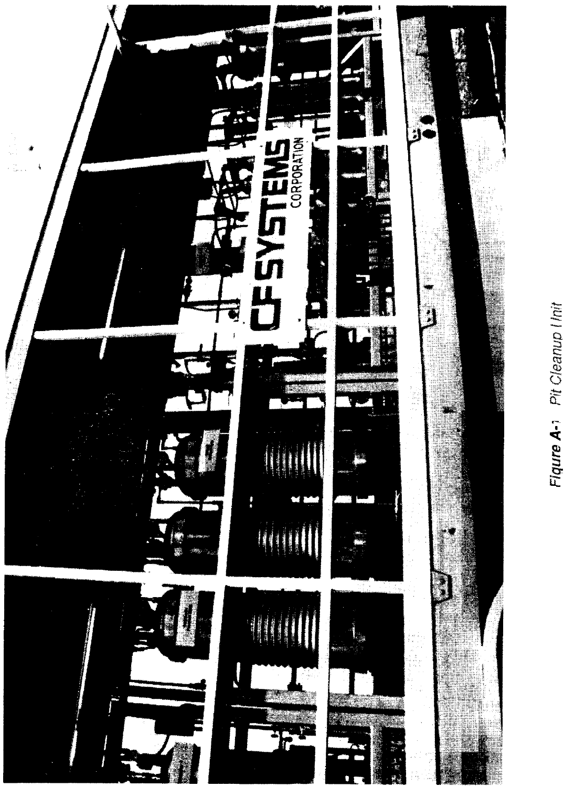

Figure A-1 Pit Cleanup I Init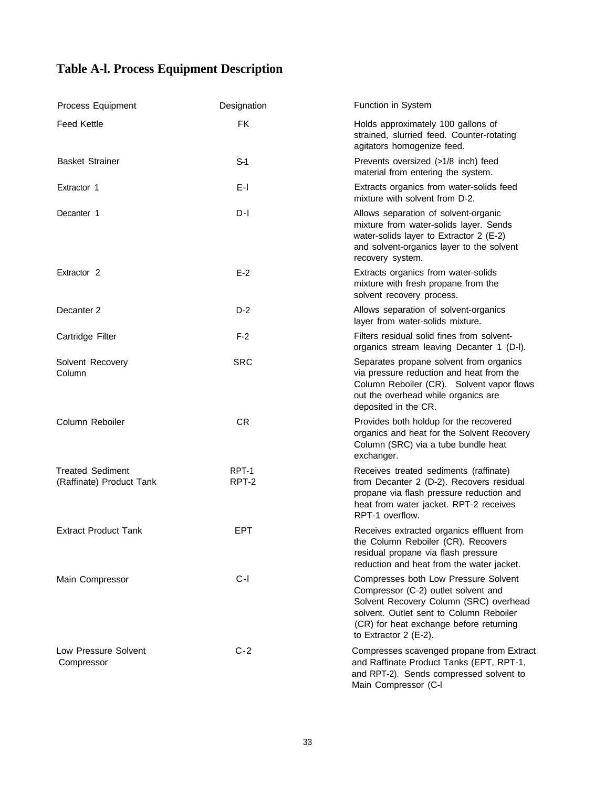# **Table A-l. Process Equipment Description**

| Process Equipment                                   | Designation    | <b>Function in System</b>                                                                                                                                                                                                               |
|-----------------------------------------------------|----------------|-----------------------------------------------------------------------------------------------------------------------------------------------------------------------------------------------------------------------------------------|
| <b>Feed Kettle</b>                                  | <b>FK</b>      | Holds approximately 100 gallons of<br>strained, slurried feed. Counter-rotating<br>agitators homogenize feed.                                                                                                                           |
| <b>Basket Strainer</b>                              | $S-1$          | Prevents oversized (>1/8 inch) feed<br>material from entering the system.                                                                                                                                                               |
| Extractor 1                                         | E-I            | Extracts organics from water-solids feed<br>mixture with solvent from D-2.                                                                                                                                                              |
| Decanter 1                                          | $D-I$          | Allows separation of solvent-organic<br>mixture from water-solids layer. Sends<br>water-solids layer to Extractor 2 (E-2)<br>and solvent-organics layer to the solvent<br>recovery system.                                              |
| Extractor <sub>2</sub>                              | $E-2$          | Extracts organics from water-solids<br>mixture with fresh propane from the<br>solvent recovery process.                                                                                                                                 |
| Decanter <sub>2</sub>                               | $D-2$          | Allows separation of solvent-organics<br>layer from water-solids mixture.                                                                                                                                                               |
| Cartridge Filter                                    | $F-2$          | Filters residual solid fines from solvent-<br>organics stream leaving Decanter 1 (D-I).                                                                                                                                                 |
| Solvent Recovery<br>Column                          | <b>SRC</b>     | Separates propane solvent from organics<br>via pressure reduction and heat from the<br>Column Reboiler (CR). Solvent vapor flows<br>out the overhead while organics are<br>deposited in the CR.                                         |
| Column Reboiler                                     | CR             | Provides both holdup for the recovered<br>organics and heat for the Solvent Recovery<br>Column (SRC) via a tube bundle heat<br>exchanger.                                                                                               |
| <b>Treated Sediment</b><br>(Raffinate) Product Tank | RPT-1<br>RPT-2 | Receives treated sediments (raffinate)<br>from Decanter 2 (D-2). Recovers residual<br>propane via flash pressure reduction and<br>heat from water jacket. RPT-2 receives<br>RPT-1 overflow.                                             |
| <b>Extract Product Tank</b>                         | EPT            | Receives extracted organics effluent from<br>the Column Reboiler (CR). Recovers<br>residual propane via flash pressure<br>reduction and heat from the water jacket.                                                                     |
| Main Compressor                                     | $C-I$          | Compresses both Low Pressure Solvent<br>Compressor (C-2) outlet solvent and<br>Solvent Recovery Column (SRC) overhead<br>solvent. Outlet sent to Column Reboiler<br>(CR) for heat exchange before returning<br>to Extractor 2 $(E-2)$ . |
| Low Pressure Solvent<br>Compressor                  | $C-2$          | Compresses scavenged propane from Extract<br>and Raffinate Product Tanks (EPT, RPT-1,<br>and RPT-2). Sends compressed solvent to<br>Main Compressor (C-I                                                                                |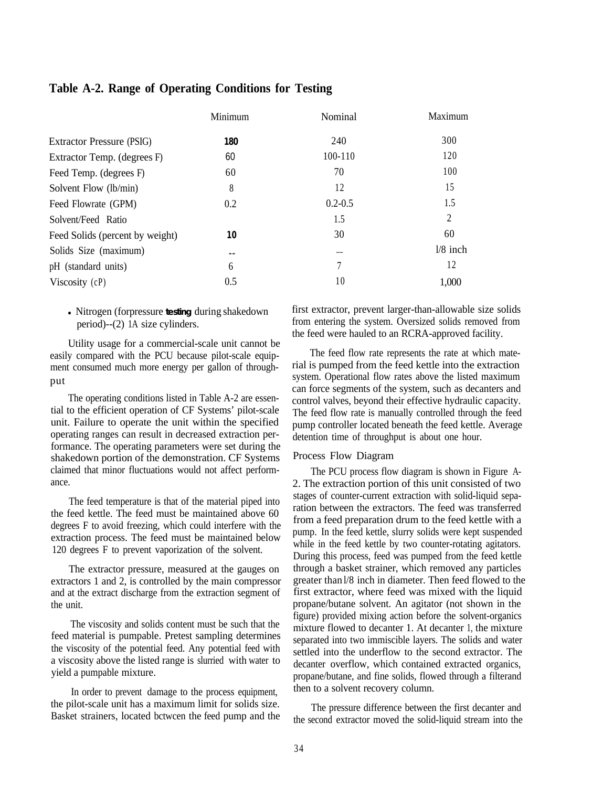| Minimum | Nominal     | Maximum    |
|---------|-------------|------------|
| 180     | 240         | 300        |
| 60      | 100-110     | 120        |
| 60      | 70          | 100        |
| 8       | 12          | 15         |
| 0.2     | $0.2 - 0.5$ | 1.5        |
|         | 1.5         | 2          |
| 10      | 30          | 60         |
| --      | --          | $1/8$ inch |
| 6       |             | 12         |
| 0.5     | 10          | 1,000      |
|         |             |            |

# **Table A-2. Range of Operating Conditions for Testing**

• Nitrogen (forpressure testing during shakedown period)--(2) 1A size cylinders.

Utility usage for a commercial-scale unit cannot be easily compared with the PCU because pilot-scale equipment consumed much more energy per gallon of throughput

The operating conditions listed in Table A-2 are essential to the efficient operation of CF Systems' pilot-scale unit. Failure to operate the unit within the specified operating ranges can result in decreased extraction performance. The operating parameters were set during the shakedown portion of the demonstration. CF Systems claimed that minor fluctuations would not affect performance.

The feed temperature is that of the material piped into the feed kettle. The feed must be maintained above 60 degrees F to avoid freezing, which could interfere with the extraction process. The feed must be maintained below 120 degrees F to prevent vaporization of the solvent.

The extractor pressure, measured at the gauges on extractors 1 and 2, is controlled by the main compressor and at the extract discharge from the extraction segment of the unit.

The viscosity and solids content must be such that the feed material is pumpable. Pretest sampling determines the viscosity of the potential feed. Any potential feed with a viscosity above the listed range is slurried with water to yield a pumpable mixture.

In order to prevent damage to the process equipment, the pilot-scale unit has a maximum limit for solids size. Basket strainers, located bctwcen the feed pump and the first extractor, prevent larger-than-allowable size solids from entering the system. Oversized solids removed from the feed were hauled to an RCRA-approved facility.

The feed flow rate represents the rate at which material is pumped from the feed kettle into the extraction system. Operational flow rates above the listed maximum can force segments of the system, such as decanters and control valves, beyond their effective hydraulic capacity. The feed flow rate is manually controlled through the feed pump controller located beneath the feed kettle. Average detention time of throughput is about one hour.

#### Process Flow Diagram

The PCU process flow diagram is shown in Figure A-2. The extraction portion of this unit consisted of two stages of counter-current extraction with solid-liquid separation between the extractors. The feed was transferred from a feed preparation drum to the feed kettle with a pump. In the feed kettle, slurry solids were kept suspended while in the feed kettle by two counter-rotating agitators. During this process, feed was pumped from the feed kettle through a basket strainer, which removed any particles greater than l/8 inch in diameter. Then feed flowed to the first extractor, where feed was mixed with the liquid propane/butane solvent. An agitator (not shown in the figure) provided mixing action before the solvent-organics mixture flowed to decanter 1. At decanter 1, the mixture separated into two immiscible layers. The solids and water settled into the underflow to the second extractor. The decanter overflow, which contained extracted organics, propane/butane, and fine solids, flowed through a filterand then to a solvent recovery column.

The pressure difference between the first decanter and the second extractor moved the solid-liquid stream into the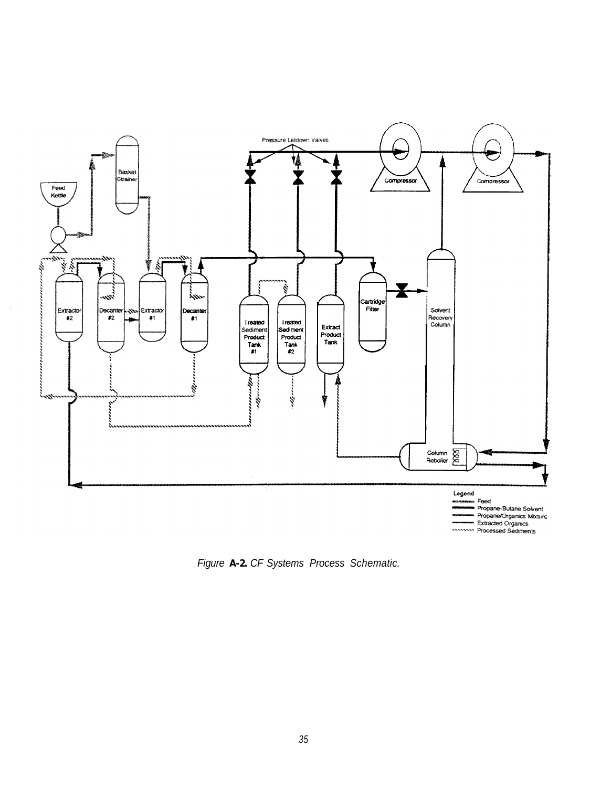![](_page_41_Figure_0.jpeg)

Figure A-2. CF Systems Process Schematic.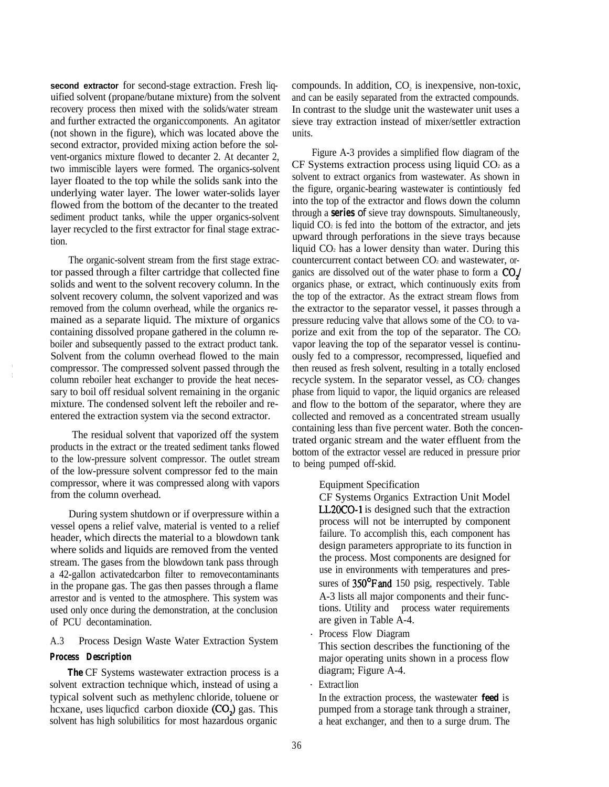**second extractor** for second-stage extraction. Fresh liquified solvent (propane/butane mixture) from the solvent recovery process then mixed with the solids/water stream and further extracted the organic components. An agitator (not shown in the figure), which was located above the second extractor, provided mixing action before the solvent-organics mixture flowed to decanter 2. At decanter 2, two immiscible layers were formed. The organics-solvent layer floated to the top while the solids sank into the underlying water layer. The lower water-solids layer flowed from the bottom of the decanter to the treated sediment product tanks, while the upper organics-solvent layer recycled to the first extractor for final stage extraction.

The organic-solvent stream from the first stage extractor passed through a filter cartridge that collected fine solids and went to the solvent recovery column. In the solvent recovery column, the solvent vaporized and was removed from the column overhead, while the organics remained as a separate liquid. The mixture of organics containing dissolved propane gathered in the column reboiler and subsequently passed to the extract product tank. Solvent from the column overhead flowed to the main compressor. The compressed solvent passed through the column reboiler heat exchanger to provide the heat necessary to boil off residual solvent remaining in the organic mixture. The condensed solvent left the reboiler and reentered the extraction system via the second extractor.

The residual solvent that vaporized off the system products in the extract or the treated sediment tanks flowed to the low-pressure solvent compressor. The outlet stream of the low-pressure solvent compressor fed to the main compressor, where it was compressed along with vapors from the column overhead.

During system shutdown or if overpressure within a vessel opens a relief valve, material is vented to a relief header, which directs the material to a blowdown tank where solids and liquids are removed from the vented stream. The gases from the blowdown tank pass through a 42-gallon activatedcarbon filter to removecontaminants in the propane gas. The gas then passes through a flame arrestor and is vented to the atmosphere. This system was used only once during the demonstration, at the conclusion of PCU decontamination.

### A.3 Process Design Waste Water Extraction System

#### *Process Description*

**The CF Systems wastewater extraction process is a** solvent extraction technique which, instead of using a typical solvent such as methylenc chloride, toluene or hcxane, uses liqucfied carbon dioxide (CO<sub>2</sub>) gas. This solvent has high solubilitics for most hazardous organic

compounds. In addition,  $CO<sub>2</sub>$  is inexpensive, non-toxic, and can be easily separated from the extracted compounds. In contrast to the sludge unit the wastewater unit uses a sieve tray extraction instead of mixer/settler extraction units.

Figure A-3 provides a simplified flow diagram of the  $CF$  Systems extraction process using liquid  $CO<sub>2</sub>$  as a solvent to extract organics from wastewater. As shown in the figure, organic-bearing wastewater is contintiously fed into the top of the extractor and flows down the column through a **series** of sieve tray downspouts. Simultaneously, liquid  $CO<sub>2</sub>$  is fed into the bottom of the extractor, and jets upward through perforations in the sieve trays because liquid  $CO<sub>2</sub>$  has a lower density than water. During this countercurrent contact between CO<sub>2</sub> and wastewater, organics are dissolved out of the water phase to form a COJ organics phase, or extract, which continuously exits from the top of the extractor. As the extract stream flows from the extractor to the separator vessel, it passes through a pressure reducing valve that allows some of the  $CO<sub>2</sub>$  to vaporize and exit from the top of the separator. The  $CO<sub>2</sub>$ vapor leaving the top of the separator vessel is continuously fed to a compressor, recompressed, liquefied and then reused as fresh solvent, resulting in a totally enclosed recycle system. In the separator vessel, as  $CO<sub>2</sub>$  changes phase from liquid to vapor, the liquid organics are released and flow to the bottom of the separator, where they are collected and removed as a concentrated stream usually containing less than five percent water. Both the concentrated organic stream and the water effluent from the bottom of the extractor vessel are reduced in pressure prior to being pumped off-skid.

#### Equipment Specification

CF Systems Organics Extraction Unit Model LL2OCO-1 is designed such that the extraction process will not be interrupted by component failure. To accomplish this, each component has design parameters appropriate to its function in the process. Most components are designed for use in environments with temperatures and pressures of 350°F and 150 psig, respectively. Table A-3 lists all major components and their functions. Utility and process water requirements are given in Table A-4.

. Process Flow Diagram

This section describes the functioning of the major operating units shown in a process flow diagram; Figure A-4.

. Extract lion

In the extraction process, the wastewater **feed** is pumped from a storage tank through a strainer, a heat exchanger, and then to a surge drum. The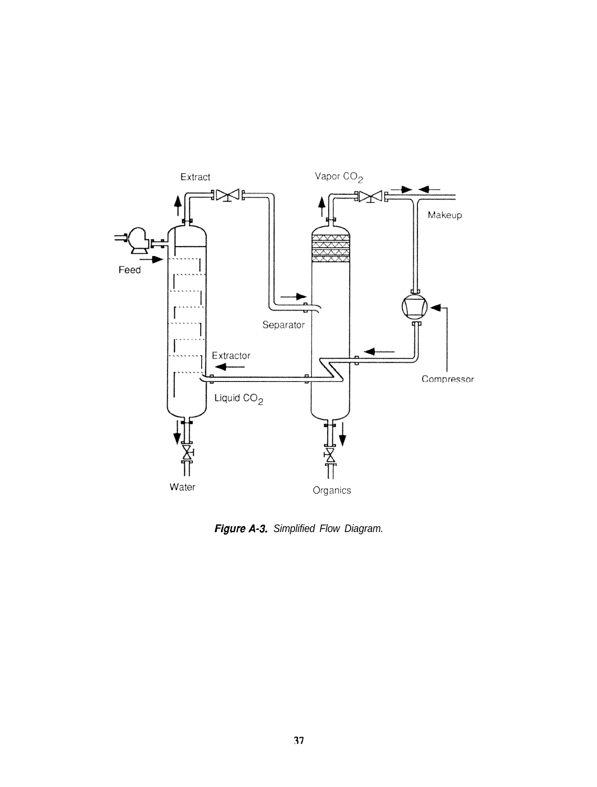![](_page_43_Figure_0.jpeg)

**Figure A-3.** Simplified Flow Diagram.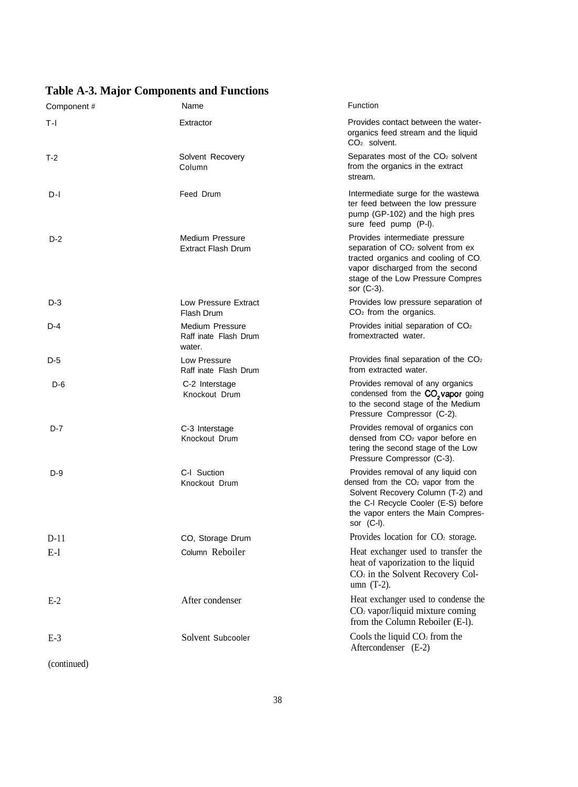# **Table A-3. Major Components and Functions**

| Component# | Name                                                      | Function                                                                                                                                                                                                                |
|------------|-----------------------------------------------------------|-------------------------------------------------------------------------------------------------------------------------------------------------------------------------------------------------------------------------|
| T-I        | Extractor                                                 | Provides contact between the water-<br>organics feed stream and the liquid<br>$CO2$ solvent.                                                                                                                            |
| T-2        | Solvent Recovery<br>Column                                | Separates most of the CO <sub>2</sub> solvent<br>from the organics in the extract<br>stream.                                                                                                                            |
| D-I        | Feed Drum                                                 | Intermediate surge for the wastewa<br>ter feed between the low pressure<br>pump (GP-102) and the high pres<br>sure feed pump (P-I).                                                                                     |
| $D-2$      | <b>Medium Pressure</b><br><b>Extract Flash Drum</b>       | Provides intermediate pressure<br>separation of CO <sub>2</sub> solvent from ex<br>tracted organics and cooling of CO.<br>vapor discharged from the second<br>stage of the Low Pressure Compres<br>sor (C-3).           |
| $D-3$      | Low Pressure Extract<br>Flash Drum                        | Provides low pressure separation of<br>$CO2$ from the organics.                                                                                                                                                         |
| $D-4$      | <b>Medium Pressure</b><br>Raff inate Flash Drum<br>water. | Provides initial separation of CO <sub>2</sub><br>fromextracted water.                                                                                                                                                  |
| $D-5$      | Low Pressure<br>Raff inate Flash Drum                     | Provides final separation of the CO <sub>2</sub><br>from extracted water.                                                                                                                                               |
| D-6        | C-2 Interstage<br>Knockout Drum                           | Provides removal of any organics<br>condensed from the CO <sub>2</sub> vapor going<br>to the second stage of the Medium<br>Pressure Compressor (C-2).                                                                   |
| $D-7$      | C-3 Interstage<br>Knockout Drum                           | Provides removal of organics con<br>densed from CO <sub>2</sub> vapor before en<br>tering the second stage of the Low<br>Pressure Compressor (C-3).                                                                     |
| $D-9$      | C-I Suction<br>Knockout Drum                              | Provides removal of any liquid con<br>densed from the CO <sub>2</sub> vapor from the<br>Solvent Recovery Column (T-2) and<br>the C-I Recycle Cooler (E-S) before<br>the vapor enters the Main Compres-<br>sor $(C-I)$ . |
| $D-11$     | CO, Storage Drum                                          | Provides location for CO <sub>2</sub> storage.                                                                                                                                                                          |
| $E-1$      | Column Reboiler                                           | Heat exchanger used to transfer the<br>heat of vaporization to the liquid<br>CO <sub>2</sub> in the Solvent Recovery Col-<br>umn $(T-2)$ .                                                                              |
| $E-2$      | After condenser                                           | Heat exchanger used to condense the<br>$CO2$ vapor/liquid mixture coming<br>from the Column Reboiler (E-I).                                                                                                             |
| $E-3$      | Solvent Subcooler                                         | Cools the liquid $CO2$ from the<br>Aftercondenser (E-2)                                                                                                                                                                 |

(continued)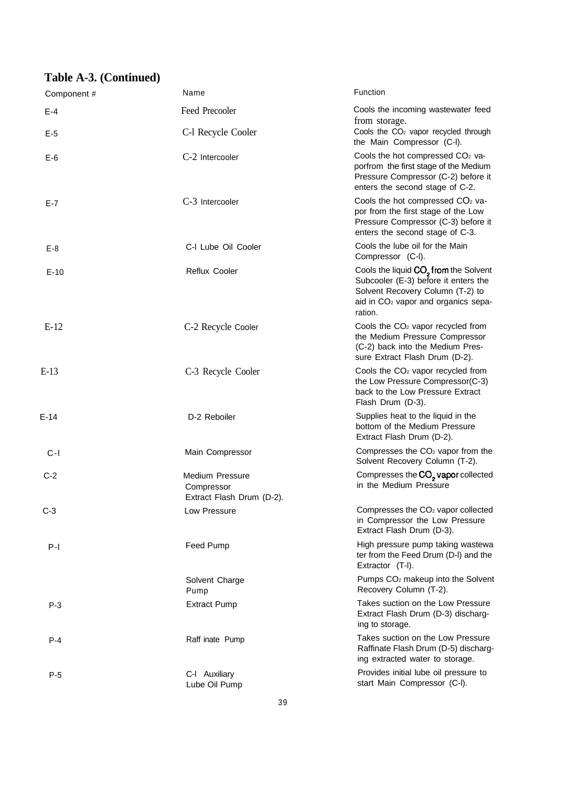# **Table A-3. (Continued)**

| Component # | Name                                                              | Function                                                                                                                                                                                    |
|-------------|-------------------------------------------------------------------|---------------------------------------------------------------------------------------------------------------------------------------------------------------------------------------------|
| $E - 4$     | Feed Precooler                                                    | Cools the incoming wastewater feed<br>from storage.                                                                                                                                         |
| $E-5$       | C-I Recycle Cooler                                                | Cools the CO <sub>2</sub> vapor recycled through<br>the Main Compressor (C-I).                                                                                                              |
| $E-6$       | C-2 Intercooler                                                   | Cools the hot compressed CO <sub>2</sub> va-<br>porfrom the first stage of the Medium<br>Pressure Compressor (C-2) before it<br>enters the second stage of C-2.                             |
| E-7         | C-3 Intercooler                                                   | Cools the hot compressed $CO2$ va-<br>por from the first stage of the Low<br>Pressure Compressor (C-3) before it<br>enters the second stage of C-3.                                         |
| $E-8$       | C-I Lube Oil Cooler                                               | Cools the lube oil for the Main<br>Compressor (C-I).                                                                                                                                        |
| $E-10$      | Reflux Cooler                                                     | Cools the liquid CO <sub>2</sub> from the Solvent<br>Subcooler (E-3) before it enters the<br>Solvent Recovery Column (T-2) to<br>aid in CO <sub>2</sub> vapor and organics sepa-<br>ration. |
| $E-12$      | C-2 Recycle Cooler                                                | Cools the CO <sub>2</sub> vapor recycled from<br>the Medium Pressure Compressor<br>(C-2) back into the Medium Pres-<br>sure Extract Flash Drum (D-2).                                       |
| $E-13$      | C-3 Recycle Cooler                                                | Cools the CO <sub>2</sub> vapor recycled from<br>the Low Pressure Compressor(C-3)<br>back to the Low Pressure Extract<br>Flash Drum (D-3).                                                  |
| $E-14$      | D-2 Reboiler                                                      | Supplies heat to the liquid in the<br>bottom of the Medium Pressure<br>Extract Flash Drum (D-2).                                                                                            |
| $C-I$       | Main Compressor                                                   | Compresses the CO <sub>2</sub> vapor from the<br>Solvent Recovery Column (T-2).                                                                                                             |
| $C-2$       | <b>Medium Pressure</b><br>Compressor<br>Extract Flash Drum (D-2). | Compresses the CO <sub>2</sub> vapor collected<br>in the Medium Pressure                                                                                                                    |
| $C-3$       | Low Pressure                                                      | Compresses the CO <sub>2</sub> vapor collected<br>in Compressor the Low Pressure<br>Extract Flash Drum (D-3).                                                                               |
| $P-I$       | <b>Feed Pump</b>                                                  | High pressure pump taking wastewa<br>ter from the Feed Drum (D-I) and the<br>Extractor (T-I).                                                                                               |
|             | Solvent Charge<br>Pump                                            | Pumps CO <sub>2</sub> makeup into the Solvent<br>Recovery Column (T-2).                                                                                                                     |
| $P-3$       | <b>Extract Pump</b>                                               | Takes suction on the Low Pressure<br>Extract Flash Drum (D-3) discharg-<br>ing to storage.                                                                                                  |
| $P - 4$     | Raff inate Pump                                                   | Takes suction on the Low Pressure<br>Raffinate Flash Drum (D-5) discharg-<br>ing extracted water to storage.                                                                                |
| $P-5$       | C-I Auxiliary<br>Lube Oil Pump                                    | Provides initial lube oil pressure to<br>start Main Compressor (C-I).                                                                                                                       |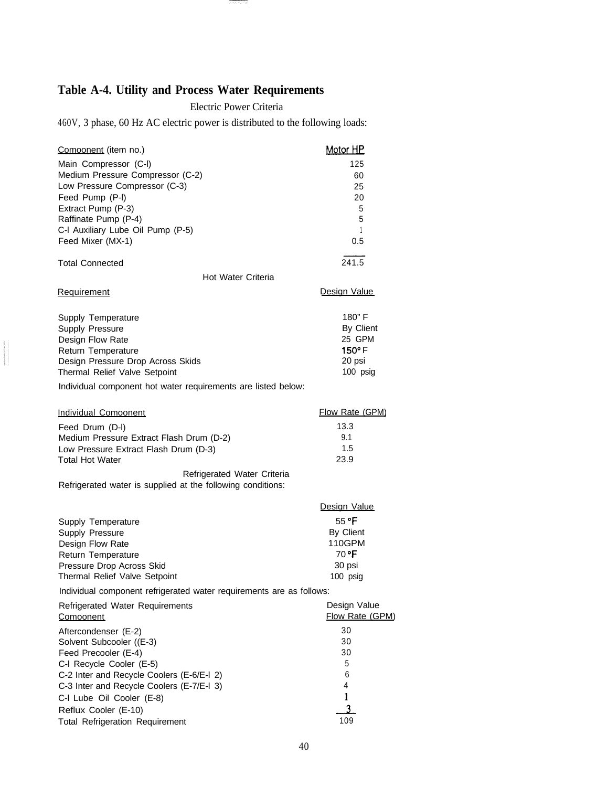# **Table A-4. Utility and Process Water Requirements**

Electric Power Criteria

- इस्लाम स्पत्

460V, 3 phase, 60 Hz AC electric power is distributed to the following loads:

| Comoonent (item no.)                                                 | <b>Motor HP</b> |
|----------------------------------------------------------------------|-----------------|
| Main Compressor (C-I)                                                | 125             |
| Medium Pressure Compressor (C-2)                                     | 60              |
| Low Pressure Compressor (C-3)                                        | 25              |
| Feed Pump (P-I)                                                      | 20              |
| Extract Pump (P-3)                                                   | 5               |
| Raffinate Pump (P-4)                                                 | 5               |
| C-I Auxiliary Lube Oil Pump (P-5)                                    | 1               |
| Feed Mixer (MX-1)                                                    | 0.5             |
| <b>Total Connected</b>                                               | 241.5           |
| Hot Water Criteria                                                   |                 |
| Requirement                                                          | Design Value    |
| Supply Temperature                                                   | 180"F           |
| Supply Pressure                                                      | By Client       |
| Design Flow Rate                                                     | 25 GPM          |
| Return Temperature                                                   | $150^\circ$ F   |
| Design Pressure Drop Across Skids                                    | 20 psi          |
| Thermal Relief Valve Setpoint                                        | 100 psig        |
| Individual component hot water requirements are listed below:        |                 |
| Individual Comoonent                                                 | Flow Rate (GPM) |
| Feed Drum (D-I)                                                      | 13.3            |
| Medium Pressure Extract Flash Drum (D-2)                             | 9.1             |
| Low Pressure Extract Flash Drum (D-3)                                | 1.5             |
| Total Hot Water                                                      | 23.9            |
| Refrigerated Water Criteria                                          |                 |
| Refrigerated water is supplied at the following conditions:          |                 |
|                                                                      | Design Value    |
|                                                                      | 55 °F           |
| Supply Temperature<br>Supply Pressure                                | By Client       |
| Design Flow Rate                                                     | <b>110GPM</b>   |
| Return Temperature                                                   | 70 °F           |
| Pressure Drop Across Skid                                            | 30 psi          |
| Thermal Relief Valve Setpoint                                        | 100 psig        |
| Individual component refrigerated water requirements are as follows: |                 |
| Refrigerated Water Requirements                                      | Design Value    |
| <b>Comoonent</b>                                                     | Flow Rate (GPM) |
| Aftercondenser (E-2)                                                 | 30              |
| Solvent Subcooler ((E-3)                                             | 30              |
| Feed Precooler (E-4)                                                 | 30              |
| C-I Recycle Cooler (E-5)                                             | 5               |
| C-2 Inter and Recycle Coolers (E-6/E-I 2)                            | 6               |
| C-3 Inter and Recycle Coolers (E-7/E-I 3)                            | 4               |
| C-I Lube Oil Cooler (E-8)                                            | 1               |
| Reflux Cooler (E-10)                                                 | 3               |
| <b>Total Refrigeration Requirement</b>                               | 109             |

 $\label{eq:1}$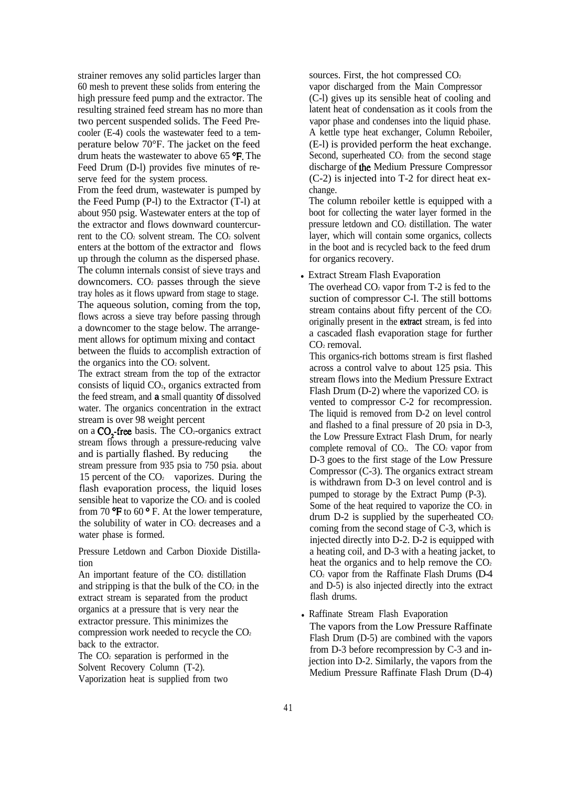strainer removes any solid particles larger than 60 mesh to prevent these solids from entering the high pressure feed pump and the extractor. The resulting strained feed stream has no more than two percent suspended solids. The Feed Precooler (E-4) cools the wastewater feed to a temperature below 70°F. The jacket on the feed drum heats the wastewater to above 65 °F. The Feed Drum (D-l) provides five minutes of reserve feed for the system process.

From the feed drum, wastewater is pumped by the Feed Pump (P-l) to the Extractor (T-l) at about 950 psig. Wastewater enters at the top of the extractor and flows downward countercurrent to the  $CO<sub>2</sub>$  solvent stream. The  $CO<sub>2</sub>$  solvent enters at the bottom of the extractor and flows up through the column as the dispersed phase. The column internals consist of sieve trays and downcomers.  $CO<sub>2</sub>$  passes through the sieve tray holes as it flows upward from stage to stage. The aqueous solution, coming from the top, flows across a sieve tray before passing through a downcomer to the stage below. The arrangement allows for optimum mixing and contact between the fluids to accomplish extraction of the organics into the  $CO<sub>2</sub>$  solvent.

The extract stream from the top of the extractor consists of liquid CO2, organics extracted from the feed stream, and **a** small quantity of dissolved water. The organics concentration in the extract stream is over 98 weight percent

on a  $CO<sub>2</sub>$ -free basis. The  $CO<sub>2</sub>$ -organics extract stream flows through a pressure-reducing valve and is partially flashed. By reducing stream pressure from 935 psia to 750 psia. about 15 percent of the  $CO<sub>2</sub>$  vaporizes. During the flash evaporation process, the liquid loses sensible heat to vaporize the  $CO<sub>2</sub>$  and is cooled from 70  $\rm{P}F$  to 60  $\rm{P}F$ . At the lower temperature, the solubility of water in  $CO<sub>2</sub>$  decreases and a water phase is formed.

Pressure Letdown and Carbon Dioxide Distillation

An important feature of the  $CO<sub>2</sub>$  distillation and stripping is that the bulk of the  $CO<sub>2</sub>$  in the extract stream is separated from the product organics at a pressure that is very near the extractor pressure. This minimizes the compression work needed to recycle the CO<sub>2</sub> back to the extractor.

The  $CO<sub>2</sub>$  separation is performed in the Solvent Recovery Column (T-2). Vaporization heat is supplied from two

sources. First, the hot compressed  $CO<sub>2</sub>$ vapor discharged from the Main Compressor (C-l) gives up its sensible heat of cooling and latent heat of condensation as it cools from the vapor phase and condenses into the liquid phase. A kettle type heat exchanger, Column Reboiler, (E-l) is provided perform the heat exchange. Second, superheated  $CO<sub>2</sub>$  from the second stage discharge of tbe Medium Pressure Compressor (C-2) is injected into T-2 for direct heat exchange.

The column reboiler kettle is equipped with a boot for collecting the water layer formed in the pressure letdown and CO2 distillation. The water layer, which will contain some organics, collects in the boot and is recycled back to the feed drum for organics recovery.

• Extract Stream Flash Evaporation

The overhead  $CO<sub>2</sub>$  vapor from T-2 is fed to the suction of compressor C-l. The still bottoms stream contains about fifty percent of the  $CO<sub>2</sub>$ originally present in the **extract** stream, is fed into a cascaded flash evaporation stage for further CO<sub>2</sub> removal.

This organics-rich bottoms stream is first flashed across a control valve to about 125 psia. This stream flows into the Medium Pressure Extract Flash Drum (D-2) where the vaporized  $CO<sub>2</sub>$  is vented to compressor C-2 for recompression. The liquid is removed from D-2 on level control and flashed to a final pressure of 20 psia in D-3, the Low Pressure Extract Flash Drum, for nearly complete removal of  $CO<sub>2</sub>$ . The  $CO<sub>2</sub>$  vapor from D-3 goes to the first stage of the Low Pressure Compressor (C-3). The organics extract stream is withdrawn from D-3 on level control and is pumped to storage by the Extract Pump (P-3). Some of the heat required to vaporize the  $CO<sub>2</sub>$  in drum D-2 is supplied by the superheated  $CO<sub>2</sub>$ coming from the second stage of C-3, which is injected directly into D-2. D-2 is equipped with a heating coil, and D-3 with a heating jacket, to heat the organics and to help remove the  $CO<sub>2</sub>$  $CO<sub>2</sub>$  vapor from the Raffinate Flash Drums (D-4) and D-5) is also injected directly into the extract flash drums.

• Raffinate Stream Flash Evaporation The vapors from the Low Pressure Raffinate Flash Drum (D-5) are combined with the vapors from D-3 before recompression by C-3 and injection into D-2. Similarly, the vapors from the Medium Pressure Raffinate Flash Drum (D-4)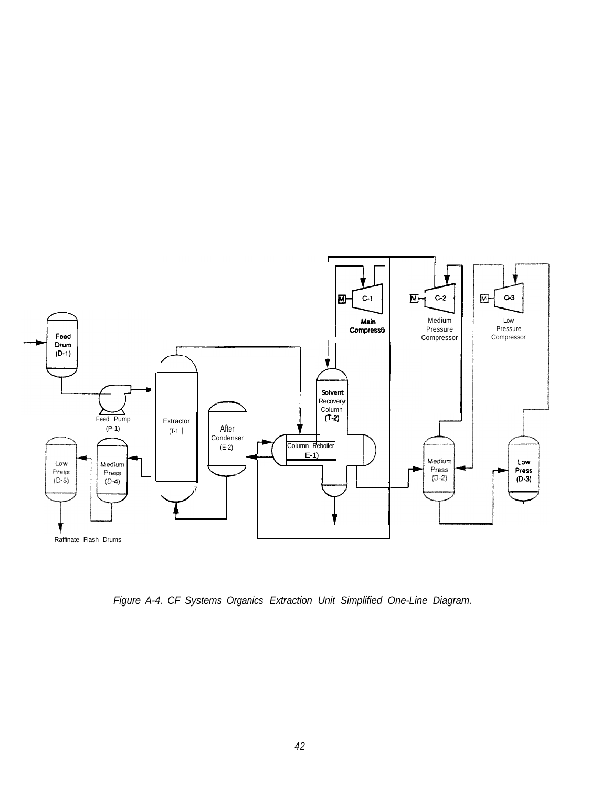![](_page_48_Figure_0.jpeg)

*Figure A-4. CF Systems Organics Extraction Unit Simplified One-Line Diagram.*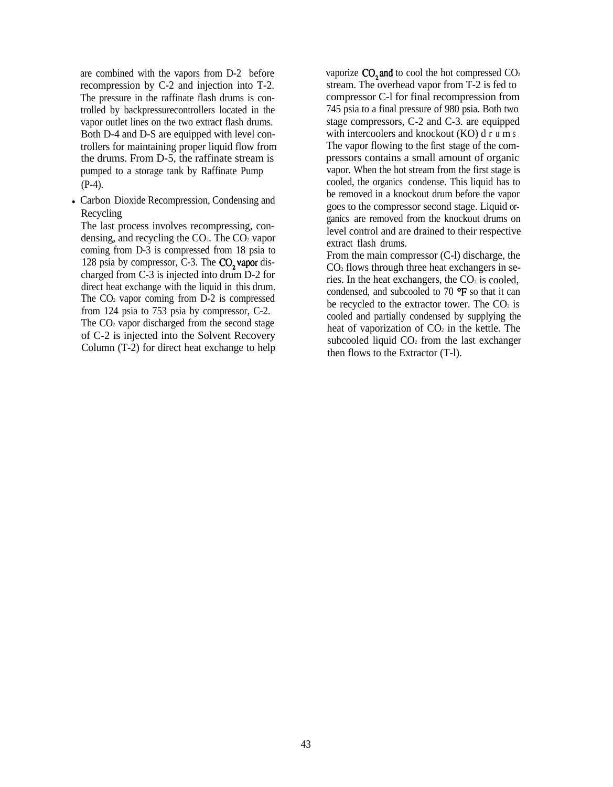are combined with the vapors from D-2 before recompression by C-2 and injection into T-2. The pressure in the raffinate flash drums is controlled by backpressurecontrollers located in the vapor outlet lines on the two extract flash drums. Both D-4 and D-S are equipped with level controllers for maintaining proper liquid flow from the drums. From D-5, the raffinate stream is pumped to a storage tank by Raffinate Pump (P-4).

• Carbon Dioxide Recompression, Condensing and Recycling

The last process involves recompressing, condensing, and recycling the  $CO<sub>2</sub>$ . The  $CO<sub>2</sub>$  vapor coming from D-3 is compressed from 18 psia to 128 psia by compressor, C-3. The CO<sub>2</sub> vapor discharged from C-3 is injected into drum D-2 for direct heat exchange with the liquid in this drum. The  $CO<sub>2</sub>$  vapor coming from D-2 is compressed from 124 psia to 753 psia by compressor, C-2. The  $CO<sub>2</sub>$  vapor discharged from the second stage of C-2 is injected into the Solvent Recovery Column (T-2) for direct heat exchange to help vaporize  $CO<sub>2</sub>$  and to cool the hot compressed  $CO<sub>2</sub>$ stream. The overhead vapor from T-2 is fed to compressor C-l for final recompression from 745 psia to a final pressure of 980 psia. Both two stage compressors, C-2 and C-3. are equipped with intercoolers and knockout (KO) d r u m s. The vapor flowing to the first stage of the compressors contains a small amount of organic vapor. When the hot stream from the first stage is cooled, the organics condense. This liquid has to be removed in a knockout drum before the vapor goes to the compressor second stage. Liquid organics are removed from the knockout drums on level control and are drained to their respective extract flash drums.

From the main compressor (C-l) discharge, the  $CO<sub>2</sub>$  flows through three heat exchangers in series. In the heat exchangers, the  $CO<sub>2</sub>$  is cooled, condensed, and subcooled to 70  $\textdegree$ F so that it can be recycled to the extractor tower. The  $CO<sub>2</sub>$  is cooled and partially condensed by supplying the heat of vaporization of  $CO<sub>2</sub>$  in the kettle. The subcooled liquid  $CO<sub>2</sub>$  from the last exchanger then flows to the Extractor (T-l).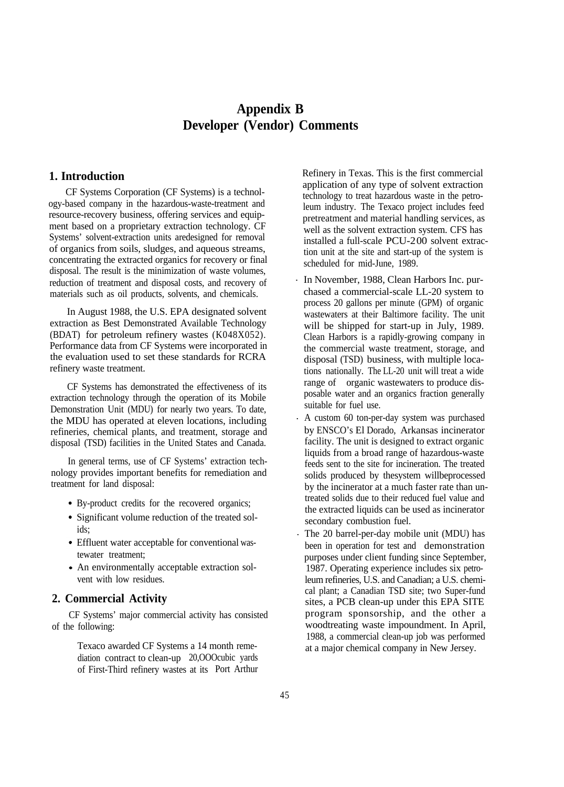# **Appendix B Developer (Vendor) Comments**

# **1. Introduction**

CF Systems Corporation (CF Systems) is a technology-based company in the hazardous-waste-treatment and resource-recovery business, offering services and equipment based on a proprietary extraction technology. CF Systems' solvent-extraction units aredesigned for removal of organics from soils, sludges, and aqueous streams, concentrating the extracted organics for recovery or final disposal. The result is the minimization of waste volumes, reduction of treatment and disposal costs, and recovery of materials such as oil products, solvents, and chemicals.

In August 1988, the U.S. EPA designated solvent extraction as Best Demonstrated Available Technology (BDAT) for petroleum refinery wastes (K048X052). Performance data from CF Systems were incorporated in the evaluation used to set these standards for RCRA refinery waste treatment.

CF Systems has demonstrated the effectiveness of its extraction technology through the operation of its Mobile Demonstration Unit (MDU) for nearly two years. To date, the MDU has operated at eleven locations, including refineries, chemical plants, and treatment, storage and disposal (TSD) facilities in the United States and Canada.

In general terms, use of CF Systems' extraction technology provides important benefits for remediation and treatment for land disposal:

- By-product credits for the recovered organics;
- Significant volume reduction of the treated solids;
- Effluent water acceptable for conventional wastewater treatment;
- An environmentally acceptable extraction solvent with low residues.

# **2. Commercial Activity**

CF Systems' major commercial activity has consisted of the following:

> Texaco awarded CF Systems a 14 month remediation contract to clean-up 20,OOOcubic yards of First-Third refinery wastes at its Port Arthur

Refinery in Texas. This is the first commercial application of any type of solvent extraction technology to treat hazardous waste in the petroleum industry. The Texaco project includes feed pretreatment and material handling services, as well as the solvent extraction system. CFS has installed a full-scale PCU-200 solvent extraction unit at the site and start-up of the system is scheduled for mid-June, 1989.

- . In November, 1988, Clean Harbors Inc. purchased a commercial-scale LL-20 system to process 20 gallons per minute (GPM) of organic wastewaters at their Baltimore facility. The unit will be shipped for start-up in July, 1989. Clean Harbors is a rapidly-growing company in the commercial waste treatment, storage, and disposal (TSD) business, with multiple locations nationally. The LL-20 unit will treat a wide range of organic wastewaters to produce disposable water and an organics fraction generally suitable for fuel use.
- . A custom 60 ton-per-day system was purchased by ENSCO's El Dorado, Arkansas incinerator facility. The unit is designed to extract organic liquids from a broad range of hazardous-waste feeds sent to the site for incineration. The treated solids produced by thesystem willbeprocessed by the incinerator at a much faster rate than untreated solids due to their reduced fuel value and the extracted liquids can be used as incinerator secondary combustion fuel.
- . The 20 barrel-per-day mobile unit (MDU) has been in operation for test and demonstration purposes under client funding since September, 1987. Operating experience includes six petroleum refineries, U.S. and Canadian; a U.S. chemical plant; a Canadian TSD site; two Super-fund sites, a PCB clean-up under this EPA SITE program sponsorship, and the other a woodtreating waste impoundment. In April, 1988, a commercial clean-up job was performed at a major chemical company in New Jersey.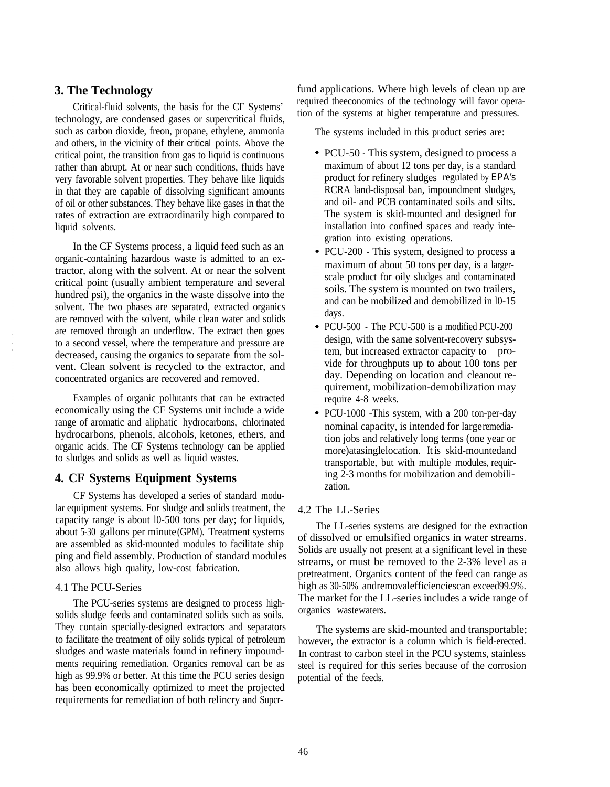# **3. The Technology**

Critical-fluid solvents, the basis for the CF Systems' technology, are condensed gases or supercritical fluids, such as carbon dioxide, freon, propane, ethylene, ammonia and others, in the vicinity of their critical points. Above the critical point, the transition from gas to liquid is continuous rather than abrupt. At or near such conditions, fluids have very favorable solvent properties. They behave like liquids in that they are capable of dissolving significant amounts of oil or other substances. They behave like gases in that the rates of extraction are extraordinarily high compared to liquid solvents.

In the CF Systems process, a liquid feed such as an organic-containing hazardous waste is admitted to an extractor, along with the solvent. At or near the solvent critical point (usually ambient temperature and several hundred psi), the organics in the waste dissolve into the solvent. The two phases are separated, extracted organics are removed with the solvent, while clean water and solids are removed through an underflow. The extract then goes to a second vessel, where the temperature and pressure are decreased, causing the organics to separate from the solvent. Clean solvent is recycled to the extractor, and concentrated organics are recovered and removed.

Examples of organic pollutants that can be extracted economically using the CF Systems unit include a wide range of aromatic and aliphatic hydrocarbons, chlorinated hydrocarbons, phenols, alcohols, ketones, ethers, and organic acids. The CF Systems technology can be applied to sludges and solids as well as liquid wastes.

# **4. CF Systems Equipment Systems**

CF Systems has developed a series of standard modular equipment systems. For sludge and solids treatment, the capacity range is about l0-500 tons per day; for liquids, about 5-30 gallons per minute (GPM). Treatment systems are assembled as skid-mounted modules to facilitate ship ping and field assembly. Production of standard modules also allows high quality, low-cost fabrication.

#### 4.1 The PCU-Series

The PCU-series systems are designed to process highsolids sludge feeds and contaminated solids such as soils. They contain specially-designed extractors and separators to facilitate the treatment of oily solids typical of petroleum sludges and waste materials found in refinery impoundments requiring remediation. Organics removal can be as high as 99.9% or better. At this time the PCU series design has been economically optimized to meet the projected requirements for remediation of both relincry and Supcrfund applications. Where high levels of clean up are required theeconomics of the technology will favor operation of the systems at higher temperature and pressures.

The systems included in this product series are:

- PCU-50 This system, designed to process a maximum of about 12 tons per day, is a standard product for refinery sludges regulated by EPA's RCRA land-disposal ban, impoundment sludges, and oil- and PCB contaminated soils and silts. The system is skid-mounted and designed for installation into confined spaces and ready integration into existing operations.
- PCU-200 This system, designed to process a maximum of about 50 tons per day, is a largerscale product for oily sludges and contaminated soils. The system is mounted on two trailers, and can be mobilized and demobilized in l0-15 days.
- PCU-500 The PCU-500 is a modified PCU-200 design, with the same solvent-recovery subsystem, but increased extractor capacity to provide for throughputs up to about 100 tons per day. Depending on location and cleanout requirement, mobilization-demobilization may require 4-8 weeks.
- PCU-1000 -This system, with a 200 ton-per-day nominal capacity, is intended for large remediation jobs and relatively long terms (one year or more)atasinglelocation. It is skid-mountedand transportable, but with multiple modules, requiring 2-3 months for mobilization and demobilization.

#### 4.2 The LL-Series

The LL-series systems are designed for the extraction of dissolved or emulsified organics in water streams. Solids are usually not present at a significant level in these streams, or must be removed to the 2-3% level as a pretreatment. Organics content of the feed can range as high as 30-50% andremovalefficienciescan exceed 99.9%. The market for the LL-series includes a wide range of organics wastewaters.

The systems are skid-mounted and transportable; however, the extractor is a column which is field-erected. In contrast to carbon steel in the PCU systems, stainless steel is required for this series because of the corrosion potential of the feeds.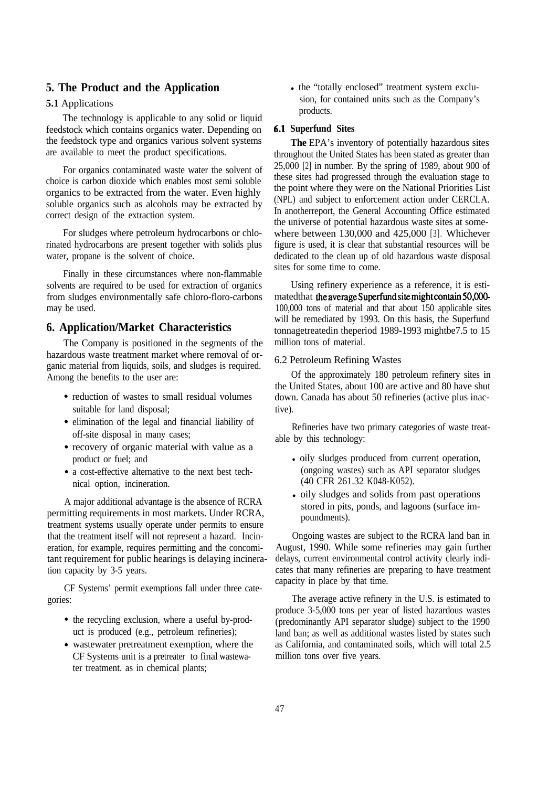# **5. The Product and the Application**

#### **5.1** Applications

The technology is applicable to any solid or liquid feedstock which contains organics water. Depending on the feedstock type and organics various solvent systems are available to meet the product specifications.

For organics contaminated waste water the solvent of choice is carbon dioxide which enables most semi soluble organics to be extracted from the water. Even highly soluble organics such as alcohols may be extracted by correct design of the extraction system.

For sludges where petroleum hydrocarbons or chlorinated hydrocarbons are present together with solids plus water, propane is the solvent of choice.

Finally in these circumstances where non-flammable solvents are required to be used for extraction of organics from sludges environmentally safe chloro-floro-carbons may be used.

# **6. Application/Market Characteristics**

The Company is positioned in the segments of the hazardous waste treatment market where removal of organic material from liquids, soils, and sludges is required. Among the benefits to the user are:

- reduction of wastes to small residual volumes suitable for land disposal;
- elimination of the legal and financial liability of off-site disposal in many cases;
- recovery of organic material with value as a product or fuel; and
- a cost-effective alternative to the next best technical option, incineration.

A major additional advantage is the absence of RCRA permitting requirements in most markets. Under RCRA, treatment systems usually operate under permits to ensure that the treatment itself will not represent a hazard. Incineration, for example, requires permitting and the concomitant requirement for public hearings is delaying incineration capacity by 3-5 years.

CF Systems' permit exemptions fall under three categories:

- the recycling exclusion, where a useful by-product is produced (e.g., petroleum refineries);
- wastewater pretreatment exemption, where the CF Systems unit is a pretreater to final wastewater treatment. as in chemical plants;

• the "totally enclosed" treatment system exclusion, for contained units such as the Company's products.

#### **Superfund Sites**

**The** EPA's inventory of potentially hazardous sites throughout the United States has been stated as greater than 25,000 [2] in number. By the spring of 1989, about 900 of these sites had progressed through the evaluation stage to the point where they were on the National Priorities List (NPL) and subject to enforcement action under CERCLA. In anotherreport, the General Accounting Office estimated the universe of potential hazardous waste sites at somewhere between 130,000 and 425,000 [3]. Whichever figure is used, it is clear that substantial resources will be dedicated to the clean up of old hazardous waste disposal sites for some time to come.

Using refinery experience as a reference, it is estimated that the average Superfund site might contain 50,000-100,000 tons of material and that about 150 applicable sites will be remediated by 1993. On this basis, the Superfund tonnagetreatedin theperiod 1989-1993 mightbe7.5 to 15 million tons of material.

#### 6.2 Petroleum Refining Wastes

Of the approximately 180 petroleum refinery sites in the United States, about 100 are active and 80 have shut down. Canada has about 50 refineries (active plus inactive).

Refineries have two primary categories of waste treatable by this technology:

- $\bullet$  oily sludges produced from current operation, (ongoing wastes) such as API separator sludges (40 CFR 261.32 K048-K052).
- oily sludges and solids from past operations stored in pits, ponds, and lagoons (surface impoundments).

Ongoing wastes are subject to the RCRA land ban in August, 1990. While some refineries may gain further delays, current environmental control activity clearly indicates that many refineries are preparing to have treatment capacity in place by that time.

The average active refinery in the U.S. is estimated to produce 3-5,000 tons per year of listed hazardous wastes (predominantly API separator sludge) subject to the 1990 land ban; as well as additional wastes listed by states such as California, and contaminated soils, which will total 2.5 million tons over five years.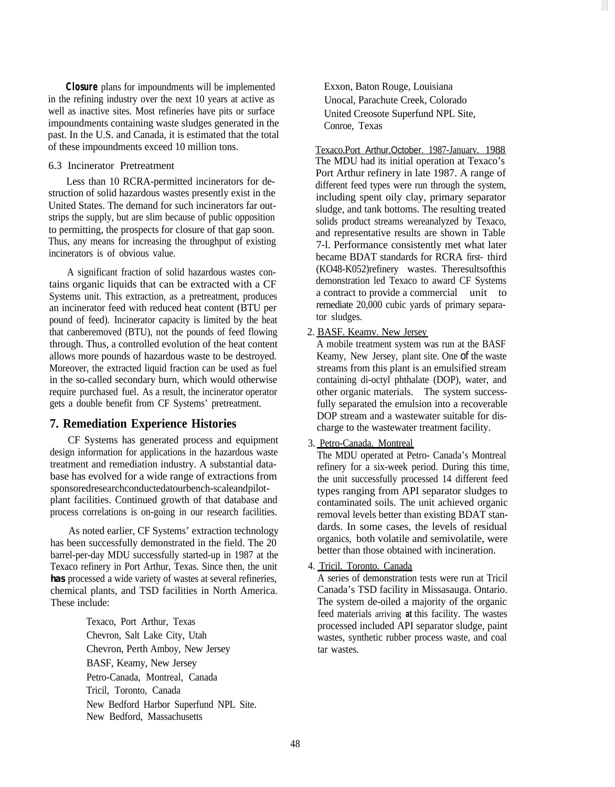**Closure** plans for impoundments will be implemented in the refining industry over the next 10 years at active as well as inactive sites. Most refineries have pits or surface impoundments containing waste sludges generated in the past. In the U.S. and Canada, it is estimated that the total of these impoundments exceed 10 million tons.

#### 6.3 Incinerator Pretreatment

Less than 10 RCRA-permitted incinerators for destruction of solid hazardous wastes presently exist in the United States. The demand for such incinerators far outstrips the supply, but are slim because of public opposition to permitting, the prospects for closure of that gap soon. Thus, any means for increasing the throughput of existing incinerators is of obvious value.

A significant fraction of solid hazardous wastes contains organic liquids that can be extracted with a CF Systems unit. This extraction, as a pretreatment, produces an incinerator feed with reduced heat content (BTU per pound of feed). Incinerator capacity is limited by the heat that canberemoved (BTU), not the pounds of feed flowing through. Thus, a controlled evolution of the heat content allows more pounds of hazardous waste to be destroyed. Moreover, the extracted liquid fraction can be used as fuel in the so-called secondary burn, which would otherwise require purchased fuel. As a result, the incinerator operator gets a double benefit from CF Systems' pretreatment.

# **7. Remediation Experience Histories**

CF Systems has generated process and equipment design information for applications in the hazardous waste treatment and remediation industry. A substantial database has evolved for a wide range of extractions from sponsoredresearchconductedatourbench-scaleandpilotplant facilities. Continued growth of that database and process correlations is on-going in our research facilities.

As noted earlier, CF Systems' extraction technology has been successfully demonstrated in the field. The 20 barrel-per-day MDU successfully started-up in 1987 at the Texaco refinery in Port Arthur, Texas. Since then, the unit **has** processed a wide variety of wastes at several refineries, chemical plants, and TSD facilities in North America. These include:

> Texaco, Port Arthur, Texas Chevron, Salt Lake City, Utah Chevron, Perth Amboy, New Jersey BASF, Keamy, New Jersey Petro-Canada, Montreal, Canada Tricil, Toronto, Canada New Bedford Harbor Superfund NPL Site. New Bedford, Massachusetts

Exxon, Baton Rouge, Louisiana Unocal, Parachute Creek, Colorado United Creosote Superfund NPL Site, Conroe, Texas

Texaco.Port Arthur.October. 1987-Januarv. 1988 The MDU had its initial operation at Texaco's Port Arthur refinery in late 1987. A range of different feed types were run through the system, including spent oily clay, primary separator sludge, and tank bottoms. The resulting treated solids product streams wereanalyzed by Texaco, and representative results are shown in Table 7-l. Performance consistently met what later became BDAT standards for RCRA first- third (KO48-K052)refinery wastes. Theresultsofthis demonstration led Texaco to award CF Systems a contract to provide a commercial unit to remediate 20,000 cubic yards of primary separator sludges.

# 2. BASF. Keamv. New Jersey

A mobile treatment system was run at the BASF Keamy, New Jersey, plant site. One of the waste streams from this plant is an emulsified stream containing di-octyl phthalate (DOP), water, and other organic materials. The system successfully separated the emulsion into a recoverable DOP stream and a wastewater suitable for discharge to the wastewater treatment facility.

#### 3. Petro-Canada. Montreal

The MDU operated at Petro- Canada's Montreal refinery for a six-week period. During this time, the unit successfully processed 14 different feed types ranging from API separator sludges to contaminated soils. The unit achieved organic removal levels better than existing BDAT standards. In some cases, the levels of residual organics, both volatile and semivolatile, were better than those obtained with incineration.

#### 4. Tricil. Toronto. Canada

A series of demonstration tests were run at Tricil Canada's TSD facility in Missasauga. Ontario. The system de-oiled a majority of the organic feed materials arriving **at** this facility. The wastes processed included API separator sludge, paint wastes, synthetic rubber process waste, and coal tar wastes.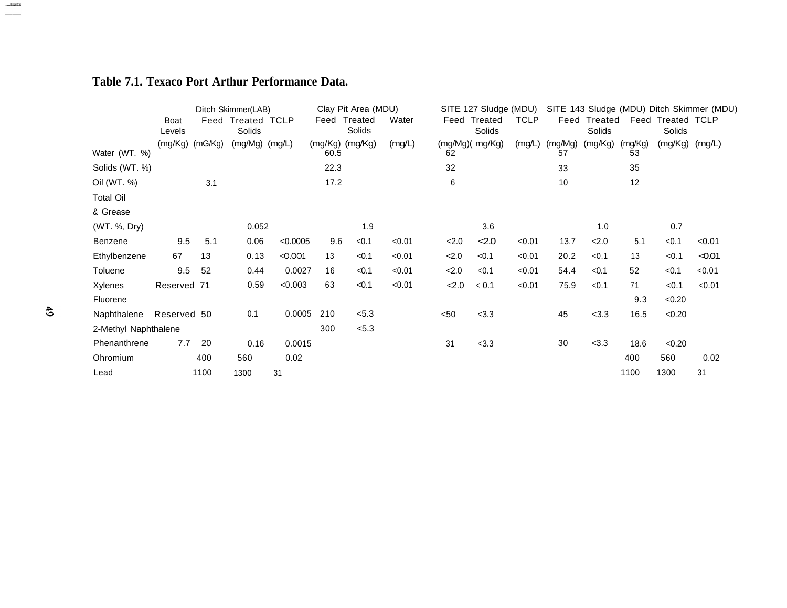# **Table 7.1. Texaco Port Arthur Performance Data.**

|                      | Ditch Skimmer(LAB) |      |                             |          | Clay Pit Area (MDU) |                   |        | SITE 127 Sludge (MDU) |                        |             | SITE 143 Sludge (MDU) Ditch Skimmer (MDU) |                   |               |                             |        |
|----------------------|--------------------|------|-----------------------------|----------|---------------------|-------------------|--------|-----------------------|------------------------|-------------|-------------------------------------------|-------------------|---------------|-----------------------------|--------|
|                      | Boat<br>Levels     |      | Feed Treated TCLP<br>Solids |          | Feed                | Treated<br>Solids | Water  |                       | Feed Treated<br>Solids | <b>TCLP</b> | Feed                                      | Treated<br>Solids |               | Feed Treated TCLP<br>Solids |        |
| Water (WT. %)        | (mg/Kg) (mG/Kg)    |      | $(mg/Mg)$ $(mg/L)$          |          | 60.5                | (mg/Kg) (mg/Kg)   | (mg/L) | 62                    | (mg/Mg)( mg/Kg)        | (mg/L)      | (mg/Mg)<br>57                             | (mg/Kg)           | (mg/Kg)<br>53 | (mg/Kg)                     | (mg/L) |
| Solids (WT. %)       |                    |      |                             |          | 22.3                |                   |        | 32                    |                        |             | 33                                        |                   | 35            |                             |        |
| Oil (WT. %)          |                    | 3.1  |                             |          | 17.2                |                   |        | 6                     |                        |             | 10                                        |                   | 12            |                             |        |
| <b>Total Oil</b>     |                    |      |                             |          |                     |                   |        |                       |                        |             |                                           |                   |               |                             |        |
| & Grease             |                    |      |                             |          |                     |                   |        |                       |                        |             |                                           |                   |               |                             |        |
| (WT. %, Dry)         |                    |      | 0.052                       |          |                     | 1.9               |        |                       | 3.6                    |             |                                           | 1.0               |               | 0.7                         |        |
| Benzene              | 9.5                | 5.1  | 0.06                        | < 0.0005 | 9.6                 | < 0.1             | < 0.01 | 2.0                   | 2.0                    | < 0.01      | 13.7                                      | 2.0               | 5.1           | < 0.1                       | < 0.01 |
| Ethylbenzene         | 67                 | 13   | 0.13                        | < 0.001  | 13                  | < 0.1             | < 0.01 | 2.0                   | < 0.1                  | < 0.01      | 20.2                                      | < 0.1             | 13            | < 0.1                       | < 0.01 |
| Toluene              | 9.5                | 52   | 0.44                        | 0.0027   | 16                  | < 0.1             | < 0.01 | 2.0                   | < 0.1                  | < 0.01      | 54.4                                      | < 0.1             | 52            | < 0.1                       | < 0.01 |
| Xylenes              | Reserved 71        |      | 0.59                        | < 0.003  | 63                  | < 0.1             | < 0.01 | 2.0                   | < 0.1                  | < 0.01      | 75.9                                      | < 0.1             | 71            | < 0.1                       | < 0.01 |
| Fluorene             |                    |      |                             |          |                     |                   |        |                       |                        |             |                                           |                   | 9.3           | < 0.20                      |        |
| Naphthalene          | Reserved 50        |      | 0.1                         | 0.0005   | 210                 | < 5.3             |        | $50$                  | <3.3                   |             | 45                                        | < 3.3             | 16.5          | < 0.20                      |        |
| 2-Methyl Naphthalene |                    |      |                             |          | 300                 | < 5.3             |        |                       |                        |             |                                           |                   |               |                             |        |
| Phenanthrene         | 7.7                | 20   | 0.16                        | 0.0015   |                     |                   |        | 31                    | <3.3                   |             | 30                                        | < 3.3             | 18.6          | < 0.20                      |        |
| Ohromium             |                    | 400  | 560                         | 0.02     |                     |                   |        |                       |                        |             |                                           |                   | 400           | 560                         | 0.02   |
| Lead                 |                    | 1100 | 1300                        | 31       |                     |                   |        |                       |                        |             |                                           |                   | 1100          | 1300                        | 31     |

and and the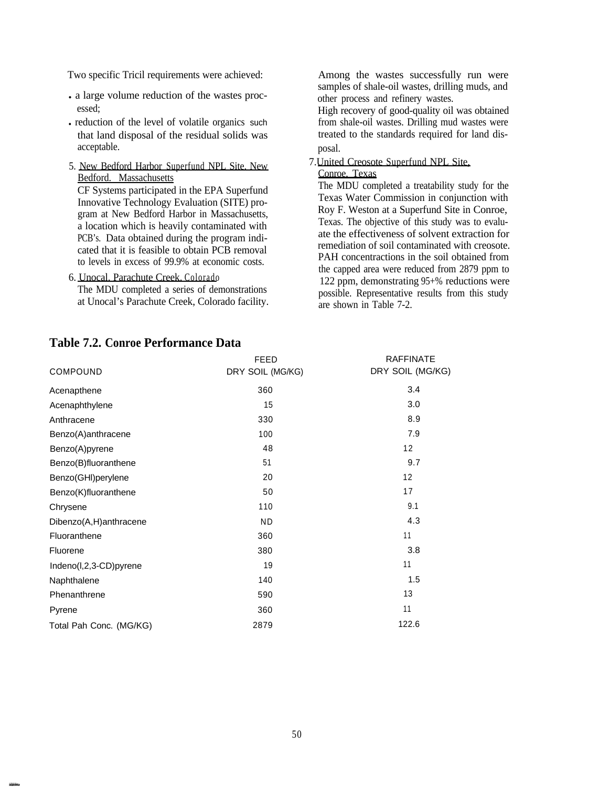Two specific Tricil requirements were achieved:

- l a large volume reduction of the wastes processed;
- reduction of the level of volatile organics such that land disposal of the residual solids was acceptable.
- 5. New Bedford Harbor Superfund NPL Site. New Bedford. Massachusetts

CF Systems participated in the EPA Superfund Innovative Technology Evaluation (SITE) program at New Bedford Harbor in Massachusetts, a location which is heavily contaminated with PCB's. Data obtained during the program indicated that it is feasible to obtain PCB removal to levels in excess of 99.9% at economic costs.

6. Unocal. Parachute Creek. Colorado

The MDU completed a series of demonstrations at Unocal's Parachute Creek, Colorado facility.

**Table 7.2. Conroe Performance Data**

Among the wastes successfully run were samples of shale-oil wastes, drilling muds, and other process and refinery wastes.

High recovery of good-quality oil was obtained from shale-oil wastes. Drilling mud wastes were treated to the standards required for land disposal.

7.United Creosote Superfund NPL Site,

### Conroe, Texas The MDU completed a treatability study for the

Texas Water Commission in conjunction with Roy F. Weston at a Superfund Site in Conroe, Texas. The objective of this study was to evaluate the effectiveness of solvent extraction for remediation of soil contaminated with creosote. PAH concentractions in the soil obtained from the capped area were reduced from 2879 ppm to 122 ppm, demonstrating 95+% reductions were possible. Representative results from this study are shown in Table 7-2.

|                         | <b>FEED</b>      | <b>RAFFINATE</b> |
|-------------------------|------------------|------------------|
| <b>COMPOUND</b>         | DRY SOIL (MG/KG) | DRY SOIL (MG/KG) |
| Acenapthene             | 360              | 3.4              |
| Acenaphthylene          | 15               | 3.0              |
| Anthracene              | 330              | 8.9              |
| Benzo(A)anthracene      | 100              | 7.9              |
| Benzo(A)pyrene          | 48               | 12               |
| Benzo(B)fluoranthene    | 51               | 9.7              |
| Benzo(GHI)perylene      | 20               | 12               |
| Benzo(K)fluoranthene    | 50               | 17               |
| Chrysene                | 110              | 9.1              |
| Dibenzo(A,H)anthracene  | ND.              | 4.3              |
| Fluoranthene            | 360              | 11               |
| Fluorene                | 380              | 3.8              |
| Indeno(I,2,3-CD)pyrene  | 19               | 11               |
| Naphthalene             | 140              | 1.5              |
| Phenanthrene            | 590              | 13               |
| Pyrene                  | 360              | 11               |
| Total Pah Conc. (MG/KG) | 2879             | 122.6            |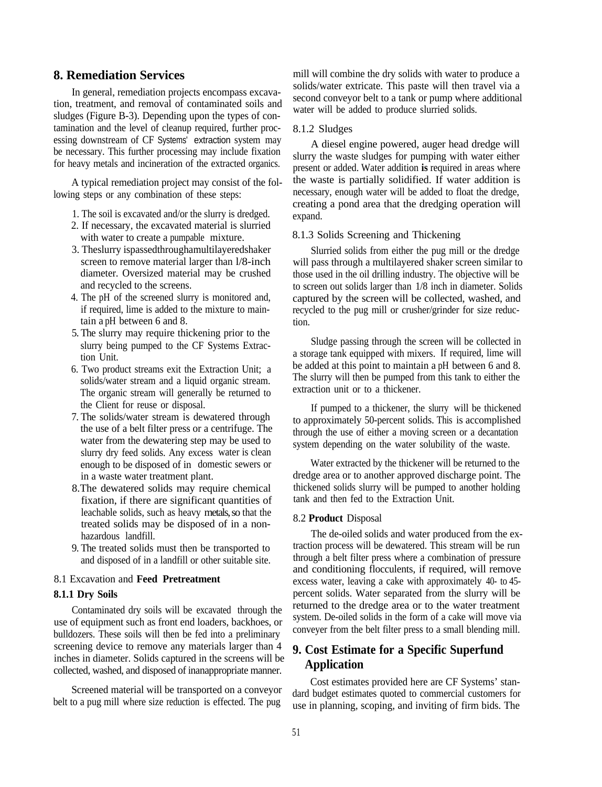# **8. Remediation Services**

In general, remediation projects encompass excavation, treatment, and removal of contaminated soils and sludges (Figure B-3). Depending upon the types of contamination and the level of cleanup required, further processing downstream of CF Systems' extraction system may be necessary. This further processing may include fixation for heavy metals and incineration of the extracted organics.

A typical remediation project may consist of the following steps or any combination of these steps:

- 1. The soil is excavated and/or the slurry is dredged.
- 2. If necessary, the excavated material is slurried with water to create a pumpable mixture.
- 3. Theslurry ispassedthroughamultilayeredshaker screen to remove material larger than l/8-inch diameter. Oversized material may be crushed and recycled to the screens.
- 4. The pH of the screened slurry is monitored and, if required, lime is added to the mixture to maintain a pH between 6 and 8.
- 5. The slurry may require thickening prior to the slurry being pumped to the CF Systems Extraction Unit.
- 6. Two product streams exit the Extraction Unit; a solids/water stream and a liquid organic stream. The organic stream will generally be returned to the Client for reuse or disposal.
- 7. The solids/water stream is dewatered through the use of a belt filter press or a centrifuge. The water from the dewatering step may be used to slurry dry feed solids. Any excess water is clean enough to be disposed of in domestic sewers or in a waste water treatment plant.
- 8.The dewatered solids may require chemical fixation, if there are significant quantities of leachable solids, such as heavy metals, so that the treated solids may be disposed of in a nonhazardous landfill.
- 9. The treated solids must then be transported to and disposed of in a landfill or other suitable site.

#### 8.1 Excavation and **Feed Pretreatment**

#### **8.1.1 Dry Soils**

Contaminated dry soils will be excavated through the use of equipment such as front end loaders, backhoes, or bulldozers. These soils will then be fed into a preliminary screening device to remove any materials larger than 4 inches in diameter. Solids captured in the screens will be collected, washed, and disposed of inanappropriate manner.

Screened material will be transported on a conveyor belt to a pug mill where size reduction is effected. The pug

mill will combine the dry solids with water to produce a solids/water extricate. This paste will then travel via a second conveyor belt to a tank or pump where additional water will be added to produce slurried solids.

#### 8.1.2 Sludges

A diesel engine powered, auger head dredge will slurry the waste sludges for pumping with water either present or added. Water addition **is** required in areas where the waste is partially solidified. If water addition is necessary, enough water will be added to float the dredge, creating a pond area that the dredging operation will expand.

#### 8.1.3 Solids Screening and Thickening

Slurried solids from either the pug mill or the dredge will pass through a multilayered shaker screen similar to those used in the oil drilling industry. The objective will be to screen out solids larger than 1/8 inch in diameter. Solids captured by the screen will be collected, washed, and recycled to the pug mill or crusher/grinder for size reduction.

Sludge passing through the screen will be collected in a storage tank equipped with mixers. If required, lime will be added at this point to maintain a pH between 6 and 8. The slurry will then be pumped from this tank to either the extraction unit or to a thickener.

If pumped to a thickener, the slurry will be thickened to approximately 50-percent solids. This is accomplished through the use of either a moving screen or a decantation system depending on the water solubility of the waste.

Water extracted by the thickener will be returned to the dredge area or to another approved discharge point. The thickened solids slurry will be pumped to another holding tank and then fed to the Extraction Unit.

#### 8.2 **Product** Disposal

The de-oiled solids and water produced from the extraction process will be dewatered. This stream will be run through a belt filter press where a combination of pressure and conditioning flocculents, if required, will remove excess water, leaving a cake with approximately 40- to 45 percent solids. Water separated from the slurry will be returned to the dredge area or to the water treatment system. De-oiled solids in the form of a cake will move via conveyer from the belt filter press to a small blending mill.

# **9. Cost Estimate for a Specific Superfund Application**

Cost estimates provided here are CF Systems' standard budget estimates quoted to commercial customers for use in planning, scoping, and inviting of firm bids. The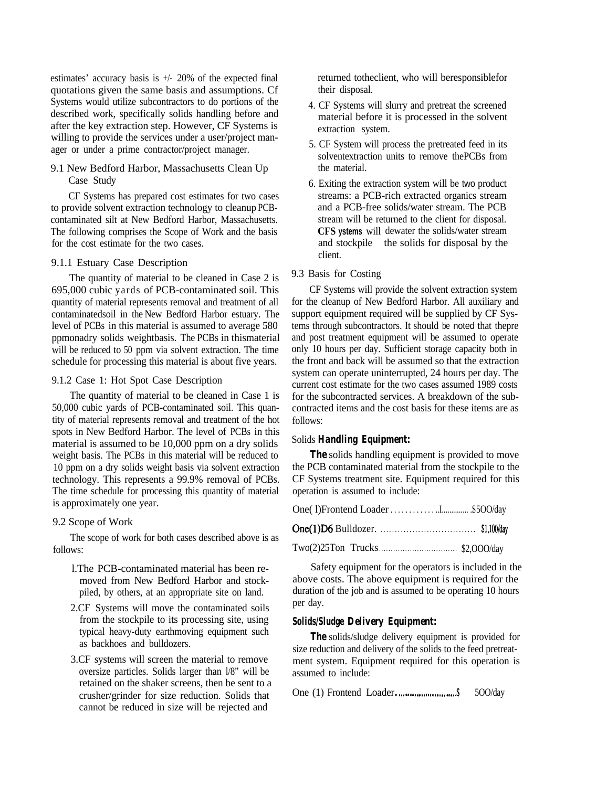estimates' accuracy basis is +/- 20% of the expected final quotations given the same basis and assumptions. Cf Systems would utilize subcontractors to do portions of the described work, specifically solids handling before and after the key extraction step. However, CF Systems is willing to provide the services under a user/project manager or under a prime contractor/project manager.

9.1 New Bedford Harbor, Massachusetts Clean Up Case Study

CF Systems has prepared cost estimates for two cases to provide solvent extraction technology to cleanup PCBcontaminated silt at New Bedford Harbor, Massachusetts. The following comprises the Scope of Work and the basis for the cost estimate for the two cases.

#### 9.1.1 Estuary Case Description

The quantity of material to be cleaned in Case 2 is 695,000 cubic yards of PCB-contaminated soil. This quantity of material represents removal and treatment of all contaminatedsoil in the New Bedford Harbor estuary. The level of PCBs in this material is assumed to average 580 ppmonadry solids weightbasis. The PCBs in thismaterial will be reduced to 50 ppm via solvent extraction. The time schedule for processing this material is about five years.

### 9.1.2 Case 1: Hot Spot Case Description

The quantity of material to be cleaned in Case 1 is 50,000 cubic yards of PCB-contaminated soil. This quantity of material represents removal and treatment of the hot spots in New Bedford Harbor. The level of PCBs in this material is assumed to be 10,000 ppm on a dry solids weight basis. The PCBs in this material will be reduced to 10 ppm on a dry solids weight basis via solvent extraction technology. This represents a 99.9% removal of PCBs. The time schedule for processing this quantity of material is approximately one year.

#### 9.2 Scope of Work

The scope of work for both cases described above is as follows:

- l.The PCB-contaminated material has been removed from New Bedford Harbor and stockpiled, by others, at an appropriate site on land.
- 2.CF Systems will move the contaminated soils from the stockpile to its processing site, using typical heavy-duty earthmoving equipment such as backhoes and bulldozers.
- 3.CF systems will screen the material to remove oversize particles. Solids larger than l/8" will be retained on the shaker screens, then be sent to a crusher/grinder for size reduction. Solids that cannot be reduced in size will be rejected and

returned totheclient, who will beresponsiblefor their disposal.

- 4. CF Systems will slurry and pretreat the screened material before it is processed in the solvent extraction system.
- 5. CF System will process the pretreated feed in its solventextraction units to remove thePCBs from the material.
- 6. Exiting the extraction system will be two product streams: a PCB-rich extracted organics stream and a PCB-free solids/water stream. The PCB stream will be returned to the client for disposal. **CFS ystems** will dewater the solids/water stream and stockpile the solids for disposal by the client.

#### 9.3 Basis for Costing

CF Systems will provide the solvent extraction system for the cleanup of New Bedford Harbor. All auxiliary and support equipment required will be supplied by CF Systems through subcontractors. It should be noted that thepre and post treatment equipment will be assumed to operate only 10 hours per day. Sufficient storage capacity both in the front and back will be assumed so that the extraction system can operate uninterrupted, 24 hours per day. The current cost estimate for the two cases assumed 1989 costs for the subcontracted services. A breakdown of the subcontracted items and the cost basis for these items are as follows:

### Solids *Handling Equipment:*

**The** solids handling equipment is provided to move the PCB contaminated material from the stockpile to the CF Systems treatment site. Equipment required for this operation is assumed to include:

Safety equipment for the operators is included in the above costs. The above equipment is required for the duration of the job and is assumed to be operating 10 hours per day.

#### *Solids/Sludge Delivery Equipment:*

*The* solids/sludge delivery equipment is provided for size reduction and delivery of the solids to the feed pretreatment system. Equipment required for this operation is assumed to include:

One  $(1)$  Frontend Loader. . . . . . . . . . . . . . . . . . 500/day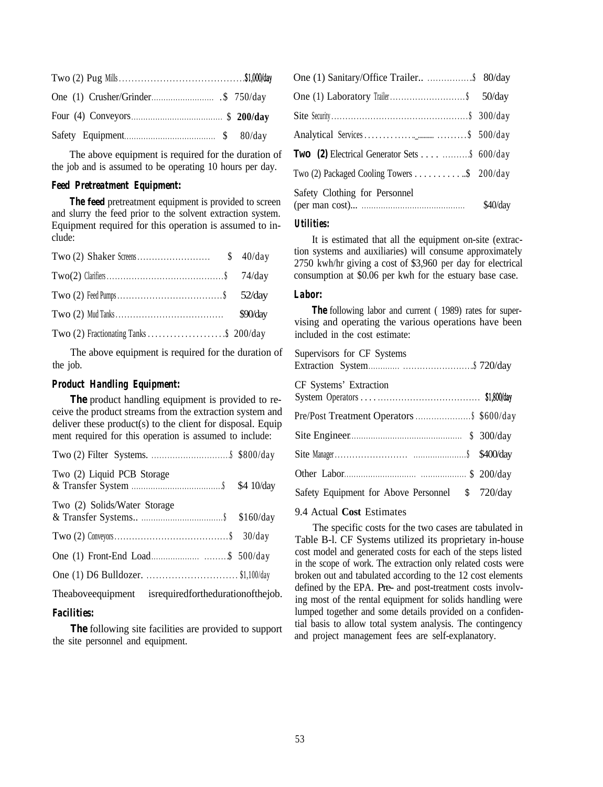The above equipment is required for the duration of the job and is assumed to be operating 10 hours per day.

#### *Feed Pretreatment Equipment:*

*The feed pretreatment equipment is provided to screen* and slurry the feed prior to the solvent extraction system. Equipment required for this operation is assumed to include:

The above equipment is required for the duration of the job.

#### *Product Handling Equipment:*

*The product handling equipment is provided to re*ceive the product streams from the extraction system and deliver these product(s) to the client for disposal. Equip ment required for this operation is assumed to include:

| Two (2) Liquid PCB Storage                                   |  |
|--------------------------------------------------------------|--|
| Two (2) Solids/Water Storage                                 |  |
|                                                              |  |
|                                                              |  |
| One (1) D6 Bulldozer. \$1,100/day                            |  |
| The above equipment is required for the duration of the job. |  |

#### *Facilities:*

*The following site facilities are provided to support* the site personnel and equipment.

| One (1) Sanitary/Office Trailer \$ 80/day |          |
|-------------------------------------------|----------|
|                                           |          |
|                                           |          |
|                                           |          |
|                                           |          |
|                                           |          |
| Safety Clothing for Personnel             | \$40/day |

#### *Utilities:*

It is estimated that all the equipment on-site (extraction systems and auxiliaries) will consume approximately 2750 kwh/hr giving a cost of \$3,960 per day for electrical consumption at \$0.06 per kwh for the estuary base case.

# *Labor:*

**The** following labor and current (1989) rates for supervising and operating the various operations have been included in the cost estimate:

| Supervisors for CF Systems                      |  |
|-------------------------------------------------|--|
| CF Systems' Extraction                          |  |
|                                                 |  |
|                                                 |  |
|                                                 |  |
|                                                 |  |
| Safety Equipment for Above Personnel \$ 720/day |  |
|                                                 |  |

9.4 Actual **Cost** Estimates

The specific costs for the two cases are tabulated in Table B-l. CF Systems utilized its proprietary in-house cost model and generated costs for each of the steps listed in the scope of work. The extraction only related costs were broken out and tabulated according to the 12 cost elements defined by the EPA. Pre- and post-treatment costs involving most of the rental equipment for solids handling were lumped together and some details provided on a confidential basis to allow total system analysis. The contingency and project management fees are self-explanatory.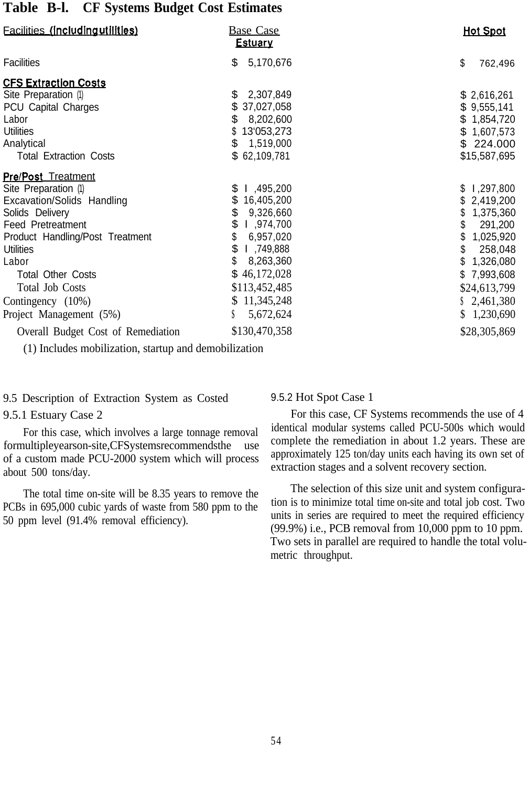# **Table B-l. CF Systems Budget Cost Estimates**

| <b>Facilities (Including utilities)</b>                                                                                                                                                                                                                                                       | <b>Base Case</b><br><b>Estuary</b>                                                                                                                                                      | <b>Hot Spot</b>                                                                                                                                                       |
|-----------------------------------------------------------------------------------------------------------------------------------------------------------------------------------------------------------------------------------------------------------------------------------------------|-----------------------------------------------------------------------------------------------------------------------------------------------------------------------------------------|-----------------------------------------------------------------------------------------------------------------------------------------------------------------------|
| Facilities                                                                                                                                                                                                                                                                                    | 5,170,676<br>\$                                                                                                                                                                         | \$<br>762,496                                                                                                                                                         |
| <b>CFS Extraction Costs</b><br>Site Preparation (1)<br>PCU Capital Charges<br>Labor<br><b>Utilities</b><br>Analytical<br><b>Total Extraction Costs</b>                                                                                                                                        | 2,307,849<br>\$<br>37,027,058<br>\$<br>8,202,600<br>13'053,273<br>\$<br>1,519,000<br>\$62,109,781                                                                                       | \$2,616,261<br>\$9,555,141<br>\$1,854,720<br>\$1,607,573<br>\$224.000<br>\$15,587,695                                                                                 |
| <b>Pre/Post Treatment</b><br>Site Preparation (1)<br>Excavation/Solids Handling<br>Solids Delivery<br><b>Feed Pretreatment</b><br>Product Handling/Post Treatment<br>Utilities<br>Labor<br><b>Total Other Costs</b><br><b>Total Job Costs</b><br>Contingency (10%)<br>Project Management (5%) | \$ 1,495,200<br>S<br>16,405,200<br>\$<br>9,326,660<br>\$<br>974,700, ا<br>\$<br>6,957,020<br>\$<br>749,888 L<br>8,263,360<br>\$46,172,028<br>\$113,452,485<br>\$11,345,248<br>5,672,624 | l,297,800<br>S<br>2,419,200<br>1,375,360<br>\$<br>291,200<br>1,025,920<br>258,048<br>\$<br>1,326,080<br>7,993,608<br>S.<br>\$24,613,799<br>\$2,461,380<br>\$1,230,690 |
| Overall Budget Cost of Remediation                                                                                                                                                                                                                                                            | \$130,470,358                                                                                                                                                                           | \$28,305,869                                                                                                                                                          |

(1) Includes mobilization, startup and demobilization

9.5 Description of Extraction System as Costed

#### 9.5.1 Estuary Case 2

For this case, which involves a large tonnage removal formultipleyearson-site,CFSystemsrecommendsthe use of a custom made PCU-2000 system which will process about 500 tons/day.

The total time on-site will be 8.35 years to remove the PCBs in 695,000 cubic yards of waste from 580 ppm to the 50 ppm level (91.4% removal efficiency).

#### 9.5.2 Hot Spot Case 1

For this case, CF Systems recommends the use of 4 identical modular systems called PCU-500s which would complete the remediation in about 1.2 years. These are approximately 125 ton/day units each having its own set of extraction stages and a solvent recovery section.

The selection of this size unit and system configuration is to minimize total time on-site and total job cost. Two units in series are required to meet the required efficiency (99.9%) i.e., PCB removal from 10,000 ppm to 10 ppm. Two sets in parallel are required to handle the total volumetric throughput.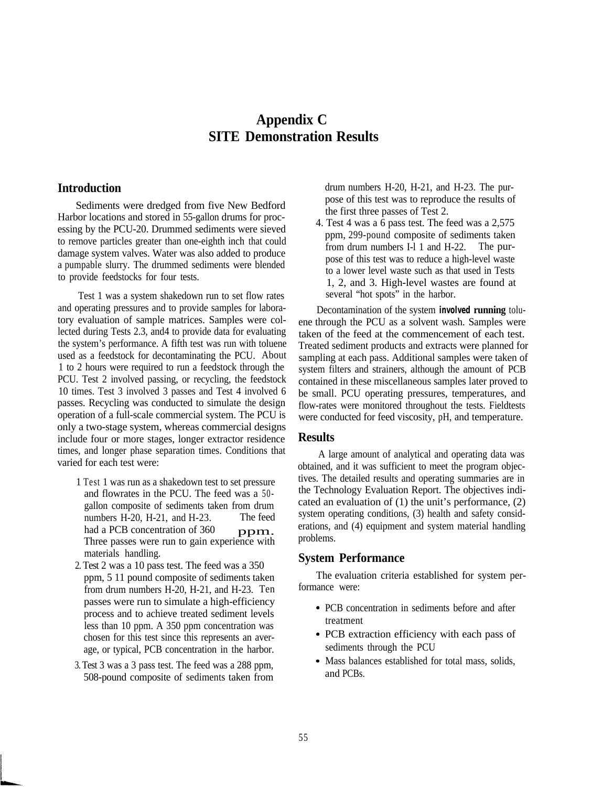# **Appendix C SITE Demonstration Results**

### **Introduction**

Sediments were dredged from five New Bedford Harbor locations and stored in 55-gallon drums for processing by the PCU-20. Drummed sediments were sieved to remove particles greater than one-eighth inch that could damage system valves. Water was also added to produce a pumpable slurry. The drummed sediments were blended to provide feedstocks for four tests.

Test 1 was a system shakedown run to set flow rates and operating pressures and to provide samples for laboratory evaluation of sample matrices. Samples were collected during Tests 2.3, and4 to provide data for evaluating the system's performance. A fifth test was run with toluene used as a feedstock for decontaminating the PCU. About 1 to 2 hours were required to run a feedstock through the PCU. Test 2 involved passing, or recycling, the feedstock 10 times. Test 3 involved 3 passes and Test 4 involved 6 passes. Recycling was conducted to simulate the design operation of a full-scale commercial system. The PCU is only a two-stage system, whereas commercial designs include four or more stages, longer extractor residence times, and longer phase separation times. Conditions that varied for each test were:

- 1 Test 1 was run as a shakedown test to set pressure and flowrates in the PCU. The feed was a 50 gallon composite of sediments taken from drum numbers H-20, H-21, and H-23. The feed had a PCB concentration of  $360$  ppm. Three passes were run to gain experience with materials handling.
- 2. Test 2 was a 10 pass test. The feed was a 350 ppm, 5 11 pound composite of sediments taken from drum numbers H-20, H-21, and H-23. Ten passes were run to simulate a high-efficiency process and to achieve treated sediment levels less than 10 ppm. A 350 ppm concentration was chosen for this test since this represents an average, or typical, PCB concentration in the harbor.
- 3. Test 3 was a 3 pass test. The feed was a 288 ppm, 508-pound composite of sediments taken from

drum numbers H-20, H-21, and H-23. The purpose of this test was to reproduce the results of the first three passes of Test 2.

4. Test 4 was a 6 pass test. The feed was a 2,575 ppm, 299-pound composite of sediments taken from drum numbers I-l 1 and H-22. The purpose of this test was to reduce a high-level waste to a lower level waste such as that used in Tests 1, 2, and 3. High-level wastes are found at several "hot spots" in the harbor.

Decontamination of the system **involved running** toluene through the PCU as a solvent wash. Samples were taken of the feed at the commencement of each test. Treated sediment products and extracts were planned for sampling at each pass. Additional samples were taken of system filters and strainers, although the amount of PCB contained in these miscellaneous samples later proved to be small. PCU operating pressures, temperatures, and flow-rates were monitored throughout the tests. Fieldtests were conducted for feed viscosity, pH, and temperature.

#### **Results**

A large amount of analytical and operating data was obtained, and it was sufficient to meet the program objectives. The detailed results and operating summaries are in the Technology Evaluation Report. The objectives indicated an evaluation of (1) the unit's performance, (2) system operating conditions, (3) health and safety considerations, and (4) equipment and system material handling problems.

### **System Performance**

The evaluation criteria established for system performance were:

- PCB concentration in sediments before and after treatment
- PCB extraction efficiency with each pass of sediments through the PCU
- Mass balances established for total mass, solids, and PCBs.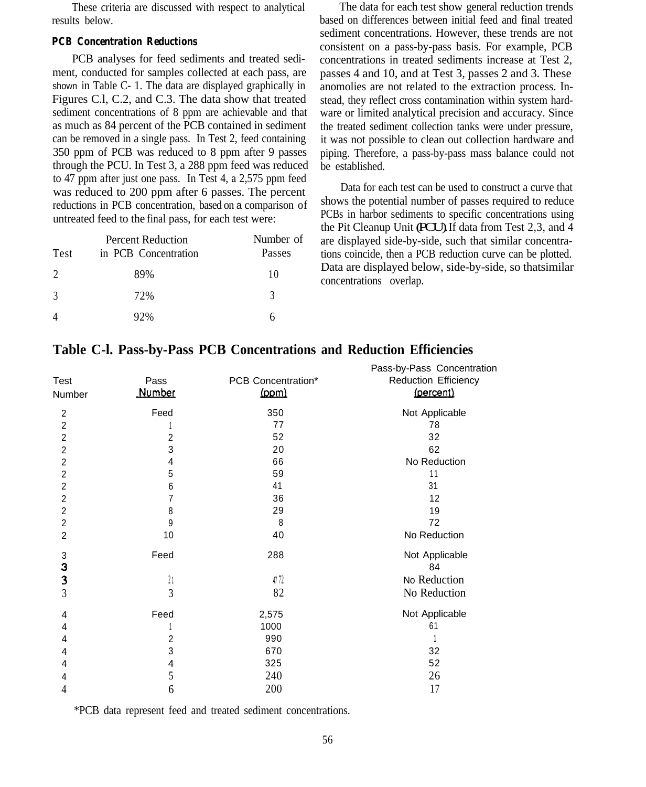These criteria are discussed with respect to analytical results below.

#### *PCB Concentration Reductions*

PCB analyses for feed sediments and treated sediment, conducted for samples collected at each pass, are shown in Table C- 1. The data are displayed graphically in Figures C.l, C.2, and C.3. The data show that treated sediment concentrations of 8 ppm are achievable and that as much as 84 percent of the PCB contained in sediment can be removed in a single pass. In Test 2, feed containing 350 ppm of PCB was reduced to 8 ppm after 9 passes through the PCU. In Test 3, a 288 ppm feed was reduced to 47 ppm after just one pass. In Test 4, a 2,575 ppm feed was reduced to 200 ppm after 6 passes. The percent reductions in PCB concentration, based on a comparison of untreated feed to the final pass, for each test were:

| <b>Test</b>    | <b>Percent Reduction</b><br>in PCB Concentration | Number of<br>Passes |
|----------------|--------------------------------------------------|---------------------|
| $\mathcal{D}$  | 89%                                              | 10                  |
| 3              | 72%                                              | 3                   |
| $\overline{4}$ | 92%                                              |                     |

The data for each test show general reduction trends based on differences between initial feed and final treated sediment concentrations. However, these trends are not consistent on a pass-by-pass basis. For example, PCB concentrations in treated sediments increase at Test 2, passes 4 and 10, and at Test 3, passes 2 and 3. These anomolies are not related to the extraction process. Instead, they reflect cross contamination within system hardware or limited analytical precision and accuracy. Since the treated sediment collection tanks were under pressure, it was not possible to clean out collection hardware and piping. Therefore, a pass-by-pass mass balance could not be established.

Data for each test can be used to construct a curve that shows the potential number of passes required to reduce PCBs in harbor sediments to specific concentrations using the Pit Cleanup Unit (PCU).If data from Test 2,3, and 4 are displayed side-by-side, such that similar concentrations coincide, then a PCB reduction curve can be plotted. Data are displayed below, side-by-side, so thatsimilar concentrations overlap.

| Test<br>Number          | Pass<br><b>Number</b> | PCB Concentration*<br>(ppm) | Pass-by-Pass Concentration<br><b>Reduction Efficiency</b><br>(percent) |
|-------------------------|-----------------------|-----------------------------|------------------------------------------------------------------------|
| $\overline{2}$          | Feed                  | 350                         | Not Applicable                                                         |
| $\overline{2}$          |                       | 77                          | 78                                                                     |
| $\overline{c}$          | 2                     | 52                          | 32                                                                     |
| $\boldsymbol{2}$        | 3                     | 20                          | 62                                                                     |
| $\overline{c}$          | 4                     | 66                          | No Reduction                                                           |
| $\overline{2}$          | 5                     | 59                          | 11                                                                     |
| $\overline{c}$          | 6                     | 41                          | 31                                                                     |
| 2                       | 7                     | 36                          | 12                                                                     |
| $\overline{c}$          | 8                     | 29                          | 19                                                                     |
| $\overline{2}$          | 9                     | 8                           | 72                                                                     |
| $\overline{2}$          | 10                    | 40                          | No Reduction                                                           |
| $\sqrt{3}$<br>3         | Feed                  | 288                         | Not Applicable<br>84                                                   |
| $\overline{\mathbf{3}}$ | $^{21}$               | 47 72                       | No Reduction                                                           |
| $\mathfrak{Z}$          | 3                     | 82                          | No Reduction                                                           |
| 4                       | Feed                  | 2,575                       | Not Applicable                                                         |
| 4                       |                       | 1000                        | 61                                                                     |
| 4                       | $\overline{c}$        | 990                         |                                                                        |
| 4                       | 3                     | 670                         | 32                                                                     |
| 4                       | 4                     | 325                         | 52                                                                     |
| 4                       | 5                     | 240                         | 26                                                                     |
| 4                       | 6                     | 200                         | 17                                                                     |
|                         |                       |                             |                                                                        |

# **Table C-I. Pass-by-Pass PCB Concentrations and Reduction Efficiencies**

\*PCB data represent feed and treated sediment concentrations.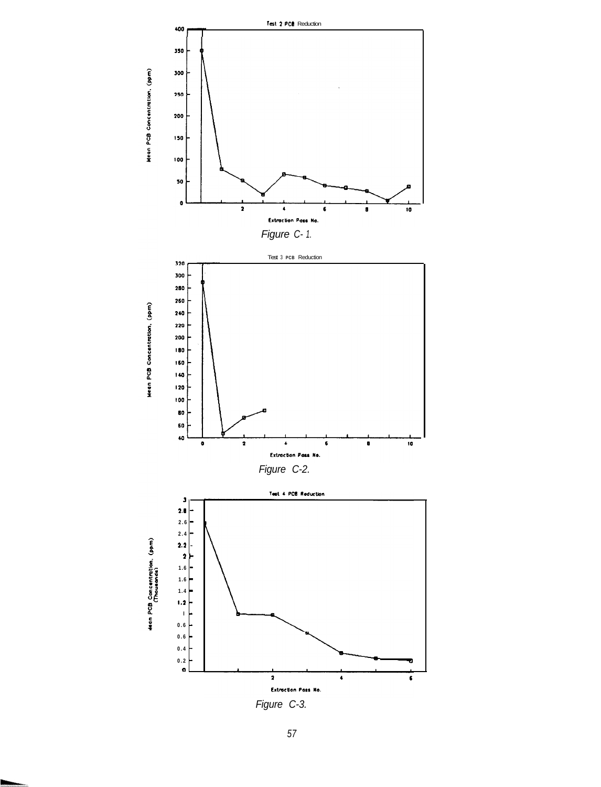![](_page_63_Figure_0.jpeg)

Figure C-3.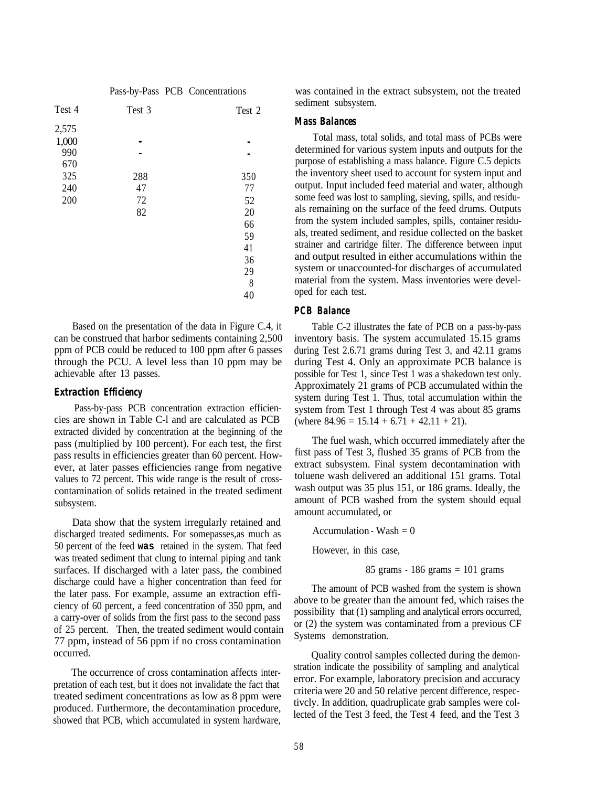|  |  | Pass-by-Pass PCB Concentrations |
|--|--|---------------------------------|
|--|--|---------------------------------|

| Test 4 | Test 3 | Test 2 |
|--------|--------|--------|
| 2,575  |        |        |
| 1,000  |        |        |
| 990    |        |        |
| 670    |        |        |
| 325    | 288    | 350    |
| 240    | 47     | 77     |
| 200    | 72     | 52     |
|        | 82     | 20     |
|        |        | 66     |
|        |        | 59     |
|        |        | 41     |
|        |        | 36     |
|        |        | 29     |
|        |        | 8      |
|        |        | 40     |
|        |        |        |

Based on the presentation of the data in Figure C.4, it can be construed that harbor sediments containing 2,500 ppm of PCB could be reduced to 100 ppm after 6 passes through the PCU. A level less than 10 ppm may be achievable after 13 passes.

#### *Extraction Efficiency*

Pass-by-pass PCB concentration extraction efficiencies are shown in Table C-l and are calculated as PCB extracted divided by concentration at the beginning of the pass (multiplied by 100 percent). For each test, the first pass results in efficiencies greater than 60 percent. However, at later passes efficiencies range from negative values to 72 percent. This wide range is the result of crosscontamination of solids retained in the treated sediment subsystem.

Data show that the system irregularly retained and discharged treated sediments. For somepasses,as much as 50 percent of the feed **was** retained in the system. That feed was treated sediment that clung to internal piping and tank surfaces. If discharged with a later pass, the combined discharge could have a higher concentration than feed for the later pass. For example, assume an extraction efficiency of 60 percent, a feed concentration of 350 ppm, and a carry-over of solids from the first pass to the second pass of 25 percent. Then, the treated sediment would contain 77 ppm, instead of 56 ppm if no cross contamination occurred. Control samples collected during the demon-

pretation of each test, but it does not invalidate the fact that treated sediment concentrations as low as 8 ppm were produced. Furthermore, the decontamination procedure,<br>produced. Furthermore, the decontamination procedure,<br>tivcly. In addition, quadruplicate grab samples were col-<br>lected of the Test 3 feed, the Test 4 feed, and the Test showed that PCB, which accumulated in system hardware,

was contained in the extract subsystem, not the treated sediment subsystem.

### *Mass Balances*

Total mass, total solids, and total mass of PCBs were determined for various system inputs and outputs for the purpose of establishing a mass balance. Figure C.5 depicts the inventory sheet used to account for system input and output. Input included feed material and water, although some feed was lost to sampling, sieving, spills, and residuals remaining on the surface of the feed drums. Outputs from the system included samples, spills, container residuals, treated sediment, and residue collected on the basket strainer and cartridge filter. The difference between input and output resulted in either accumulations within the system or unaccounted-for discharges of accumulated material from the system. Mass inventories were developed for each test.

#### *PCB Balance*

Table C-2 illustrates the fate of PCB on a pass-by-pass inventory basis. The system accumulated 15.15 grams during Test 2.6.71 grams during Test 3, and 42.11 grams during Test 4. Only an approximate PCB balance is possible for Test 1, since Test 1 was a shakedown test only. Approximately 21 grams of PCB accumulated within the system during Test 1. Thus, total accumulation within the system from Test 1 through Test 4 was about 85 grams (where  $84.96 = 15.14 + 6.71 + 42.11 + 21$ ).

The fuel wash, which occurred immediately after the first pass of Test 3, flushed 35 grams of PCB from the extract subsystem. Final system decontamination with toluene wash delivered an additional 151 grams. Total wash output was 35 plus 151, or 186 grams. Ideally, the amount of PCB washed from the system should equal amount accumulated, or

Accumulation - Wash  $= 0$ 

However, in this case,

85 grams - 186 grams = 101 grams

The amount of PCB washed from the system is shown above to be greater than the amount fed, which raises the possibility that (1) sampling and analytical errors occurred, or (2) the system was contaminated from a previous CF Systems demonstration.

The occurrence of cross contamination affects inter-<br>time stration indicate the possibility of sampling and analytical<br>time of sample, laboratory precision and accuracy criteria were 20 and 50 relative percent difference, respec-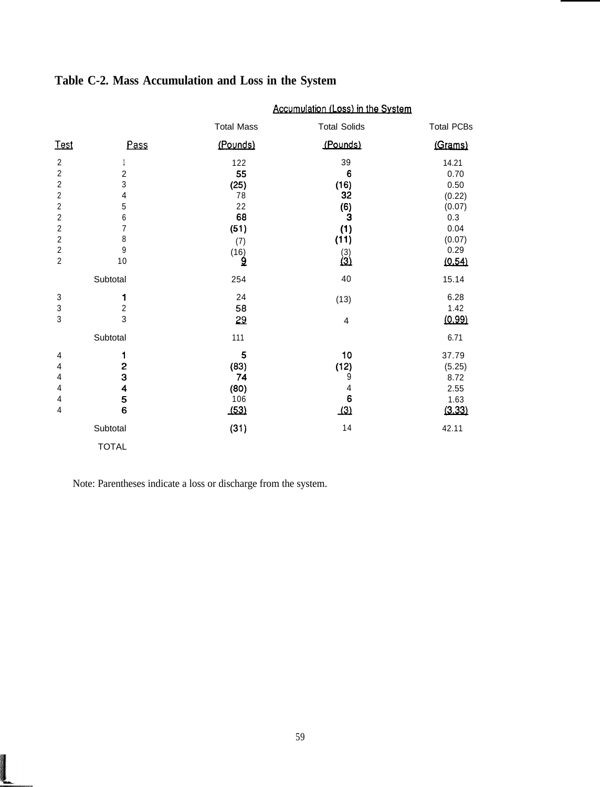|                                                                                                                                                                                                       |                                                                                       |                                                                     | Accumulation (Loss) in the System                                           |                                                                                      |
|-------------------------------------------------------------------------------------------------------------------------------------------------------------------------------------------------------|---------------------------------------------------------------------------------------|---------------------------------------------------------------------|-----------------------------------------------------------------------------|--------------------------------------------------------------------------------------|
|                                                                                                                                                                                                       |                                                                                       | <b>Total Mass</b>                                                   | <b>Total Solids</b>                                                         | <b>Total PCBs</b>                                                                    |
| <b>Test</b>                                                                                                                                                                                           | Pass                                                                                  | (Pounds)                                                            | (Pounds)                                                                    | (Grams)                                                                              |
| $\overline{\mathbf{c}}$<br>$\boldsymbol{2}$<br>$\boldsymbol{2}$<br>$\boldsymbol{2}$<br>$\overline{c}$<br>$\boldsymbol{2}$<br>$\overline{c}$<br>$\boldsymbol{2}$<br>$\boldsymbol{2}$<br>$\overline{2}$ | $\boldsymbol{2}$<br>3<br>4<br>5<br>$\boldsymbol{6}$<br>$\overline{7}$<br>8<br>9<br>10 | 122<br>55<br>(25)<br>78<br>22<br>68<br>(51)<br>(7)<br>$(16)$<br>$9$ | 39<br>6<br>(16)<br>32<br>(6)<br>3<br>(1)<br>(11)<br>$\binom{3}{3}$          | 14.21<br>0.70<br>0.50<br>(0.22)<br>(0.07)<br>0.3<br>0.04<br>(0.07)<br>0.29<br>(0.54) |
|                                                                                                                                                                                                       | Subtotal                                                                              | 254                                                                 | 40                                                                          | 15.14                                                                                |
| 3<br>3<br>3                                                                                                                                                                                           | 1<br>$\overline{\mathbf{c}}$<br>3                                                     | 24<br>58<br>29                                                      | (13)<br>4                                                                   | 6.28<br>1.42<br>(0.99)                                                               |
|                                                                                                                                                                                                       | Subtotal                                                                              | 111                                                                 |                                                                             | 6.71                                                                                 |
| 4<br>4<br>4<br>4<br>4<br>$\overline{4}$                                                                                                                                                               | 1<br>$\frac{2}{3}$<br>4<br>5<br>6                                                     | 5<br>(83)<br>74<br>(80)<br>106<br>(53)                              | 10<br>(12)<br>9<br>$\overline{\mathcal{L}}$<br>$6\phantom{a}$<br>$\sqrt{3}$ | 37.79<br>(5.25)<br>8.72<br>2.55<br>1.63<br>(3.33)                                    |
|                                                                                                                                                                                                       | Subtotal                                                                              | (31)                                                                | 14                                                                          | 42.11                                                                                |
|                                                                                                                                                                                                       | <b>TOTAL</b>                                                                          |                                                                     |                                                                             |                                                                                      |

# Table C-2. Mass Accumulation and Loss in the System

Note: Parentheses indicate a loss or discharge from the system.

Į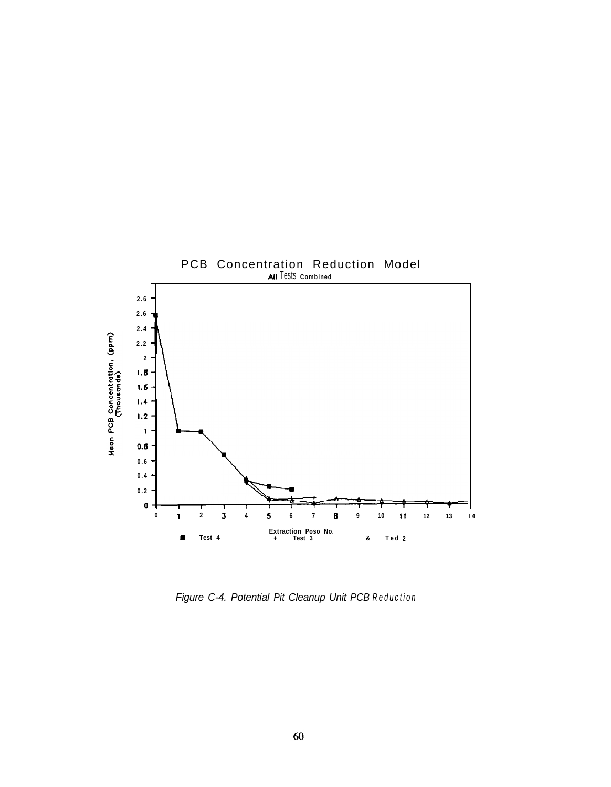![](_page_66_Figure_0.jpeg)

*Figure C-4. Potential Pit Cleanup Unit PCB Reduction*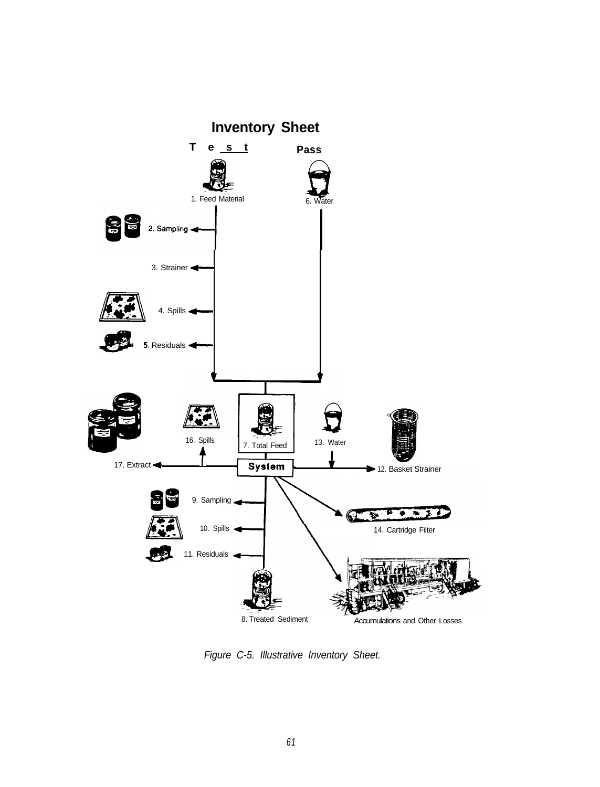![](_page_67_Figure_0.jpeg)

*Figure C-5. Illustrative Inventory Sheet.*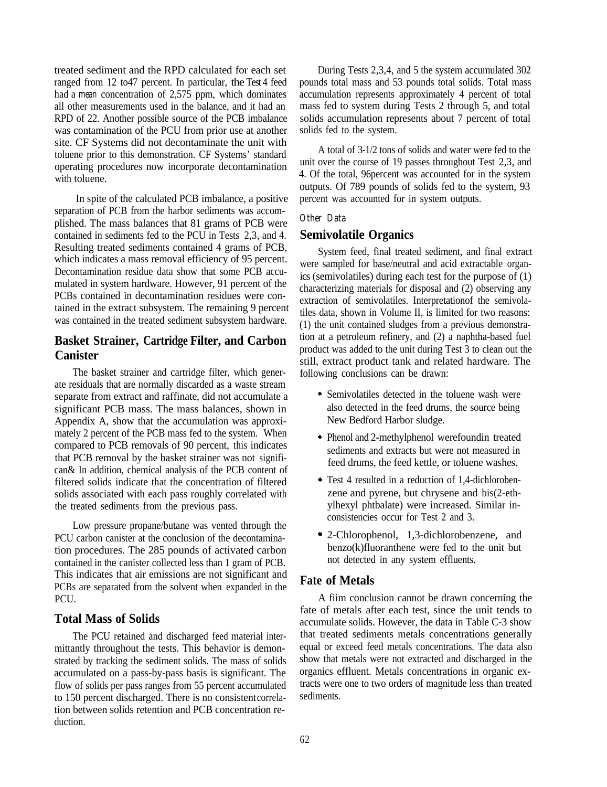treated sediment and the RPD calculated for each set ranged from 12 to47 percent. In particular, the Test 4 feed had a *mean* concentration of 2,575 ppm, which dominates all other measurements used in the balance, and it had an RPD of 22. Another possible source of the PCB imbalance was contamination of the PCU from prior use at another site. CF Systems did not decontaminate the unit with toluene prior to this demonstration. CF Systems' standard operating procedures now incorporate decontamination with toluene.

In spite of the calculated PCB imbalance, a positive separation of PCB from the harbor sediments was accomplished. The mass balances that 81 grams of PCB were contained in sediments fed to the PCU in Tests 2,3, and 4. Resulting treated sediments contained 4 grams of PCB, which indicates a mass removal efficiency of 95 percent. Decontamination residue data show that some PCB accumulated in system hardware. However, 91 percent of the PCBs contained in decontamination residues were contained in the extract subsystem. The remaining 9 percent was contained in the treated sediment subsystem hardware.

# **Basket Strainer, Cartridge Filter, and Carbon Canister**

The basket strainer and cartridge filter, which generate residuals that are normally discarded as a waste stream separate from extract and raffinate, did not accumulate a significant PCB mass. The mass balances, shown in Appendix A, show that the accumulation was approximately 2 percent of the PCB mass fed to the system. When compared to PCB removals of 90 percent, this indicates that PCB removal by the basket strainer was not significan& In addition, chemical analysis of the PCB content of filtered solids indicate that the concentration of filtered solids associated with each pass roughly correlated with the treated sediments from the previous pass.

Low pressure propane/butane was vented through the PCU carbon canister at the conclusion of the decontamination procedures. The 285 pounds of activated carbon contained in the canister collected less than 1 gram of PCB. This indicates that air emissions are not significant and PCBs are separated from the solvent when expanded in the **PCU** 

# **Total Mass of Solids**

The PCU retained and discharged feed material intermittantly throughout the tests. This behavior is demonstrated by tracking the sediment solids. The mass of solids accumulated on a pass-by-pass basis is significant. The flow of solids per pass ranges from 55 percent accumulated to 150 percent discharged. There is no consistent correlation between solids retention and PCB concentration reduction.

During Tests 2,3,4, and 5 the system accumulated 302 pounds total mass and 53 pounds total solids. Total mass accumulation represents approximately 4 percent of total mass fed to system during Tests 2 through 5, and total solids accumulation represents about 7 percent of total solids fed to the system.

A total of 3-1/2 tons of solids and water were fed to the unit over the course of 19 passes throughout Test 2,3, and 4. Of the total, 96percent was accounted for in the system outputs. Of 789 pounds of solids fed to the system, 93 percent was accounted for in system outputs.

#### *Other Data*

### **Semivolatile Organics**

System feed, final treated sediment, and final extract were sampled for base/neutral and acid extractable organics (semivolatiles) during each test for the purpose of (1) characterizing materials for disposal and (2) observing any extraction of semivolatiles. Interpretationof the semivolatiles data, shown in Volume II, is limited for two reasons: (1) the unit contained sludges from a previous demonstration at a petroleum refinery, and (2) a naphtha-based fuel product was added to the unit during Test 3 to clean out the still, extract product tank and related hardware. The following conclusions can be drawn:

- . Semivolatiles detected in the toluene wash were also detected in the feed drums, the source being New Bedford Harbor sludge.
- . Phenol and 2-methylphenol werefoundin treated sediments and extracts but were not measured in feed drums, the feed kettle, or toluene washes.
- . Test 4 resulted in a reduction of 1,4-dichlorobenzene and pyrene, but chrysene and bis(2-ethylhexyl phtbalate) were increased. Similar inconsistencies occur for Test 2 and 3.
- . 2-Chlorophenol, 1,3-dichlorobenzene, and benzo(k)fluoranthene were fed to the unit but not detected in any system effluents.

# **Fate of Metals**

A fiim conclusion cannot be drawn concerning the fate of metals after each test, since the unit tends to accumulate solids. However, the data in Table C-3 show that treated sediments metals concentrations generally equal or exceed feed metals concentrations. The data also show that metals were not extracted and discharged in the organics effluent. Metals concentrations in organic extracts were one to two orders of magnitude less than treated sediments.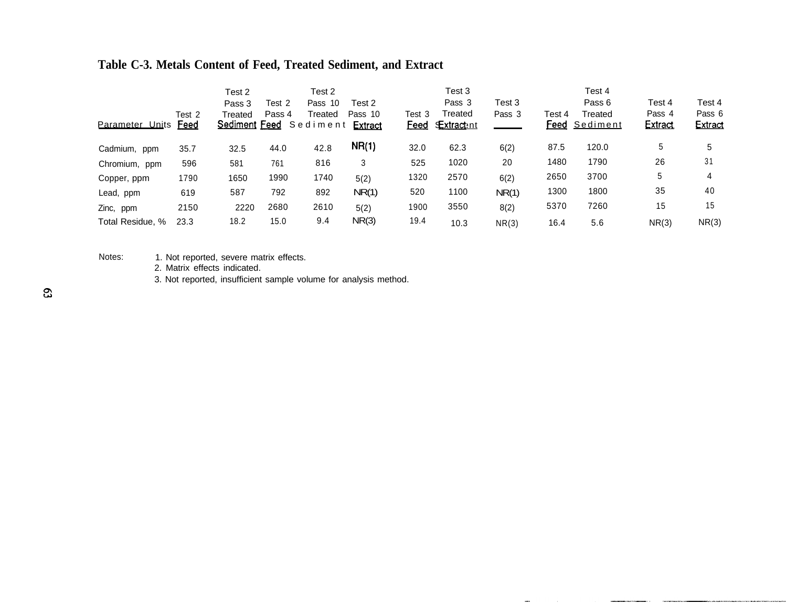# **Table C-3. Metals Content of Feed, Treated Sediment, and Extract**

| Parameter Units  | Test 2<br><b>Feed</b> | Test 2<br>Pass 3<br>Treated<br><u>Sediment_Feed</u> | Test 2<br>Pass 4 | Test 2<br>Pass 10<br>Treated<br>Sediment | Test 2<br>Pass 10<br><b>Extract</b> | Test 3<br><u>Feed</u> | Test 3<br>Pass 3<br>Treated<br><u>Extractent</u> | Test 3<br>Pass 3 | Test 4<br>Feed | Test 4<br>Pass 6<br>Treated<br><u>Sediment</u> | Test 4<br>Pass 4<br><b>Extract</b> | Test 4<br>Pass 6<br><b>Extract</b> |
|------------------|-----------------------|-----------------------------------------------------|------------------|------------------------------------------|-------------------------------------|-----------------------|--------------------------------------------------|------------------|----------------|------------------------------------------------|------------------------------------|------------------------------------|
| Cadmium, ppm     | 35.7                  | 32.5                                                | 44.0             | 42.8                                     | NR(1)                               | 32.0                  | 62.3                                             | 6(2)             | 87.5           | 120.0                                          | 5                                  | 5                                  |
| Chromium, ppm    | 596                   | 581                                                 | 761              | 816                                      | 3                                   | 525                   | 1020                                             | 20               | 1480           | 1790                                           | 26                                 | 31                                 |
| Copper, ppm      | 1790                  | 1650                                                | 1990             | 1740                                     | 5(2)                                | 1320                  | 2570                                             | 6(2)             | 2650           | 3700                                           | 5                                  | 4                                  |
| Lead, ppm        | 619                   | 587                                                 | 792              | 892                                      | NR(1)                               | 520                   | 1100                                             | NR(1)            | 1300           | 1800                                           | 35                                 | 40                                 |
| Zinc, ppm        | 2150                  | 2220                                                | 2680             | 2610                                     | 5(2)                                | 1900                  | 3550                                             | 8(2)             | 5370           | 7260                                           | 15                                 | 15                                 |
| Total Residue, % | 23.3                  | 18.2                                                | 15.0             | 9.4                                      | NR(3)                               | 19.4                  | 10.3                                             | NR(3)            | 16.4           | 5.6                                            | NR(3)                              | NR(3)                              |

 $\mathbf{m}\mathbf{n}$ 

and the con-

 $\label{eq:3} \mathbf{F} \mathbf{M} \mathbf{M} \mathbf{M} \mathbf{M} \mathbf{M} \mathbf{M} \mathbf{M} \mathbf{M} \mathbf{M} \mathbf{M} \mathbf{M} \mathbf{M} \mathbf{M} \mathbf{M} \mathbf{M} \mathbf{M} \mathbf{M} \mathbf{M} \mathbf{M} \mathbf{M} \mathbf{M} \mathbf{M} \mathbf{M} \mathbf{M} \mathbf{M} \mathbf{M} \mathbf{M} \mathbf{M} \mathbf{M} \mathbf{M} \mathbf{M} \mathbf{M} \mathbf{M} \mathbf{M} \mathbf$ 

Notes: 1. Not reported, severe matrix effects.

2. Matrix effects indicated.

3. Not reported, insufficient sample volume for analysis method.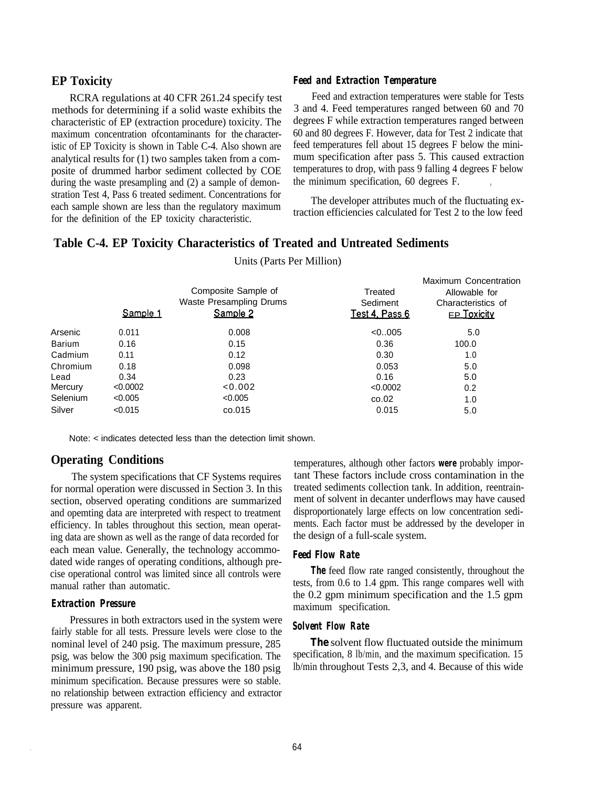RCRA regulations at 40 CFR 261.24 specify test methods for determining if a solid waste exhibits the characteristic of EP (extraction procedure) toxicity. The maximum concentration ofcontaminants for the characteristic of EP Toxicity is shown in Table C-4. Also shown are analytical results for (1) two samples taken from a composite of drummed harbor sediment collected by COE during the waste presampling and (2) a sample of demonstration Test 4, Pass 6 treated sediment. Concentrations for each sample shown are less than the regulatory maximum for the definition of the EP toxicity characteristic.

### **EP Toxicity** *Feed and Extraction Temperature*

Feed and extraction temperatures were stable for Tests 3 and 4. Feed temperatures ranged between 60 and 70 degrees F while extraction temperatures ranged between 60 and 80 degrees F. However, data for Test 2 indicate that feed temperatures fell about 15 degrees F below the minimum specification after pass 5. This caused extraction temperatures to drop, with pass 9 falling 4 degrees F below the minimum specification, 60 degrees F.

The developer attributes much of the fluctuating extraction efficiencies calculated for Test 2 to the low feed

### **Table C-4. EP Toxicity Characteristics of Treated and Untreated Sediments**

|          | Sample 1 | Composite Sample of<br>Waste Presampling Drums<br>Sample 2 | Treated<br>Sediment<br><u>Test 4, Pass 6</u> | Maximum Concentration<br>Allowable for<br>Characteristics of<br><b>EP Toxicity</b> |
|----------|----------|------------------------------------------------------------|----------------------------------------------|------------------------------------------------------------------------------------|
| Arsenic  | 0.011    | 0.008                                                      | < 0.005                                      | 5.0                                                                                |
| Barium   | 0.16     | 0.15                                                       | 0.36                                         | 100.0                                                                              |
| Cadmium  | 0.11     | 0.12                                                       | 0.30                                         | 1.0                                                                                |
| Chromium | 0.18     | 0.098                                                      | 0.053                                        | 5.0                                                                                |
| Lead     | 0.34     | 0.23                                                       | 0.16                                         | 5.0                                                                                |
| Mercury  | < 0.0002 | < 0.002                                                    | < 0.0002                                     | 0.2                                                                                |
| Selenium | < 0.005  | < 0.005                                                    | co.02                                        | 1.0                                                                                |
| Silver   | < 0.015  | co.015                                                     | 0.015                                        | 5.0                                                                                |

Units (Parts Per Million)

Note: < indicates detected less than the detection limit shown.

### **Operating Conditions**

The system specifications that CF Systems requires for normal operation were discussed in Section 3. In this section, observed operating conditions are summarized and opemting data are interpreted with respect to treatment efficiency. In tables throughout this section, mean operating data are shown as well as the range of data recorded for each mean value. Generally, the technology accommodated wide ranges of operating conditions, although precise operational control was limited since all controls were manual rather than automatic.

#### *Extraction Pressure*

Pressures in both extractors used in the system were fairly stable for all tests. Pressure levels were close to the nominal level of 240 psig. The maximum pressure, 285 psig, was below the 300 psig maximum specification. The minimum pressure, 190 psig, was above the 180 psig minimum specification. Because pressures were so stable. no relationship between extraction efficiency and extractor pressure was apparent.

temperatures, although other factors **were** probably important These factors include cross contamination in the treated sediments collection tank. In addition, reentrainment of solvent in decanter underflows may have caused disproportionately large effects on low concentration sediments. Each factor must be addressed by the developer in the design of a full-scale system.

# *Feed Flow Rate*

**The** feed flow rate ranged consistently, throughout the tests, from 0.6 to 1.4 gpm. This range compares well with the 0.2 gpm minimum specification and the 1.5 gpm maximum specification.

### *Solvent Flow Rate*

*The* solvent flow fluctuated outside the minimum specification, 8 lb/min, and the maximum specification. 15 lb/min throughout Tests 2,3, and 4. Because of this wide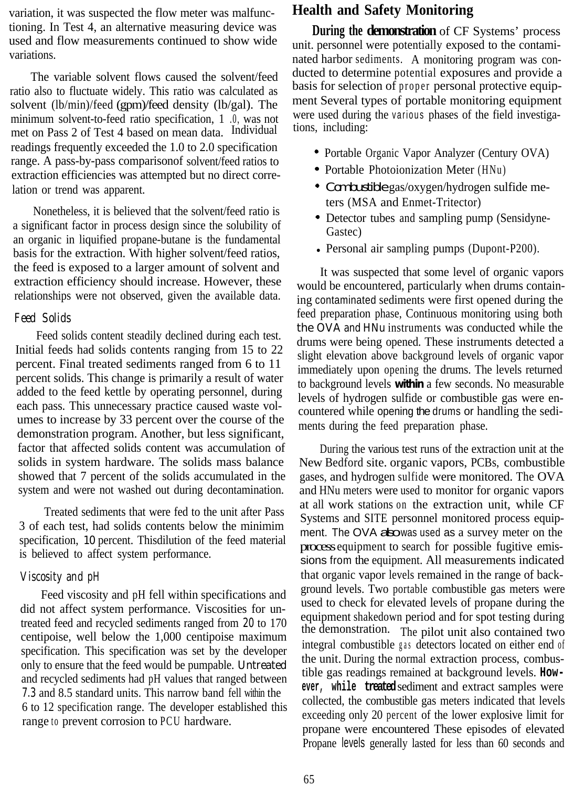variation, it was suspected the flow meter was malfunctioning. In Test 4, an alternative measuring device was used and flow measurements continued to show wide variations.

The variable solvent flows caused the solvent/feed ratio also to fluctuate widely. This ratio was calculated as solvent (lb/min)/feed (gpm)/feed density (lb/gal). The minimum solvent-to-feed ratio specification, 1 .0, was not met on Pass 2 of Test 4 based on mean data. Individual readings frequently exceeded the 1.0 to 2.0 specification range. A pass-by-pass comparisonof solvent/feed ratios to extraction efficiencies was attempted but no direct correlation or trend was apparent.

Nonetheless, it is believed that the solvent/feed ratio is a significant factor in process design since the solubility of an organic in liquified propane-butane is the fundamental basis for the extraction. With higher solvent/feed ratios, the feed is exposed to a larger amount of solvent and extraction efficiency should increase. However, these relationships were not observed, given the available data.

#### *Feed Solids*

Feed solids content steadily declined during each test. Initial feeds had solids contents ranging from 15 to 22 percent. Final treated sediments ranged from 6 to 11 percent solids. This change is primarily a result of water added to the feed kettle by operating personnel, during each pass. This unnecessary practice caused waste volumes to increase by 33 percent over the course of the demonstration program. Another, but less significant, factor that affected solids content was accumulation of solids in system hardware. The solids mass balance showed that 7 percent of the solids accumulated in the system and were not washed out during decontamination.

Treated sediments that were fed to the unit after Pass 3 of each test, had solids contents below the minimim specification, 10 percent. Thisdilution of the feed material is believed to affect system performance.

#### *Viscosity and pH*

Feed viscosity and pH fell within specifications and did not affect system performance. Viscosities for untreated feed and recycled sediments ranged from *20* to 170 centipoise, well below the 1,000 centipoise maximum specification. This specification was set by the developer only to ensure that the feed would be pumpable. Untreated and recycled sediments had pH values that ranged between *7.3* and 8.5 standard units. This narrow band fell within the 6 to 12 specification range. The developer established this range to prevent corrosion to PCU hardware.

# **Health and Safety Monitoring**

**During the demonstration** of CF Systems' process unit. personnel were potentially exposed to the contaminated harbor sediments. A monitoring program was conducted to determine potential exposures and provide a basis for selection of proper personal protective equipment Several types of portable monitoring equipment were used during the various phases of the field investigations, including:

- Portable Organic Vapor Analyzer (Century OVA)
- Portable Photoionization Meter (HNu)
- Combustible gas/oxygen/hydrogen sulfide meters (MSA and Enmet-Tritector)
- Detector tubes and sampling pump (Sensidyne-Gastec)
- Personal air sampling pumps (Dupont-P200).

It was suspected that some level of organic vapors would be encountered, particularly when drums containing contaminated sediments were first opened during the feed preparation phase, Continuous monitoring using both the OVA and HNu instruments was conducted while the drums were being opened. These instruments detected a slight elevation above background levels of organic vapor immediately upon opening the drums. The levels returned to background levels **within** a few seconds. No measurable levels of hydrogen sulfide or combustible gas were encountered while opening the drums or handling the sediments during the feed preparation phase.

During the various test runs of the extraction unit at the New Bedford site. organic vapors, PCBs, combustible gases, and hydrogen sulfide were monitored. The OVA and HNu meters were used to monitor for organic vapors at all work stations on the extraction unit, while CF Systems and SITE personnel monitored process equipment. The OVA abowas used as a survey meter on the processequipment to search for possible fugitive emissions from the equipment. All measurements indicated that organic vapor levels remained in the range of background levels. Two portable combustible gas meters were used to check for elevated levels of propane during the equipment shakedown period and for spot testing during the demonstration. The pilot unit also contained two integral combustible gas detectors located on either end of the unit. During the normal extraction process, combustible gas readings remained at background levels. **However, while treated**sediment and extract samples were collected, the combustible gas meters indicated that levels exceeding only 20 percent of the lower explosive limit for propane were encountered These episodes of elevated Propane levels generally lasted for less than 60 seconds and